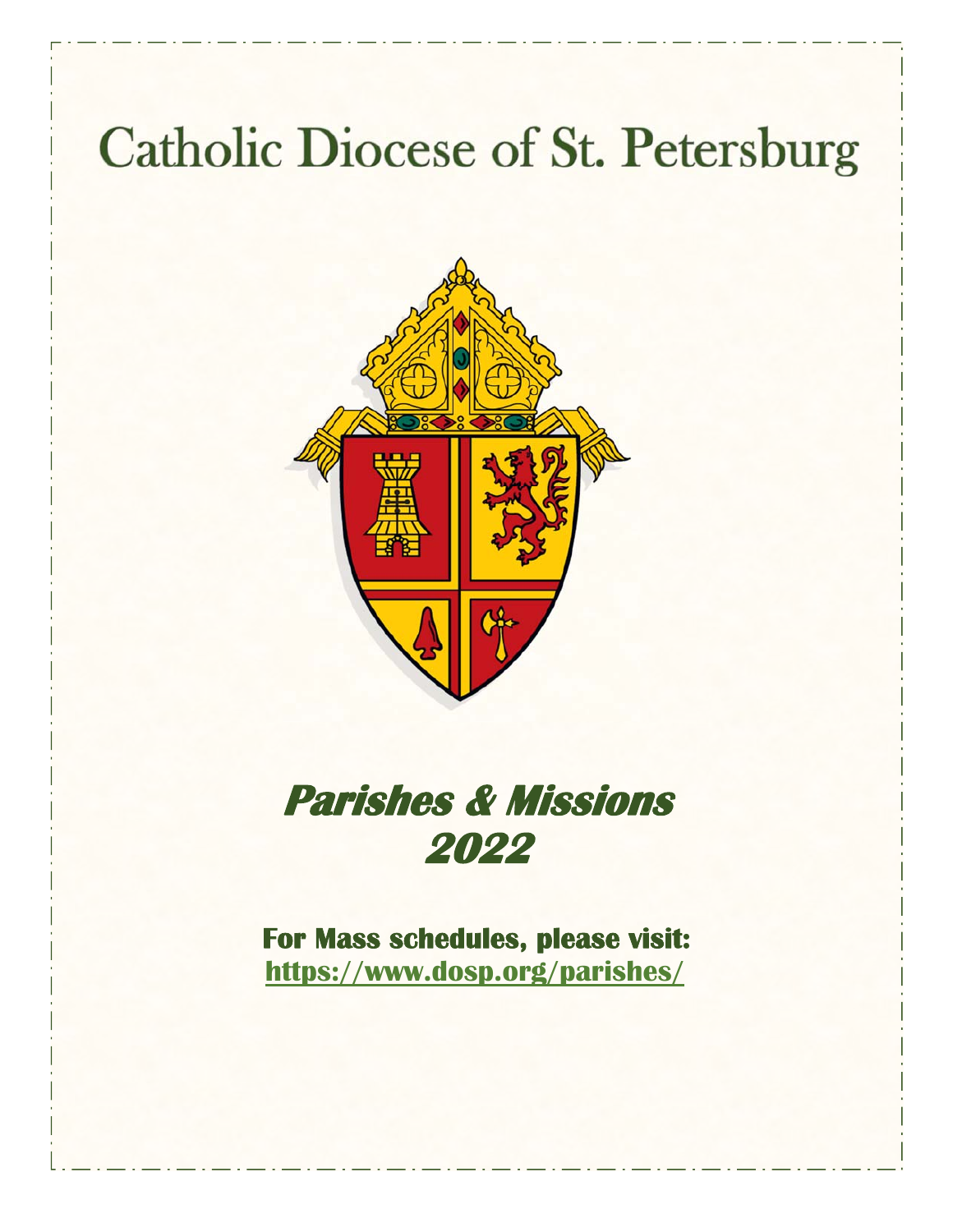# **Catholic Diocese of St. Petersburg**



# **Parishes & Missions 2022**

**For Mass schedules, please visit: https://www.dosp.org/parishes/**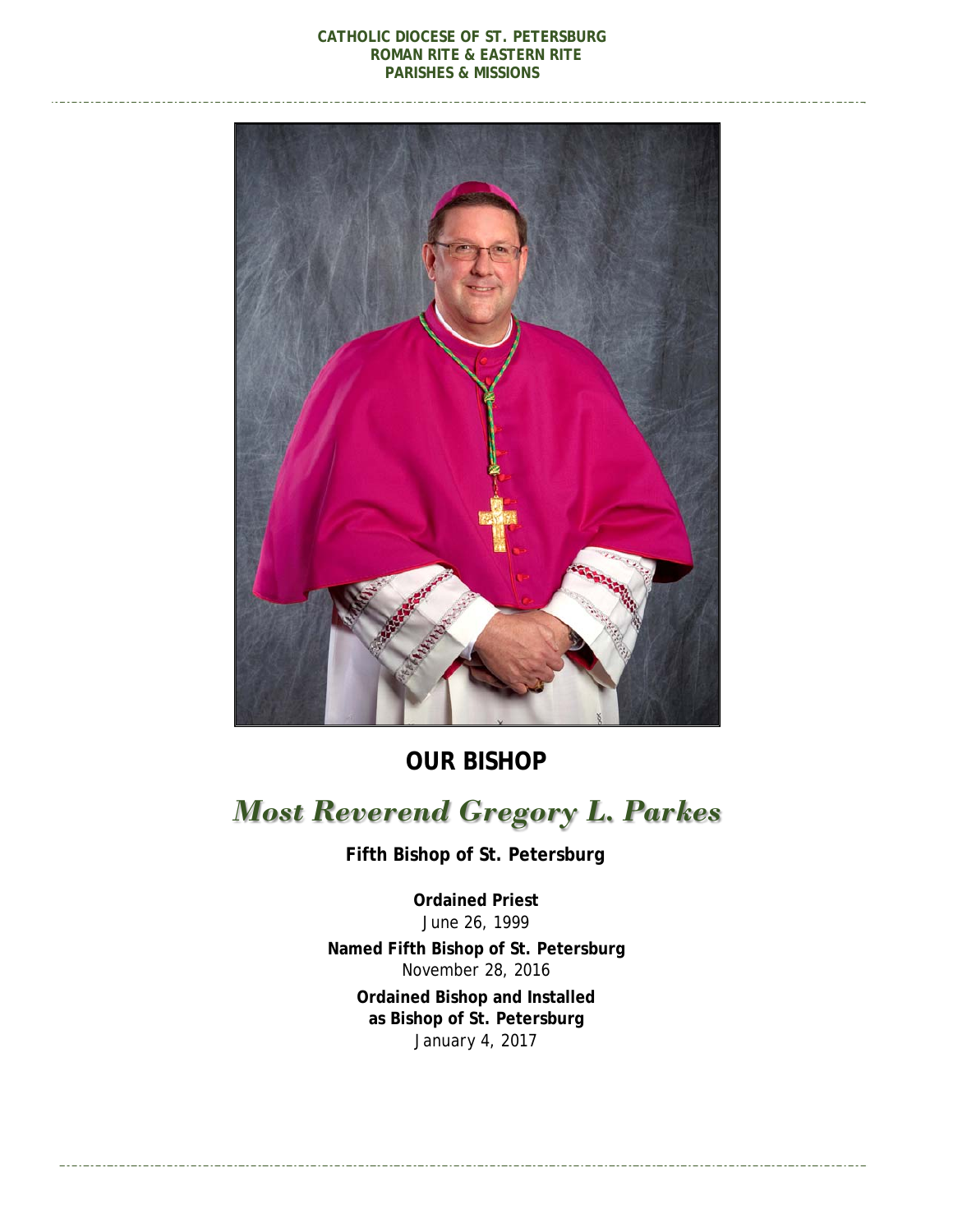#### **CATHOLIC DIOCESE OF ST. PETERSBURG ROMAN RITE & EASTERN RITE PARISHES & MISSIONS**



**OUR BISHOP** 

## *Most Reverend Gregory L. Parkes*

 **Fifth Bishop of St. Petersburg** 

**Ordained Priest**  *June 26, 1999*  **Named Fifth Bishop of St. Petersburg**  *November 28, 2016*  **Ordained Bishop and Installed as Bishop of St. Petersburg**  *January 4, 2017*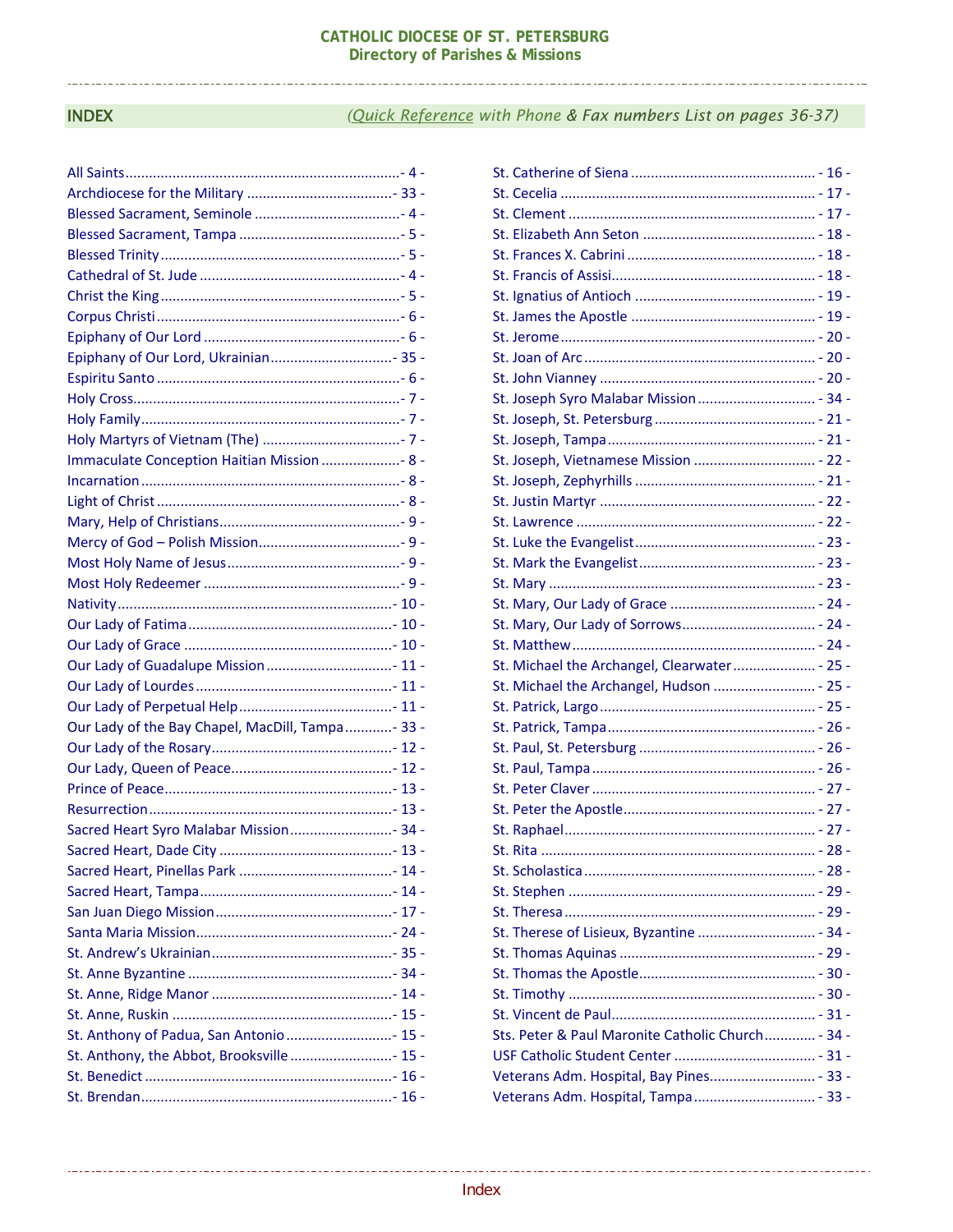#### **INDEX**

#### (Quick Reference with Phone & Fax numbers List on pages 36-37)

| Immaculate Conception Haitian Mission  8 -       |
|--------------------------------------------------|
|                                                  |
|                                                  |
|                                                  |
|                                                  |
|                                                  |
|                                                  |
|                                                  |
|                                                  |
|                                                  |
|                                                  |
|                                                  |
|                                                  |
| Our Lady of the Bay Chapel, MacDill, Tampa- 33 - |
|                                                  |
|                                                  |
|                                                  |
|                                                  |
| Sacred Heart Syro Malabar Mission 34 -           |
|                                                  |
|                                                  |
|                                                  |
|                                                  |
|                                                  |
|                                                  |
|                                                  |
|                                                  |
|                                                  |
| St. Anthony of Padua, San Antonio 15 -           |
| St. Anthony, the Abbot, Brooksville 15 -         |
|                                                  |
|                                                  |

| St. Joseph Syro Malabar Mission  - 34 -           |
|---------------------------------------------------|
|                                                   |
|                                                   |
|                                                   |
|                                                   |
|                                                   |
|                                                   |
|                                                   |
|                                                   |
|                                                   |
|                                                   |
|                                                   |
|                                                   |
| St. Michael the Archangel, Clearwater - 25 -      |
| St. Michael the Archangel, Hudson  - 25 -         |
|                                                   |
|                                                   |
|                                                   |
|                                                   |
|                                                   |
|                                                   |
|                                                   |
|                                                   |
|                                                   |
|                                                   |
|                                                   |
|                                                   |
|                                                   |
|                                                   |
|                                                   |
|                                                   |
| Sts. Peter & Paul Maronite Catholic Church - 34 - |
|                                                   |
|                                                   |
| Veterans Adm. Hospital, Tampa - 33 -              |
|                                                   |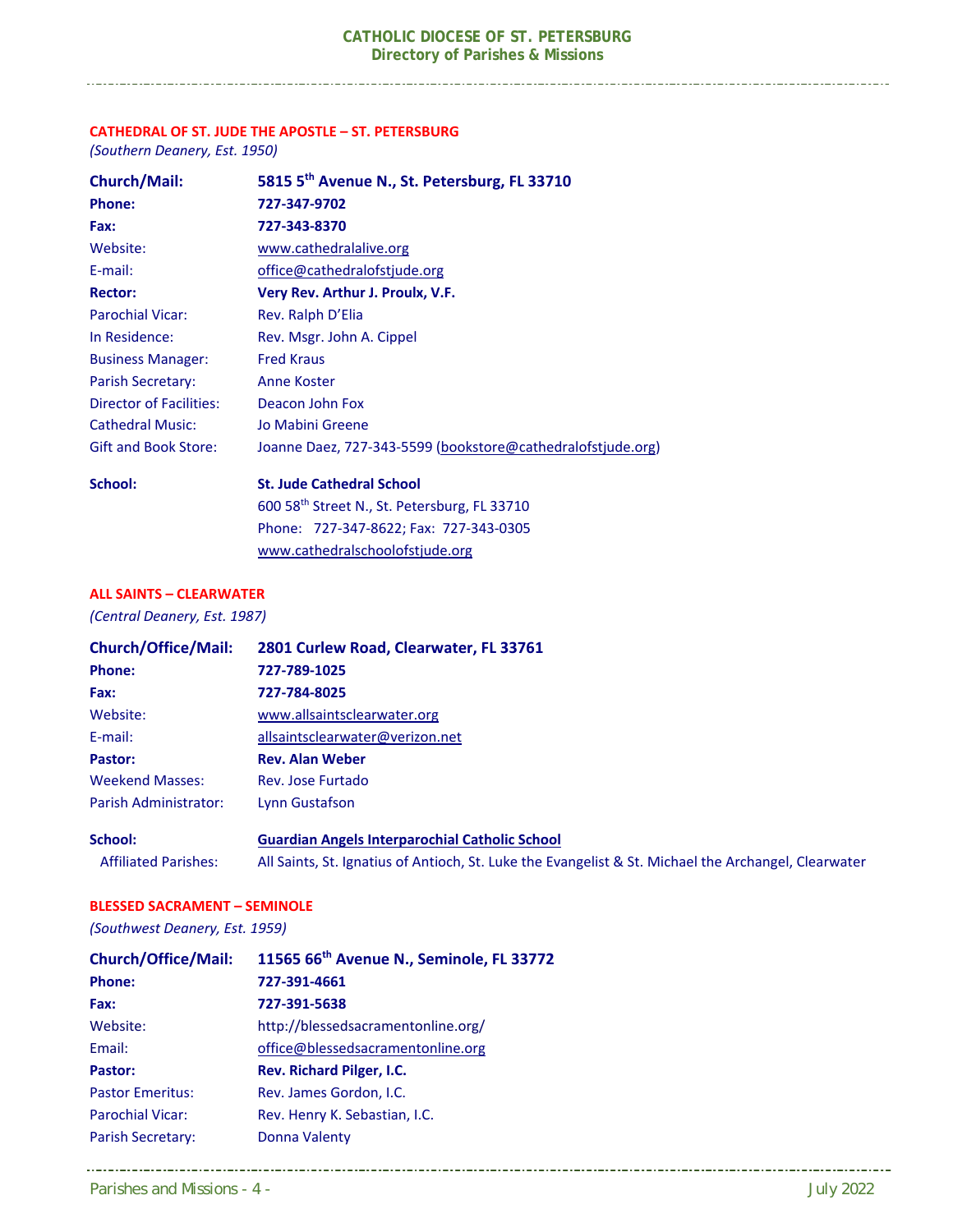#### **CATHEDRAL OF ST. JUDE THE APOSTLE – ST. PETERSBURG**

*(Southern Deanery, Est. 1950)* 

| <b>Church/Mail:</b>         | 5815 5th Avenue N., St. Petersburg, FL 33710                |
|-----------------------------|-------------------------------------------------------------|
| Phone:                      | 727-347-9702                                                |
| Fax:                        | 727-343-8370                                                |
| Website:                    | www.cathedralalive.org                                      |
| E-mail:                     | office@cathedralofstjude.org                                |
| <b>Rector:</b>              | Very Rev. Arthur J. Proulx, V.F.                            |
| <b>Parochial Vicar:</b>     | Rev. Ralph D'Elia                                           |
| In Residence:               | Rev. Msgr. John A. Cippel                                   |
| <b>Business Manager:</b>    | <b>Fred Kraus</b>                                           |
| <b>Parish Secretary:</b>    | Anne Koster                                                 |
| Director of Facilities:     | Deacon John Fox                                             |
| <b>Cathedral Music:</b>     | Jo Mabini Greene                                            |
| <b>Gift and Book Store:</b> | Joanne Daez, 727-343-5599 (bookstore@cathedralofstjude.org) |
| School:                     | <b>St. Jude Cathedral School</b>                            |
|                             | $CAO$ roth $C++++$ $C++$ $C++$ $D++- C++$                   |

 600 58th Street N., St. Petersburg, FL 33710 Phone: 727‐347‐8622; Fax: 727‐343‐0305 www.cathedralschoolofstjude.org

#### **ALL SAINTS – CLEARWATER**

*(Central Deanery, Est. 1987)* 

| <b>Church/Office/Mail:</b>   | 2801 Curlew Road, Clearwater, FL 33761         |  |
|------------------------------|------------------------------------------------|--|
| <b>Phone:</b>                | 727-789-1025                                   |  |
| Fax:                         | 727-784-8025                                   |  |
| Website:                     | www.allsaintsclearwater.org                    |  |
| E-mail:                      | allsaintsclearwater@verizon.net                |  |
| Pastor:                      | <b>Rev. Alan Weber</b>                         |  |
| <b>Weekend Masses:</b>       | Rev. Jose Furtado                              |  |
| <b>Parish Administrator:</b> | Lynn Gustafson                                 |  |
| <b>School:</b>               | Guardian Angels Internarochial Catholic School |  |

#### **School: Guardian Angels Interparochial Catholic School**  Affiliated Parishes: All Saints, St. Ignatius of Antioch, St. Luke the Evangelist & St. Michael the Archangel, Clearwater

#### **BLESSED SACRAMENT – SEMINOLE**

*(Southwest Deanery, Est. 1959)* 

| <b>Church/Office/Mail:</b> | 11565 66th Avenue N., Seminole, FL 33772 |
|----------------------------|------------------------------------------|
| Phone:                     | 727-391-4661                             |
| Fax:                       | 727-391-5638                             |
| Website:                   | http://blessedsacramentonline.org/       |
| Email:                     | office@blessedsacramentonline.org        |
| Pastor:                    | Rev. Richard Pilger, I.C.                |
| <b>Pastor Emeritus:</b>    | Rev. James Gordon, I.C.                  |
| <b>Parochial Vicar:</b>    | Rev. Henry K. Sebastian, I.C.            |
| <b>Parish Secretary:</b>   | Donna Valenty                            |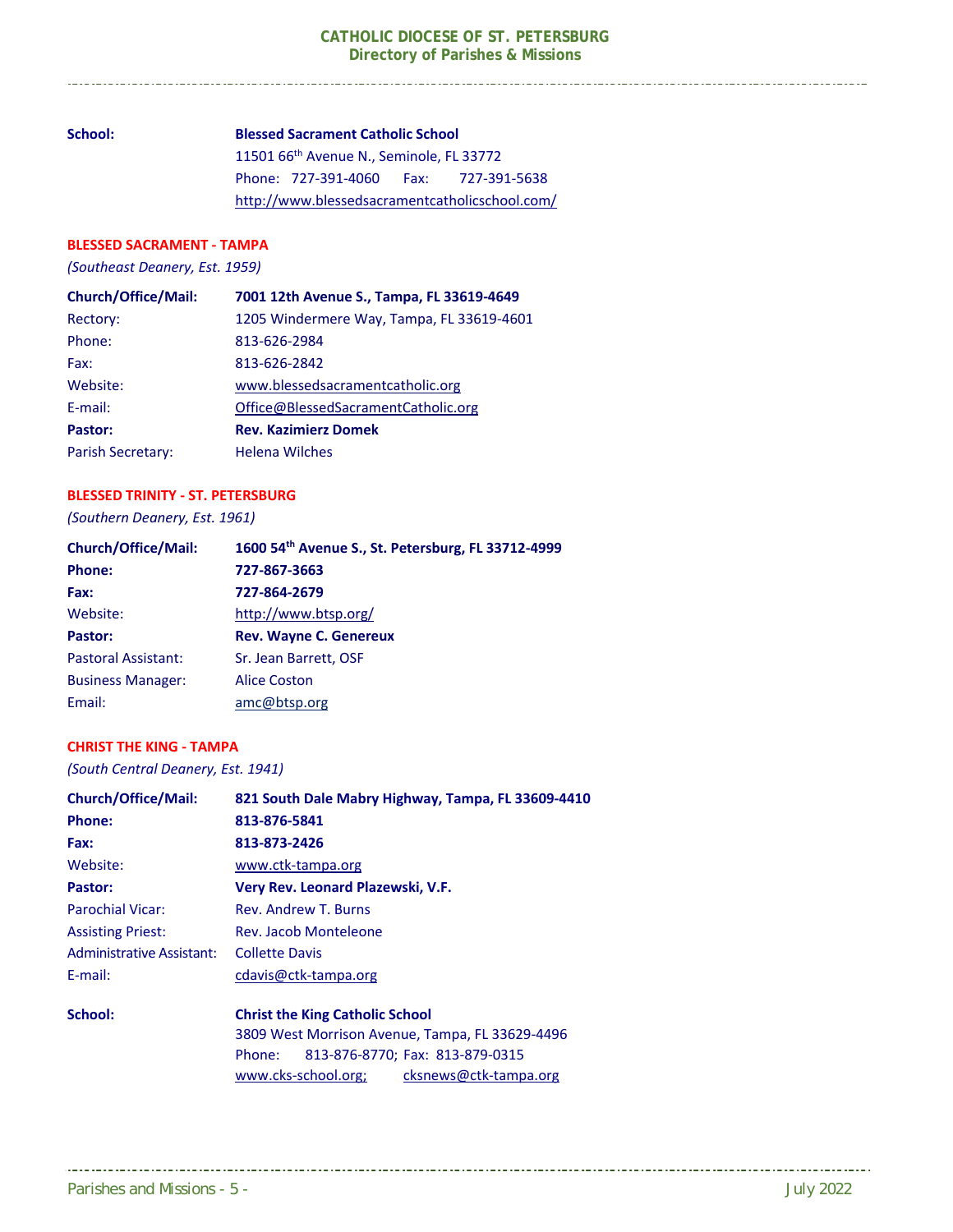#### **School: Blessed Sacrament Catholic School**

11501 66<sup>th</sup> Avenue N., Seminole, FL 33772 Phone: 727‐391‐4060 Fax: 727‐391‐5638 http://www.blessedsacramentcatholicschool.com/

#### **BLESSED SACRAMENT ‐ TAMPA**

*(Southeast Deanery, Est. 1959)* 

| <b>Church/Office/Mail:</b> | 7001 12th Avenue S., Tampa, FL 33619-4649 |
|----------------------------|-------------------------------------------|
| Rectory:                   | 1205 Windermere Way, Tampa, FL 33619-4601 |
| Phone:                     | 813-626-2984                              |
| Fax:                       | 813-626-2842                              |
| Website:                   | www.blessedsacramentcatholic.org          |
| E-mail:                    | Office@BlessedSacramentCatholic.org       |
| Pastor:                    | <b>Rev. Kazimierz Domek</b>               |
| Parish Secretary:          | <b>Helena Wilches</b>                     |
|                            |                                           |

#### **BLESSED TRINITY ‐ ST. PETERSBURG**

*(Southern Deanery, Est. 1961)*

| <b>Church/Office/Mail:</b> | 1600 54th Avenue S., St. Petersburg, FL 33712-4999 |
|----------------------------|----------------------------------------------------|
| <b>Phone:</b>              | 727-867-3663                                       |
| Fax:                       | 727-864-2679                                       |
| Website:                   | http://www.btsp.org/                               |
| Pastor:                    | <b>Rev. Wayne C. Genereux</b>                      |
| <b>Pastoral Assistant:</b> | Sr. Jean Barrett, OSF                              |
| <b>Business Manager:</b>   | <b>Alice Coston</b>                                |
| Email:                     | amc@btsp.org                                       |

#### **CHRIST THE KING ‐ TAMPA**

*(South Central Deanery, Est. 1941)* 

| <b>Church/Office/Mail:</b> | 821 South Dale Mabry Highway, Tampa, FL 33609-4410                                        |  |
|----------------------------|-------------------------------------------------------------------------------------------|--|
| Phone:                     | 813-876-5841                                                                              |  |
| Fax:                       | 813-873-2426                                                                              |  |
| Website:                   | www.ctk-tampa.org                                                                         |  |
| Pastor:                    | Very Rev. Leonard Plazewski, V.F.                                                         |  |
| Parochial Vicar:           | Rev. Andrew T. Burns                                                                      |  |
| <b>Assisting Priest:</b>   | Rev. Jacob Monteleone                                                                     |  |
| Administrative Assistant:  | <b>Collette Davis</b>                                                                     |  |
| E-mail:                    | cdavis@ctk-tampa.org                                                                      |  |
| School:                    | <b>Christ the King Catholic School</b><br>3809 West Morrison Avenue, Tampa, FL 33629-4496 |  |
|                            |                                                                                           |  |
|                            | 813-876-8770; Fax: 813-879-0315<br>Phone:                                                 |  |
|                            | www.cks-school.org;<br>cksnews@ctk-tampa.org                                              |  |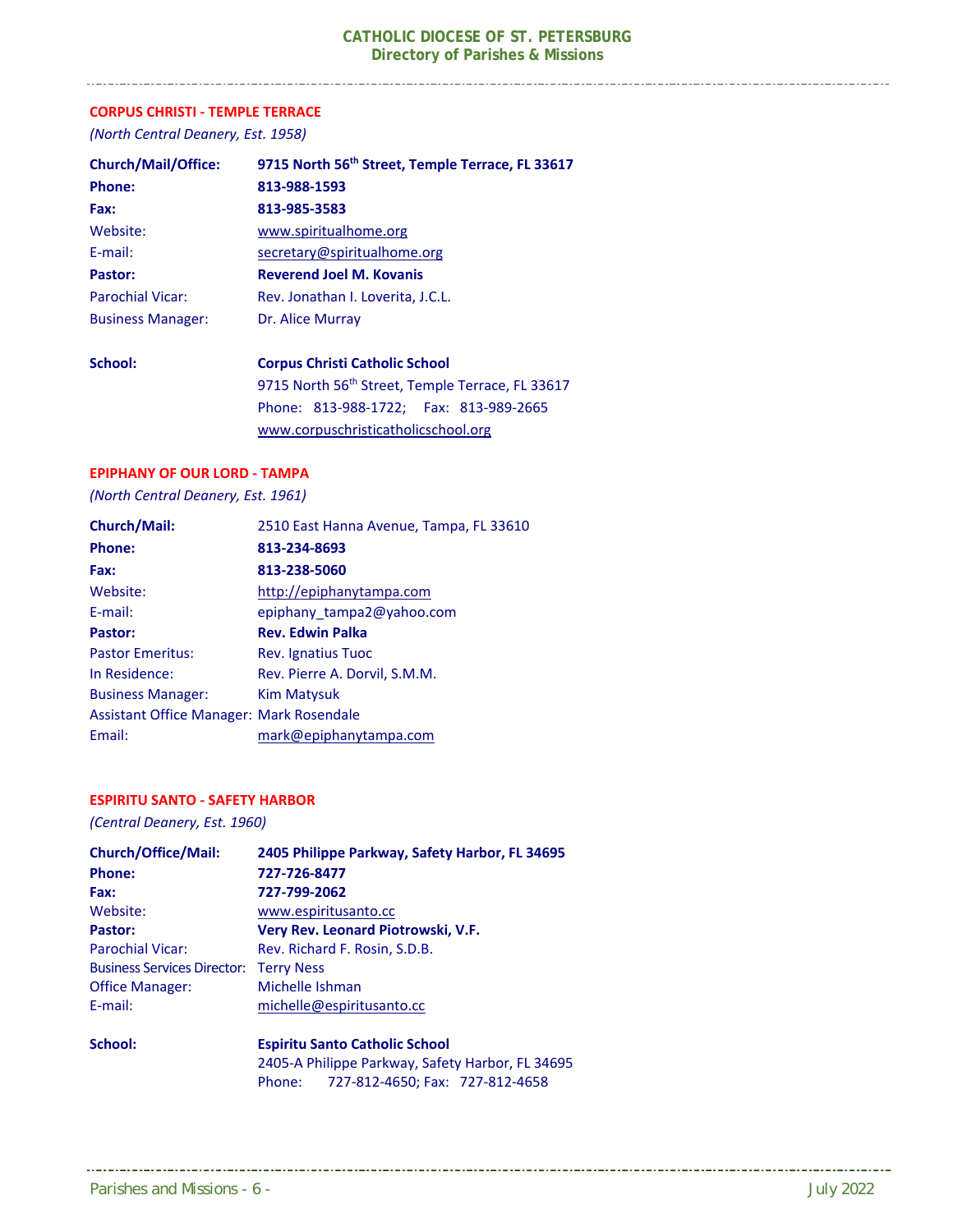#### **CORPUS CHRISTI ‐ TEMPLE TERRACE**

*(North Central Deanery, Est. 1958)* 

\_\_\_\_\_\_\_\_\_\_\_\_\_\_\_\_\_\_\_\_\_\_\_\_\_\_\_\_\_\_\_\_\_

| <b>Church/Mail/Office:</b> | 9715 North 56th Street, Temple Terrace, FL 33617 |
|----------------------------|--------------------------------------------------|
| Phone:                     | 813-988-1593                                     |
| Fax:                       | 813-985-3583                                     |
| Website:                   | www.spiritualhome.org                            |
| E-mail:                    | secretary@spiritualhome.org                      |
| Pastor:                    | <b>Reverend Joel M. Kovanis</b>                  |
| Parochial Vicar:           | Rev. Jonathan I. Loverita, J.C.L.                |
| <b>Business Manager:</b>   | Dr. Alice Murray                                 |
| School:                    | <b>Corpus Christi Catholic School</b>            |
|                            | 9715 North 56th Street, Temple Terrace, FL 33617 |
|                            | Phone: 813-988-1722; Fax: 813-989-2665           |
|                            | www.corpuschristicatholicschool.org              |

#### **EPIPHANY OF OUR LORD ‐ TAMPA**

*(North Central Deanery, Est. 1961)* 

| Church/Mail:                                    | 2510 East Hanna Avenue, Tampa, FL 33610 |
|-------------------------------------------------|-----------------------------------------|
| Phone:                                          | 813-234-8693                            |
| Fax:                                            | 813-238-5060                            |
| Website:                                        | http://epiphanytampa.com                |
| E-mail:                                         | epiphany tampa2@yahoo.com               |
| Pastor:                                         | <b>Rev. Edwin Palka</b>                 |
| <b>Pastor Emeritus:</b>                         | Rev. Ignatius Tuoc                      |
| In Residence:                                   | Rev. Pierre A. Dorvil, S.M.M.           |
| <b>Business Manager:</b>                        | <b>Kim Matysuk</b>                      |
| <b>Assistant Office Manager: Mark Rosendale</b> |                                         |
| Email:                                          | mark@epiphanytampa.com                  |

#### **ESPIRITU SANTO ‐ SAFETY HARBOR**

*(Central Deanery, Est. 1960)*

| <b>Church/Office/Mail:</b>         | 2405 Philippe Parkway, Safety Harbor, FL 34695 |  |
|------------------------------------|------------------------------------------------|--|
| <b>Phone:</b>                      | 727-726-8477                                   |  |
| Fax:                               | 727-799-2062                                   |  |
| Website:                           | www.espiritusanto.cc                           |  |
| Pastor:                            | Very Rev. Leonard Piotrowski, V.F.             |  |
| <b>Parochial Vicar:</b>            | Rev. Richard F. Rosin, S.D.B.                  |  |
| <b>Business Services Director:</b> | <b>Terry Ness</b>                              |  |
| <b>Office Manager:</b>             | Michelle Ishman                                |  |
| E-mail:                            | michelle@espiritusanto.cc                      |  |
| School:                            | <b>Espiritu Santo Catholic School</b>          |  |

|        | 2405-A Philippe Parkway, Safety Harbor, FL 34695 |
|--------|--------------------------------------------------|
| Phone: | 727-812-4650; Fax: 727-812-4658                  |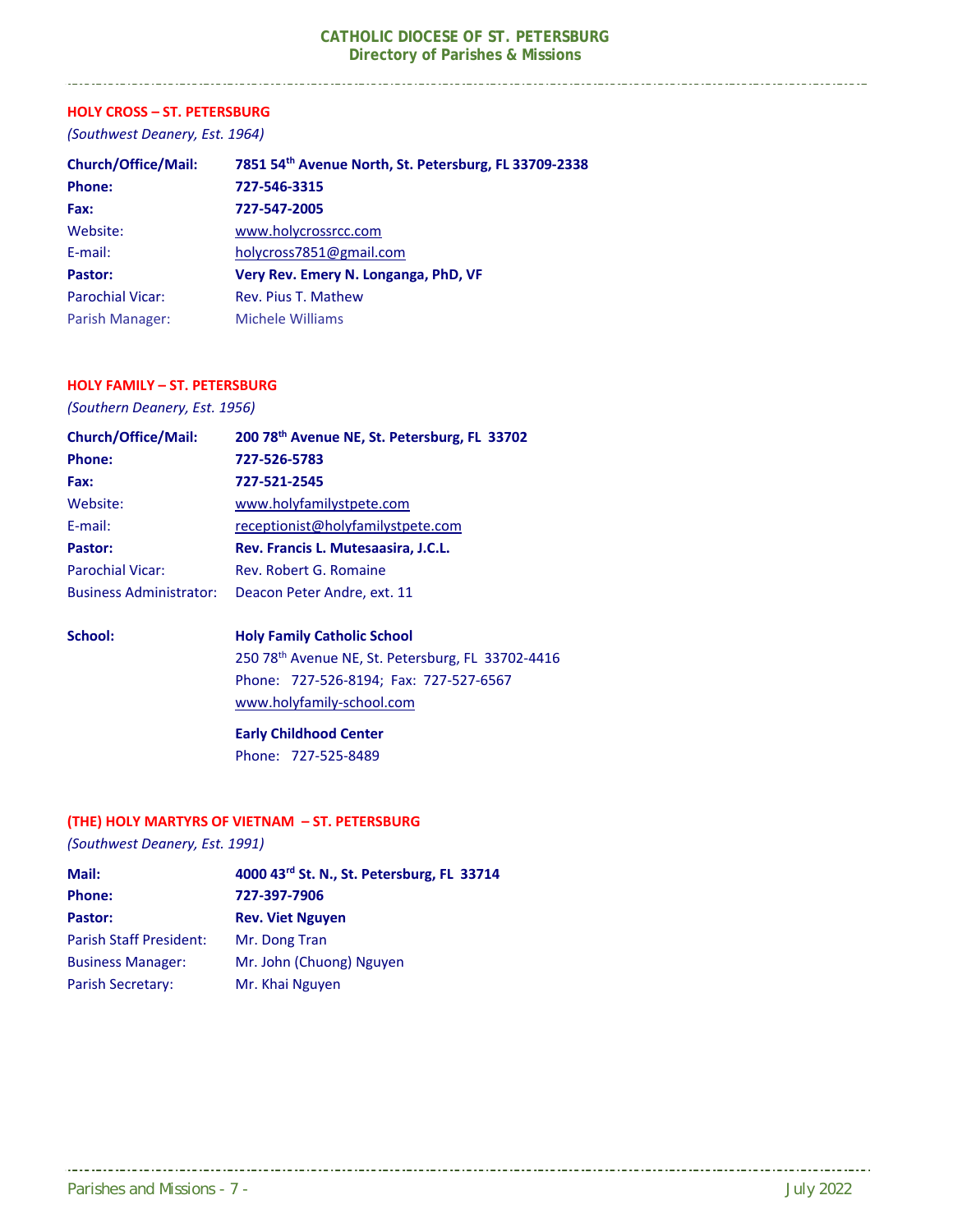#### **HOLY CROSS – ST. PETERSBURG**

-----------------------------

*(Southwest Deanery, Est. 1964)* 

| <b>Church/Office/Mail:</b> | 7851 54th Avenue North, St. Petersburg, FL 33709-2338 |
|----------------------------|-------------------------------------------------------|
| <b>Phone:</b>              | 727-546-3315                                          |
| Fax:                       | 727-547-2005                                          |
| Website:                   | www.holycrossrcc.com                                  |
| E-mail:                    | holycross7851@gmail.com                               |
| Pastor:                    | Very Rev. Emery N. Longanga, PhD, VF                  |
| <b>Parochial Vicar:</b>    | Rev. Pius T. Mathew                                   |
| Parish Manager:            | Michele Williams                                      |

#### **HOLY FAMILY – ST. PETERSBURG**

*(Southern Deanery, Est. 1956)* 

| <b>Church/Office/Mail:</b>     | 200 78th Avenue NE, St. Petersburg, FL 33702 |
|--------------------------------|----------------------------------------------|
| Phone:                         | 727-526-5783                                 |
| Fax:                           | 727-521-2545                                 |
| Website:                       | www.holyfamilystpete.com                     |
| E-mail:                        | receptionist@holyfamilystpete.com            |
| Pastor:                        | Rev. Francis L. Mutesaasira, J.C.L.          |
| <b>Parochial Vicar:</b>        | Rev. Robert G. Romaine                       |
| <b>Business Administrator:</b> | Deacon Peter Andre, ext. 11                  |

#### **School: Holy Family Catholic School**

 250 78th Avenue NE, St. Petersburg, FL 33702‐4416 Phone: 727‐526‐8194; Fax: 727‐527‐6567 www.holyfamily‐school.com

 **Early Childhood Center**  Phone: 727‐525‐8489

#### **(THE) HOLY MARTYRS OF VIETNAM – ST. PETERSBURG**

*(Southwest Deanery, Est. 1991)* 

| Mail:                          | 4000 43rd St. N., St. Petersburg, FL 33714 |
|--------------------------------|--------------------------------------------|
| <b>Phone:</b>                  | 727-397-7906                               |
| Pastor:                        | <b>Rev. Viet Nguyen</b>                    |
| <b>Parish Staff President:</b> | Mr. Dong Tran                              |
| <b>Business Manager:</b>       | Mr. John (Chuong) Nguyen                   |
| Parish Secretary:              | Mr. Khai Nguyen                            |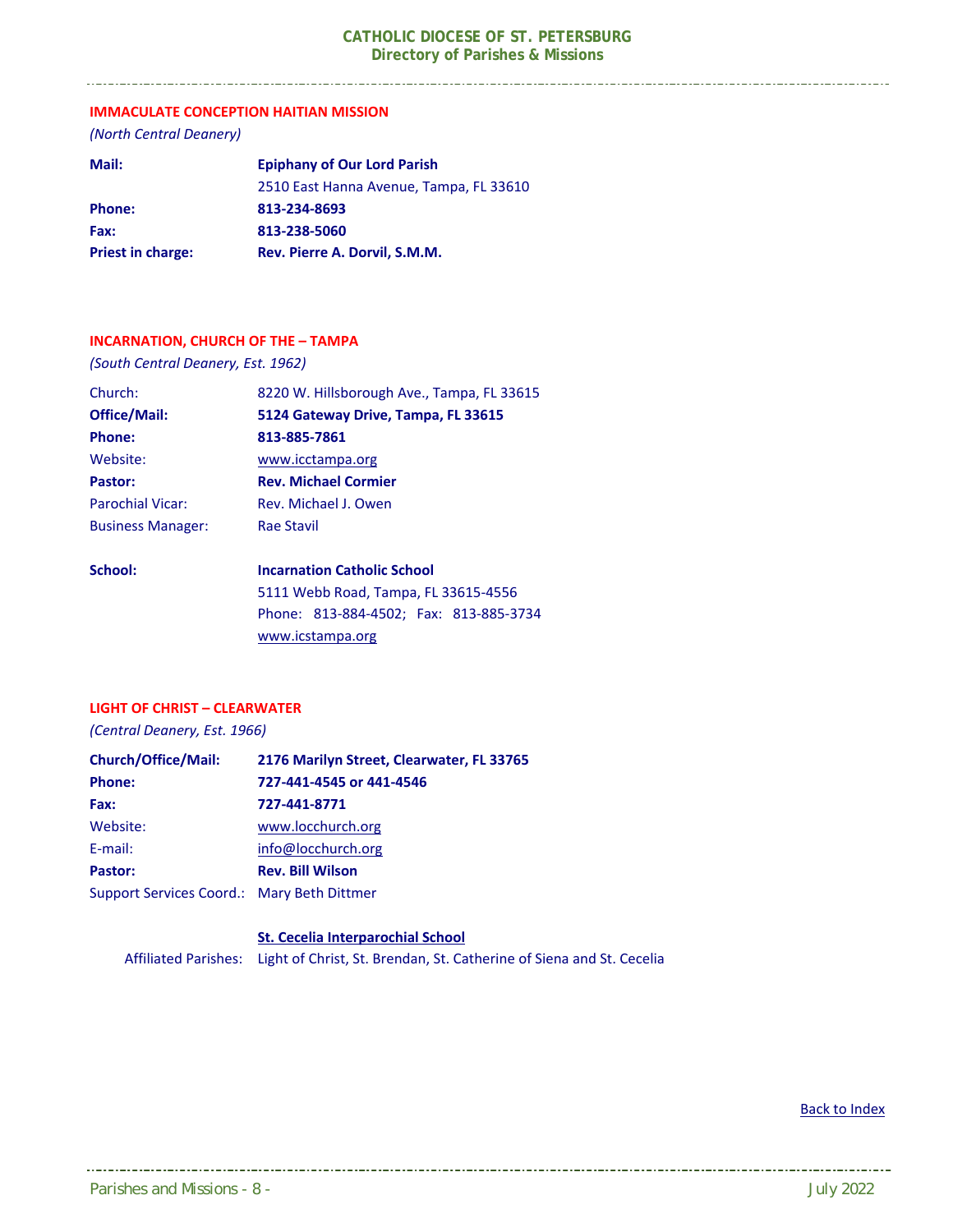#### **IMMACULATE CONCEPTION HAITIAN MISSION**

*(North Central Deanery)* 

| Mail:                    | <b>Epiphany of Our Lord Parish</b>      |
|--------------------------|-----------------------------------------|
|                          | 2510 East Hanna Avenue, Tampa, FL 33610 |
| <b>Phone:</b>            | 813-234-8693                            |
| Fax:                     | 813-238-5060                            |
| <b>Priest in charge:</b> | Rev. Pierre A. Dorvil, S.M.M.           |

#### **INCARNATION, CHURCH OF THE – TAMPA**

*(South Central Deanery, Est. 1962)* 

| Church:                  | 8220 W. Hillsborough Ave., Tampa, FL 33615 |
|--------------------------|--------------------------------------------|
| <b>Office/Mail:</b>      | 5124 Gateway Drive, Tampa, FL 33615        |
| Phone:                   | 813-885-7861                               |
| Website:                 | www.icctampa.org                           |
| Pastor:                  | <b>Rev. Michael Cormier</b>                |
| <b>Parochial Vicar:</b>  | Rev. Michael J. Owen                       |
| <b>Business Manager:</b> | Rae Stavil                                 |
| School:                  | <b>Incarnation Catholic School</b>         |
|                          | 5111 Webb Road Tampa FL 33615-4556         |

 5111 Webb Road, Tampa, FL 33615‐4556 Phone: 813‐884‐4502; Fax: 813‐885‐3734 www.icstampa.org

#### **LIGHT OF CHRIST – CLEARWATER**

*(Central Deanery, Est. 1966)* 

| <b>Church/Office/Mail:</b>                 | 2176 Marilyn Street, Clearwater, FL 33765 |
|--------------------------------------------|-------------------------------------------|
| <b>Phone:</b>                              | 727-441-4545 or 441-4546                  |
| Fax:                                       | 727-441-8771                              |
| Website:                                   | www.locchurch.org                         |
| E-mail:                                    | info@locchurch.org                        |
| Pastor:                                    | <b>Rev. Bill Wilson</b>                   |
| Support Services Coord.: Mary Beth Dittmer |                                           |

 **St. Cecelia Interparochial School** Affiliated Parishes: Light of Christ, St. Brendan, St. Catherine of Siena and St. Cecelia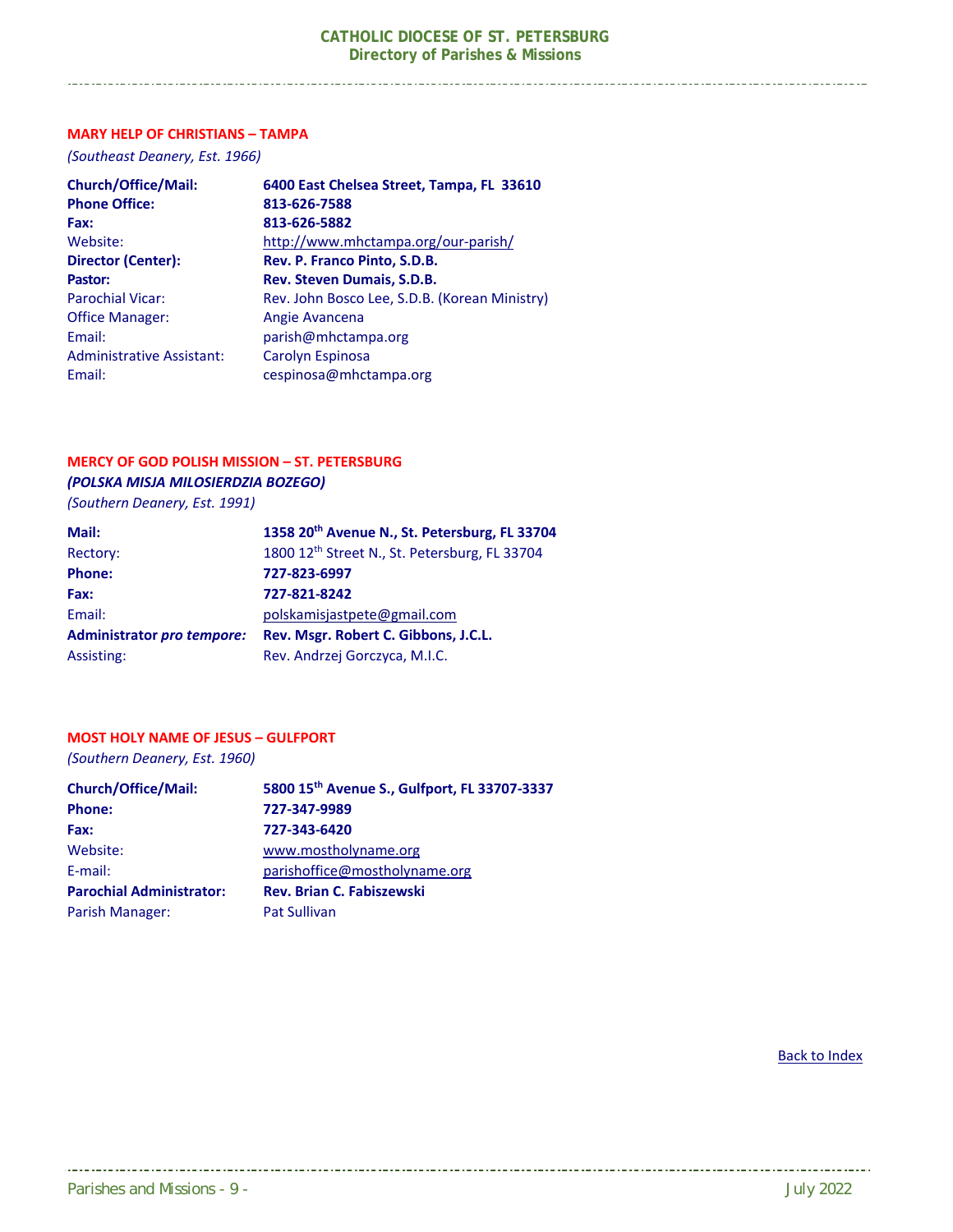#### **MARY HELP OF CHRISTIANS – TAMPA**

*(Southeast Deanery, Est. 1966)* 

| <b>Church/Office/Mail:</b>       | 6400 East Chelsea Street, Tampa, FL 33610     |
|----------------------------------|-----------------------------------------------|
| <b>Phone Office:</b>             | 813-626-7588                                  |
| Fax:                             | 813-626-5882                                  |
| Website:                         | http://www.mhctampa.org/our-parish/           |
| <b>Director (Center):</b>        | Rev. P. Franco Pinto, S.D.B.                  |
| Pastor:                          | <b>Rev. Steven Dumais, S.D.B.</b>             |
| <b>Parochial Vicar:</b>          | Rev. John Bosco Lee, S.D.B. (Korean Ministry) |
| <b>Office Manager:</b>           | Angie Avancena                                |
| Email:                           | parish@mhctampa.org                           |
| <b>Administrative Assistant:</b> | Carolyn Espinosa                              |
| Email:                           | cespinosa@mhctampa.org                        |

#### **MERCY OF GOD POLISH MISSION – ST. PETERSBURG**

*(POLSKA MISJA MILOSIERDZIA BOZEGO) (Southern Deanery, Est. 1991)* 

| Mail·                                     | 1258.20 |
|-------------------------------------------|---------|
| $188$ $188$ $101$ $101$ $101$ $101$ $101$ |         |

| Mail:                      | 1358 20 <sup>th</sup> Avenue N., St. Petersburg, FL 33704 |
|----------------------------|-----------------------------------------------------------|
| Rectory:                   | 1800 12th Street N., St. Petersburg, FL 33704             |
| Phone:                     | 727-823-6997                                              |
| Fax:                       | 727-821-8242                                              |
| Email:                     | polskamisjastpete@gmail.com                               |
| Administrator pro tempore: | Rev. Msgr. Robert C. Gibbons, J.C.L.                      |
| Assisting:                 | Rev. Andrzej Gorczyca, M.I.C.                             |
|                            |                                                           |

#### **MOST HOLY NAME OF JESUS – GULFPORT**

*(Southern Deanery, Est. 1960)* 

| <b>Church/Office/Mail:</b>      | 5800 15th Avenue S., Gulfport, FL 33707-3337 |
|---------------------------------|----------------------------------------------|
| <b>Phone:</b>                   | 727-347-9989                                 |
| Fax:                            | 727-343-6420                                 |
| Website:                        | www.mostholyname.org                         |
| E-mail:                         | parishoffice@mostholyname.org                |
| <b>Parochial Administrator:</b> | <b>Rev. Brian C. Fabiszewski</b>             |
| Parish Manager:                 | <b>Pat Sullivan</b>                          |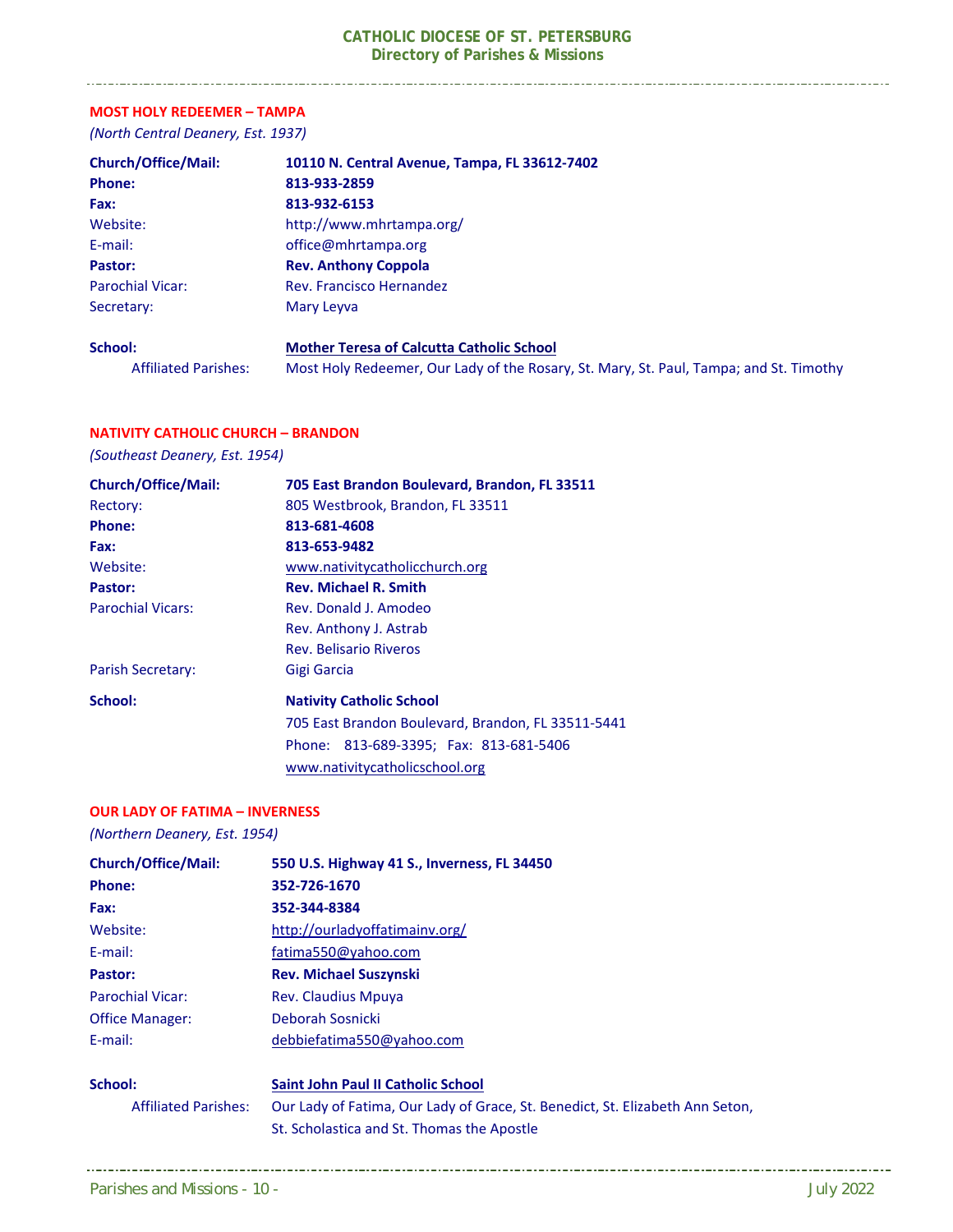### **MOST HOLY REDEEMER – TAMPA**

\_\_\_\_\_\_\_\_\_\_\_\_\_\_\_\_\_\_\_\_\_\_\_\_\_\_\_\_\_\_\_\_\_

*(North Central Deanery, Est. 1937)* 

| <b>Church/Office/Mail:</b>  | 10110 N. Central Avenue, Tampa, FL 33612-7402                                          |
|-----------------------------|----------------------------------------------------------------------------------------|
| <b>Phone:</b>               | 813-933-2859                                                                           |
| Fax:                        | 813-932-6153                                                                           |
| Website:                    | http://www.mhrtampa.org/                                                               |
| E-mail:                     | office@mhrtampa.org                                                                    |
| Pastor:                     | <b>Rev. Anthony Coppola</b>                                                            |
| <b>Parochial Vicar:</b>     | Rev. Francisco Hernandez                                                               |
| Secretary:                  | Mary Leyva                                                                             |
| School:                     | <b>Mother Teresa of Calcutta Catholic School</b>                                       |
| <b>Affiliated Parishes:</b> | Most Holy Redeemer, Our Lady of the Rosary, St. Mary, St. Paul, Tampa; and St. Timothy |

#### **NATIVITY CATHOLIC CHURCH – BRANDON**

*(Southeast Deanery, Est. 1954)* 

| <b>Church/Office/Mail:</b> | 705 East Brandon Boulevard, Brandon, FL 33511      |
|----------------------------|----------------------------------------------------|
| Rectory:                   | 805 Westbrook, Brandon, FL 33511                   |
| <b>Phone:</b>              | 813-681-4608                                       |
| Fax:                       | 813-653-9482                                       |
| Website:                   | www.nativitycatholicchurch.org                     |
| Pastor:                    | <b>Rev. Michael R. Smith</b>                       |
| <b>Parochial Vicars:</b>   | Rev. Donald J. Amodeo                              |
|                            | Rev. Anthony J. Astrab                             |
|                            | Rev. Belisario Riveros                             |
| Parish Secretary:          | Gigi Garcia                                        |
| School:                    | <b>Nativity Catholic School</b>                    |
|                            | 705 East Brandon Boulevard, Brandon, FL 33511-5441 |
|                            | Phone: 813-689-3395; Fax: 813-681-5406             |
|                            | www.nativitycatholicschool.org                     |

#### **OUR LADY OF FATIMA – INVERNESS**

*(Northern Deanery, Est. 1954)* 

| <b>Church/Office/Mail:</b>  | 550 U.S. Highway 41 S., Inverness, FL 34450                                   |
|-----------------------------|-------------------------------------------------------------------------------|
| <b>Phone:</b>               | 352-726-1670                                                                  |
| Fax:                        | 352-344-8384                                                                  |
| Website:                    | http://ourladyoffatimainv.org/                                                |
| E-mail:                     | fatima550@yahoo.com                                                           |
| Pastor:                     | <b>Rev. Michael Suszynski</b>                                                 |
| <b>Parochial Vicar:</b>     | <b>Rev. Claudius Mpuya</b>                                                    |
| <b>Office Manager:</b>      | Deborah Sosnicki                                                              |
| E-mail:                     | debbiefatima550@yahoo.com                                                     |
| School:                     | <b>Saint John Paul II Catholic School</b>                                     |
| <b>Affiliated Parishes:</b> | Our Lady of Fatima, Our Lady of Grace, St. Benedict, St. Elizabeth Ann Seton, |
|                             | St. Scholastica and St. Thomas the Apostle                                    |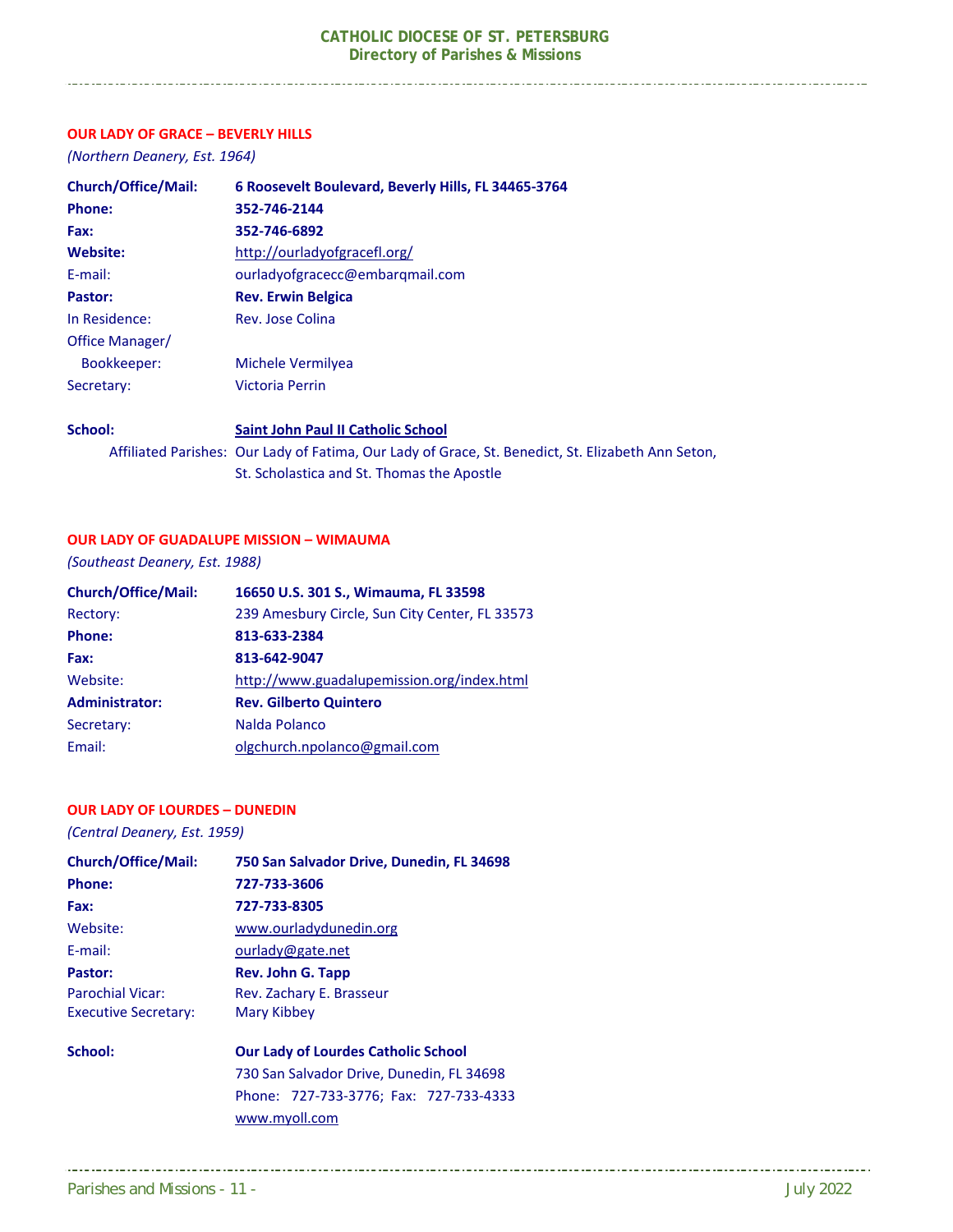#### **OUR LADY OF GRACE – BEVERLY HILLS**

*(Northern Deanery, Est. 1964)* 

| <b>Church/Office/Mail:</b> | 6 Roosevelt Boulevard, Beverly Hills, FL 34465-3764 |
|----------------------------|-----------------------------------------------------|
| <b>Phone:</b>              | 352-746-2144                                        |
| Fax:                       | 352-746-6892                                        |
| Website:                   | http://ourladyofgracefl.org/                        |
| E-mail:                    | ourladyofgracecc@embargmail.com                     |
| Pastor:                    | <b>Rev. Erwin Belgica</b>                           |
| In Residence:              | Rev. Jose Colina                                    |
| Office Manager/            |                                                     |
| Bookkeeper:                | Michele Vermilyea                                   |
| Secretary:                 | Victoria Perrin                                     |
| <b>School:</b>             | Saint John Daul II Catholic School                  |

#### **School: Saint John Paul II Catholic School**  Affiliated Parishes: Our Lady of Fatima, Our Lady of Grace, St. Benedict, St. Elizabeth Ann Seton, St. Scholastica and St. Thomas the Apostle

#### **OUR LADY OF GUADALUPE MISSION – WIMAUMA**

*(Southeast Deanery, Est. 1988)* 

| <b>Church/Office/Mail:</b> | 16650 U.S. 301 S., Wimauma, FL 33598           |
|----------------------------|------------------------------------------------|
| Rectory:                   | 239 Amesbury Circle, Sun City Center, FL 33573 |
| Phone:                     | 813-633-2384                                   |
| Fax:                       | 813-642-9047                                   |
| Website:                   | http://www.guadalupemission.org/index.html     |
| <b>Administrator:</b>      | <b>Rev. Gilberto Quintero</b>                  |
| Secretary:                 | Nalda Polanco                                  |
| Email:                     | olgchurch.npolanco@gmail.com                   |

#### **OUR LADY OF LOURDES – DUNEDIN**

*(Central Deanery, Est. 1959)*

| <b>Church/Office/Mail:</b>  | 750 San Salvador Drive, Dunedin, FL 34698  |
|-----------------------------|--------------------------------------------|
| Phone:                      | 727-733-3606                               |
| Fax:                        | 727-733-8305                               |
| Website:                    | www.ourladydunedin.org                     |
| F-mail:                     | ourlady@gate.net                           |
| Pastor:                     | Rev. John G. Tapp                          |
| <b>Parochial Vicar:</b>     | Rev. Zachary E. Brasseur                   |
| <b>Executive Secretary:</b> | Mary Kibbey                                |
| School:                     | <b>Our Lady of Lourdes Catholic School</b> |

#### 730 San Salvador Drive, Dunedin, FL 34698 Phone: 727‐733‐3776; Fax: 727‐733‐4333 www.myoll.com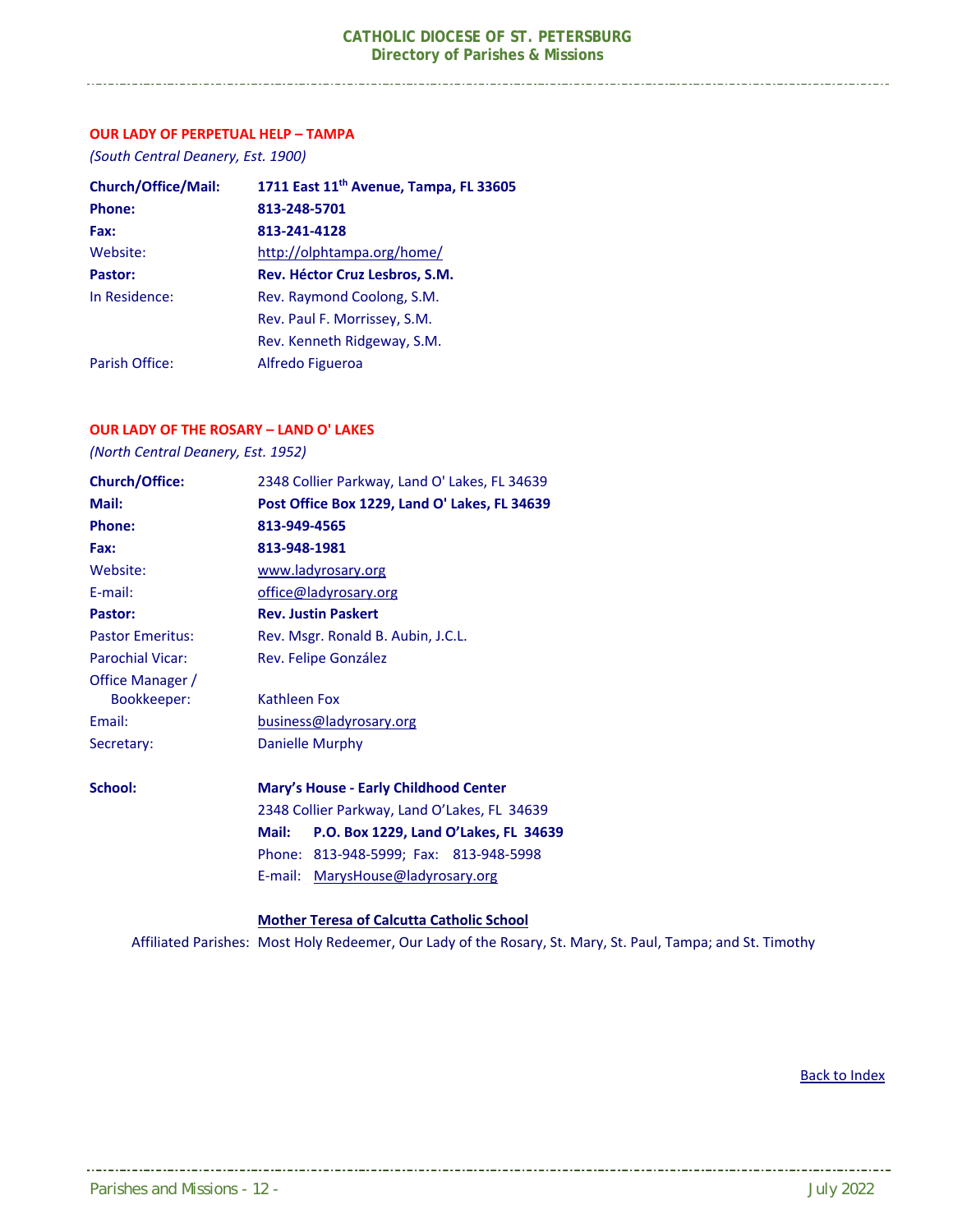#### **OUR LADY OF PERPETUAL HELP – TAMPA**

*(South Central Deanery, Est. 1900)* 

\_\_\_\_\_\_\_\_\_\_\_\_\_\_\_\_\_\_\_\_\_\_\_\_\_\_\_\_\_\_\_\_\_\_\_\_\_

| <b>Church/Office/Mail:</b> | 1711 East 11 <sup>th</sup> Avenue, Tampa, FL 33605 |
|----------------------------|----------------------------------------------------|
| <b>Phone:</b>              | 813-248-5701                                       |
| Fax:                       | 813-241-4128                                       |
| Website:                   | http://olphtampa.org/home/                         |
| Pastor:                    | Rev. Héctor Cruz Lesbros, S.M.                     |
| In Residence:              | Rev. Raymond Coolong, S.M.                         |
|                            | Rev. Paul F. Morrissey, S.M.                       |
|                            | Rev. Kenneth Ridgeway, S.M.                        |
| Parish Office:             | Alfredo Figueroa                                   |

#### **OUR LADY OF THE ROSARY – LAND O' LAKES**

*(North Central Deanery, Est. 1952)* 

| 2348 Collier Parkway, Land O' Lakes, FL 34639  |
|------------------------------------------------|
| Post Office Box 1229, Land O' Lakes, FL 34639  |
| 813-949-4565                                   |
| 813-948-1981                                   |
| www.ladyrosary.org                             |
| office@ladyrosary.org                          |
| <b>Rev. Justin Paskert</b>                     |
| Rev. Msgr. Ronald B. Aubin, J.C.L.             |
| Rev. Felipe González                           |
| <b>Kathleen Fox</b>                            |
|                                                |
| business@ladyrosary.org                        |
| Danielle Murphy                                |
| Mary's House - Early Childhood Center          |
| 2348 Collier Parkway, Land O'Lakes, FL 34639   |
| P.O. Box 1229, Land O'Lakes, FL 34639<br>Mail: |
| Phone: 813-948-5999; Fax: 813-948-5998         |
| E-mail: MarysHouse@ladyrosary.org              |
|                                                |

#### **Mother Teresa of Calcutta Catholic School**

Affiliated Parishes: Most Holy Redeemer, Our Lady of the Rosary, St. Mary, St. Paul, Tampa; and St. Timothy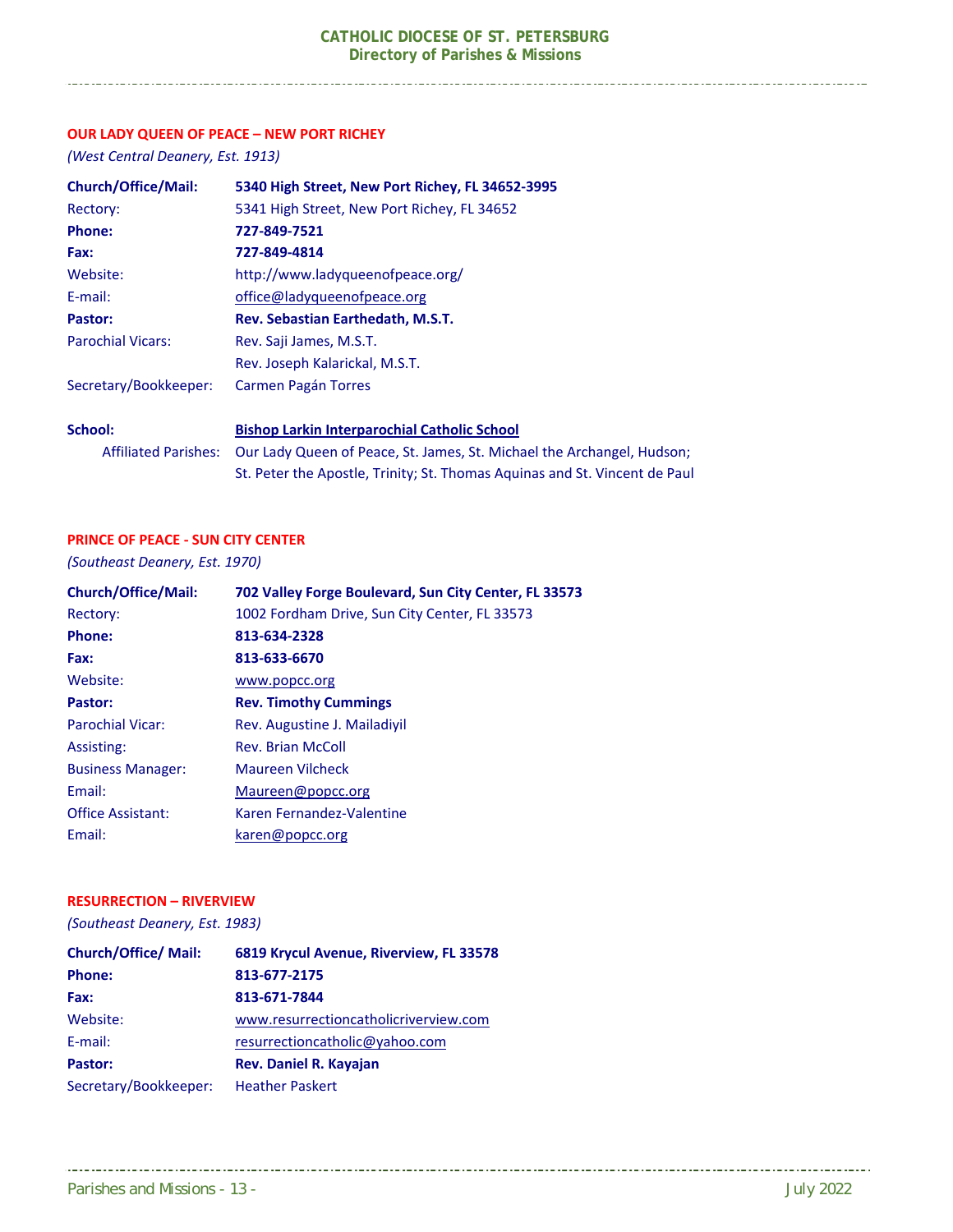#### **OUR LADY QUEEN OF PEACE – NEW PORT RICHEY**

*(West Central Deanery, Est. 1913)* 

| <b>Church/Office/Mail:</b>  | 5340 High Street, New Port Richey, FL 34652-3995                           |
|-----------------------------|----------------------------------------------------------------------------|
| Rectory:                    | 5341 High Street, New Port Richey, FL 34652                                |
| <b>Phone:</b>               | 727-849-7521                                                               |
| Fax:                        | 727-849-4814                                                               |
| Website:                    | http://www.ladyqueenofpeace.org/                                           |
| $E$ -mail:                  | office@ladyqueenofpeace.org                                                |
| Pastor:                     | Rev. Sebastian Earthedath, M.S.T.                                          |
| <b>Parochial Vicars:</b>    | Rev. Saji James, M.S.T.                                                    |
|                             | Rev. Joseph Kalarickal, M.S.T.                                             |
| Secretary/Bookkeeper:       | Carmen Pagán Torres                                                        |
| School:                     | <b>Bishop Larkin Interparochial Catholic School</b>                        |
| <b>Affiliated Parishes:</b> | Our Lady Queen of Peace, St. James, St. Michael the Archangel, Hudson;     |
|                             | St. Peter the Apostle, Trinity; St. Thomas Aquinas and St. Vincent de Paul |

#### **PRINCE OF PEACE ‐ SUN CITY CENTER**

*(Southeast Deanery, Est. 1970)*

| 702 Valley Forge Boulevard, Sun City Center, FL 33573 |
|-------------------------------------------------------|
| 1002 Fordham Drive, Sun City Center, FL 33573         |
| 813-634-2328                                          |
| 813-633-6670                                          |
| www.popcc.org                                         |
| <b>Rev. Timothy Cummings</b>                          |
| Rev. Augustine J. Mailadivil                          |
| <b>Rev. Brian McColl</b>                              |
| <b>Maureen Vilcheck</b>                               |
| Maureen@popcc.org                                     |
| Karen Fernandez-Valentine                             |
| karen@popcc.org                                       |
|                                                       |

#### **RESURRECTION – RIVERVIEW**

*(Southeast Deanery, Est. 1983)* 

| <b>Church/Office/ Mail:</b> | 6819 Krycul Avenue, Riverview, FL 33578 |
|-----------------------------|-----------------------------------------|
| <b>Phone:</b>               | 813-677-2175                            |
| Fax:                        | 813-671-7844                            |
| Website:                    | www.resurrectioncatholicriverview.com   |
| E-mail:                     | resurrectioncatholic@yahoo.com          |
| Pastor:                     | <b>Rev. Daniel R. Kayajan</b>           |
| Secretary/Bookkeeper:       | <b>Heather Paskert</b>                  |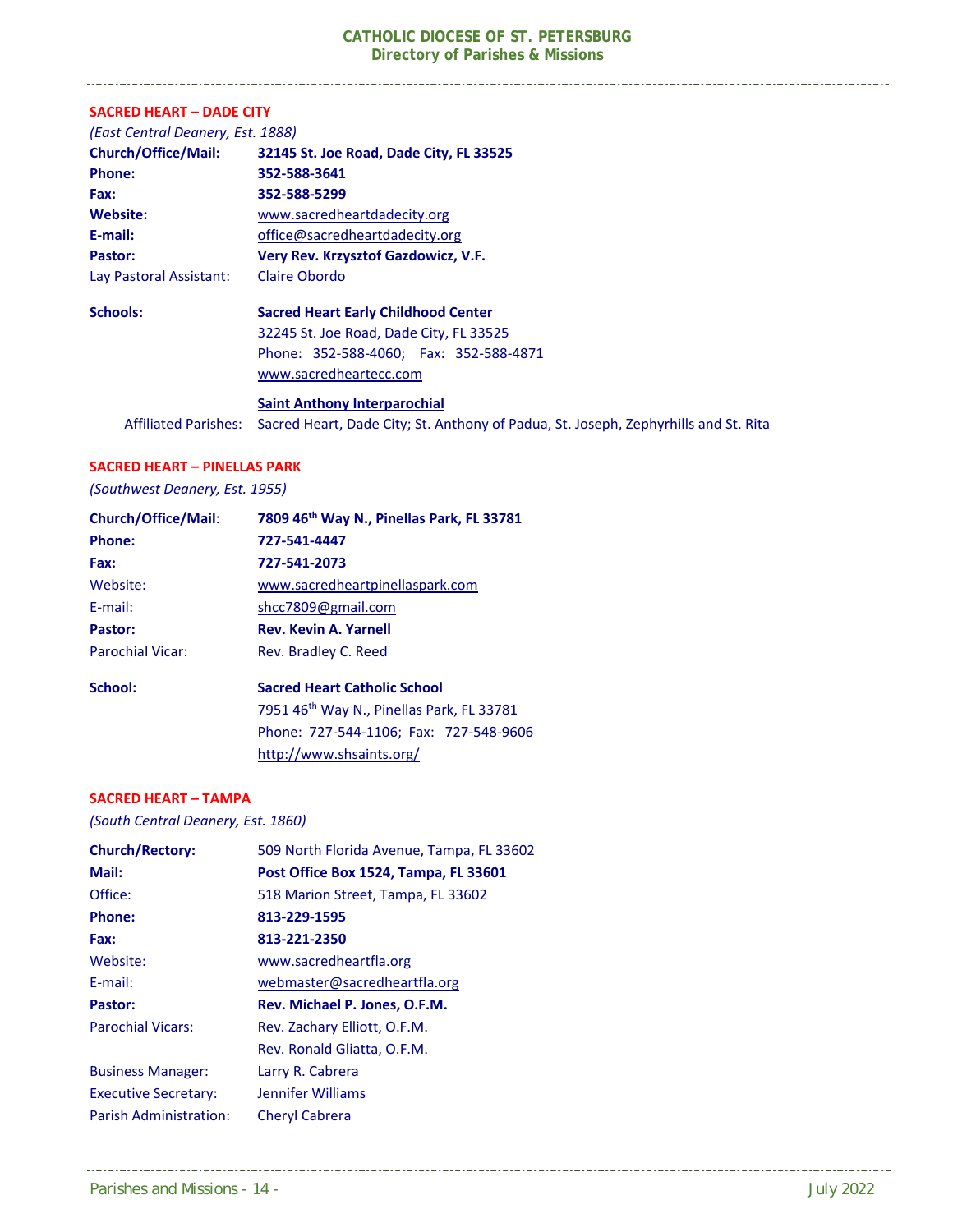| <b>SACRED HEART - DADE CITY</b>                                                                             |  |
|-------------------------------------------------------------------------------------------------------------|--|
| (East Central Deanery, Est. 1888)                                                                           |  |
| 32145 St. Joe Road, Dade City, FL 33525                                                                     |  |
| 352-588-3641                                                                                                |  |
| 352-588-5299                                                                                                |  |
| www.sacredheartdadecity.org                                                                                 |  |
| office@sacredheartdadecity.org                                                                              |  |
| Very Rev. Krzysztof Gazdowicz, V.F.                                                                         |  |
| Claire Obordo                                                                                               |  |
| <b>Sacred Heart Early Childhood Center</b>                                                                  |  |
| 32245 St. Joe Road, Dade City, FL 33525                                                                     |  |
| Phone: 352-588-4060; Fax: 352-588-4871                                                                      |  |
| www.sacredheartecc.com                                                                                      |  |
| <b>Saint Anthony Interparochial</b>                                                                         |  |
| Affiliated Parishes:<br>Sacred Heart, Dade City; St. Anthony of Padua, St. Joseph, Zephyrhills and St. Rita |  |
|                                                                                                             |  |

#### **SACRED HEART – PINELLAS PARK**

*(Southwest Deanery, Est. 1955)* 

| <b>Church/Office/Mail:</b> | 7809 46th Way N., Pinellas Park, FL 33781             |
|----------------------------|-------------------------------------------------------|
| <b>Phone:</b>              | 727-541-4447                                          |
| Fax:                       | 727-541-2073                                          |
| Website:                   | www.sacredheartpinellaspark.com                       |
| E-mail:                    | shcc7809@gmail.com                                    |
| Pastor:                    | <b>Rev. Kevin A. Yarnell</b>                          |
| Parochial Vicar:           | Rev. Bradley C. Reed                                  |
| School:                    | <b>Sacred Heart Catholic School</b>                   |
|                            | 7951 46 <sup>th</sup> Way N., Pinellas Park, FL 33781 |
|                            | Phone: 727-544-1106; Fax: 727-548-9606                |
|                            | http://www.shsaints.org/                              |

#### **SACRED HEART – TAMPA**

*(South Central Deanery, Est. 1860)* 

| <b>Church/Rectory:</b>      | 509 North Florida Avenue, Tampa, FL 33602 |
|-----------------------------|-------------------------------------------|
| Mail:                       | Post Office Box 1524, Tampa, FL 33601     |
| Office:                     | 518 Marion Street, Tampa, FL 33602        |
| <b>Phone:</b>               | 813-229-1595                              |
| Fax:                        | 813-221-2350                              |
| Website:                    | www.sacredheartfla.org                    |
| E-mail:                     | webmaster@sacredheartfla.org              |
| Pastor:                     | Rev. Michael P. Jones, O.F.M.             |
| <b>Parochial Vicars:</b>    | Rev. Zachary Elliott, O.F.M.              |
|                             | Rev. Ronald Gliatta, O.F.M.               |
| <b>Business Manager:</b>    | Larry R. Cabrera                          |
| <b>Executive Secretary:</b> | Jennifer Williams                         |
| Parish Administration:      | <b>Cheryl Cabrera</b>                     |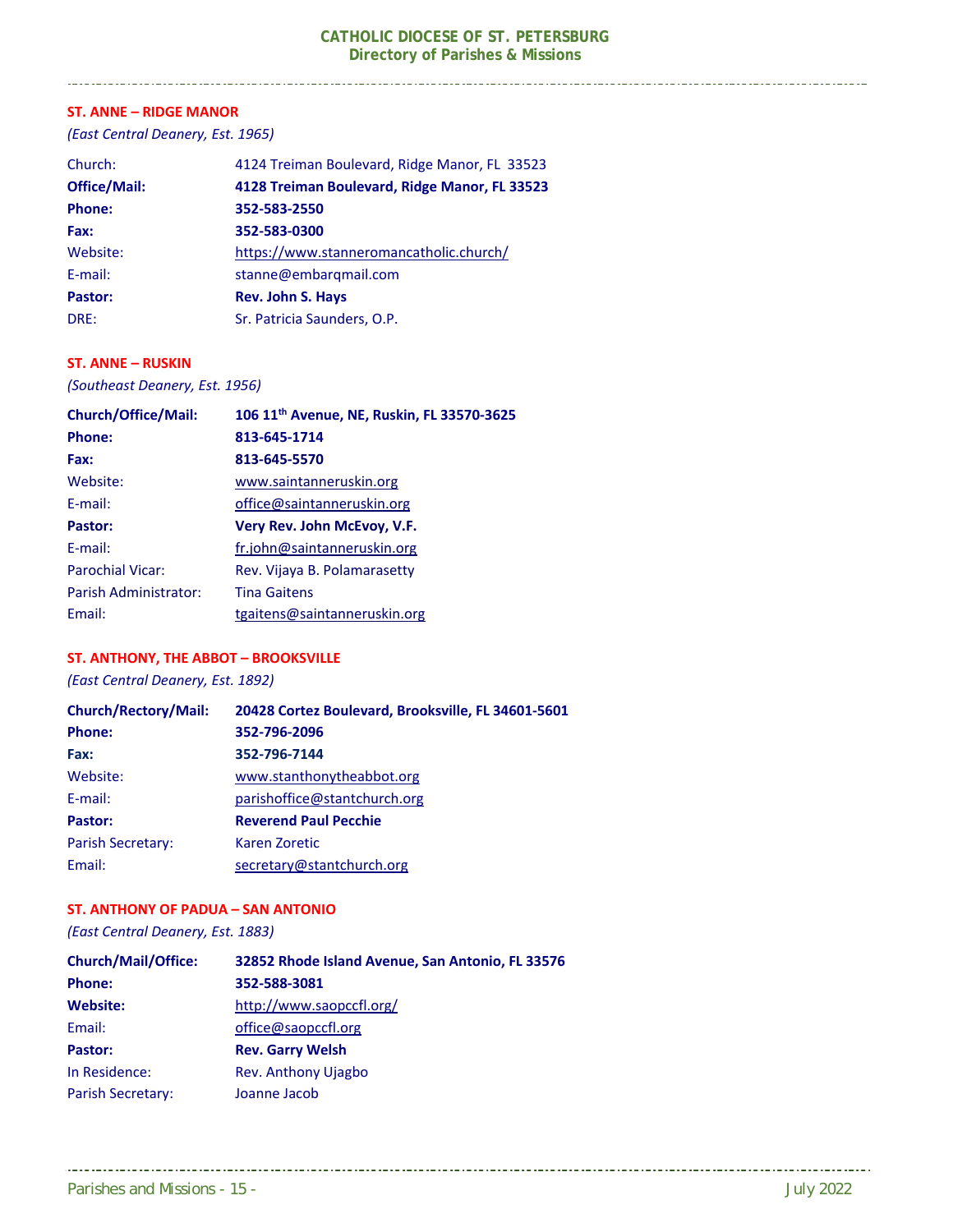#### **ST. ANNE – RIDGE MANOR**

*(East Central Deanery, Est. 1965)* 

| Church:             | 4124 Treiman Boulevard, Ridge Manor, FL 33523 |
|---------------------|-----------------------------------------------|
| <b>Office/Mail:</b> | 4128 Treiman Boulevard, Ridge Manor, FL 33523 |
| <b>Phone:</b>       | 352-583-2550                                  |
| Fax:                | 352-583-0300                                  |
| Website:            | https://www.stanneromancatholic.church/       |
| E-mail:             | stanne@embargmail.com                         |
| Pastor:             | <b>Rev. John S. Hays</b>                      |
| DRE:                | Sr. Patricia Saunders, O.P.                   |

#### **ST. ANNE – RUSKIN**

*(Southeast Deanery, Est. 1956)* 

| <b>Church/Office/Mail:</b> | 106 11 <sup>th</sup> Avenue, NE, Ruskin, FL 33570-3625 |
|----------------------------|--------------------------------------------------------|
| Phone:                     | 813-645-1714                                           |
| Fax:                       | 813-645-5570                                           |
| Website:                   | www.saintanneruskin.org                                |
| F-mail:                    | office@saintanneruskin.org                             |
| Pastor:                    | Very Rev. John McEvoy, V.F.                            |
| F-mail:                    | fr.john@saintanneruskin.org                            |
| <b>Parochial Vicar:</b>    | Rev. Vijaya B. Polamarasetty                           |
| Parish Administrator:      | <b>Tina Gaitens</b>                                    |
| Fmail:                     | tgaitens@saintanneruskin.org                           |

#### **ST. ANTHONY, THE ABBOT – BROOKSVILLE**

*(East Central Deanery, Est. 1892)* 

| <b>Church/Rectory/Mail:</b> | 20428 Cortez Boulevard, Brooksville, FL 34601-5601 |
|-----------------------------|----------------------------------------------------|
| <b>Phone:</b>               | 352-796-2096                                       |
| Fax:                        | 352-796-7144                                       |
| Website:                    | www.stanthonytheabbot.org                          |
| E-mail:                     | parishoffice@stantchurch.org                       |
| Pastor:                     | <b>Reverend Paul Pecchie</b>                       |
| <b>Parish Secretary:</b>    | Karen Zoretic                                      |
| Email:                      | secretary@stantchurch.org                          |

#### **ST. ANTHONY OF PADUA – SAN ANTONIO**

*(East Central Deanery, Est. 1883)*

| <b>Church/Mail/Office:</b> | 32852 Rhode Island Avenue, San Antonio, FL 33576 |
|----------------------------|--------------------------------------------------|
| Phone:                     | 352-588-3081                                     |
| <b>Website:</b>            | http://www.saopccfl.org/                         |
| Email:                     | office@saopccfl.org                              |
| Pastor:                    | <b>Rev. Garry Welsh</b>                          |
| In Residence:              | <b>Rev. Anthony Ujagbo</b>                       |
| Parish Secretary:          | Joanne Jacob                                     |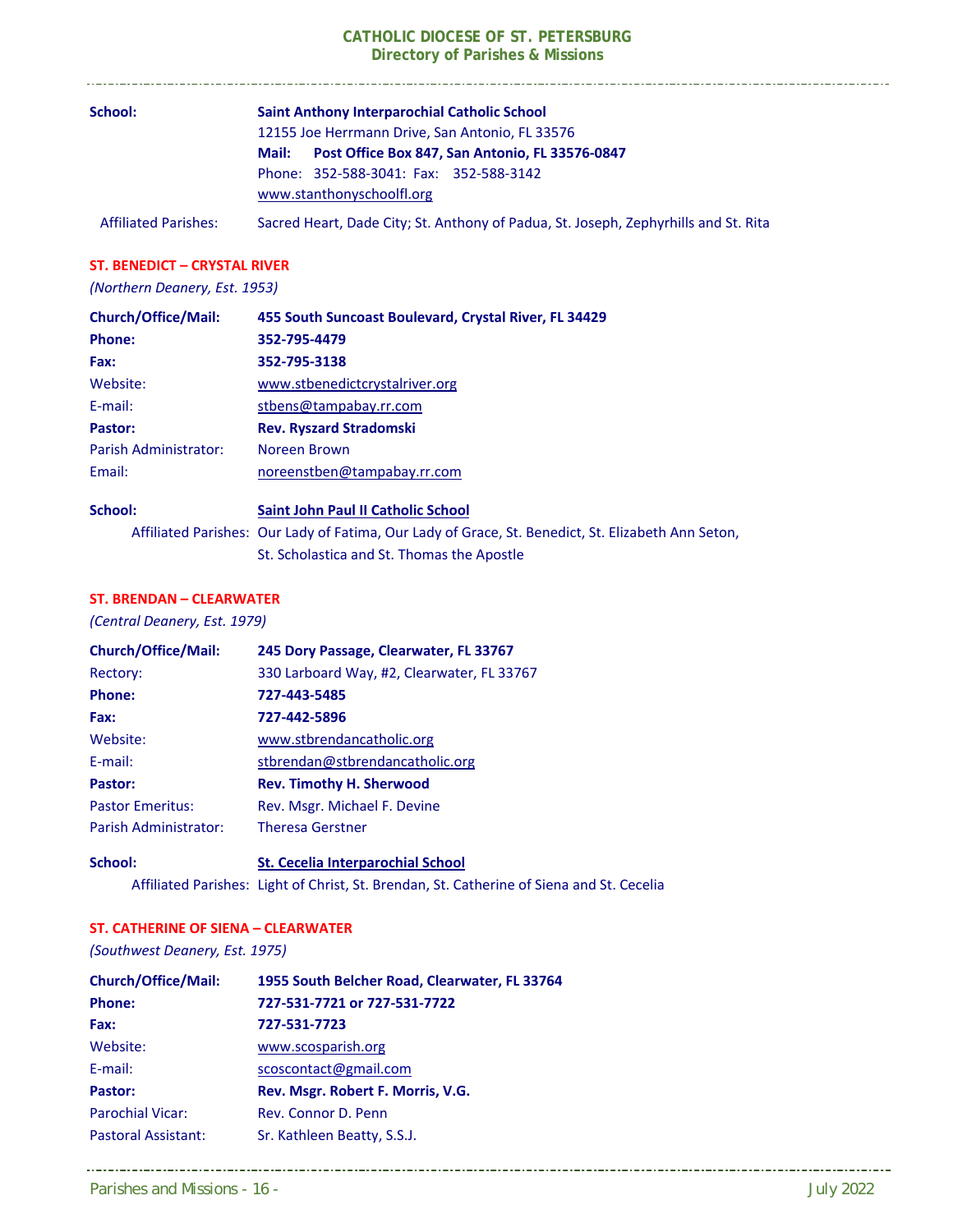| School:                     | <b>Saint Anthony Interparochial Catholic School</b>                                 |
|-----------------------------|-------------------------------------------------------------------------------------|
|                             | 12155 Joe Herrmann Drive, San Antonio, FL 33576                                     |
|                             | Post Office Box 847, San Antonio, FL 33576-0847<br>Mail:                            |
|                             | Phone: 352-588-3041: Fax: 352-588-3142<br>www.stanthonyschoolfl.org                 |
| <b>Affiliated Parishes:</b> | Sacred Heart, Dade City; St. Anthony of Padua, St. Joseph, Zephyrhills and St. Rita |

. . . . . . . . . . . . .

#### **ST. BENEDICT – CRYSTAL RIVER**

#### *(Northern Deanery, Est. 1953)*

| <b>Church/Office/Mail:</b> | 455 South Suncoast Boulevard, Crystal River, FL 34429                                              |
|----------------------------|----------------------------------------------------------------------------------------------------|
| <b>Phone:</b>              | 352-795-4479                                                                                       |
| Fax:                       | 352-795-3138                                                                                       |
| Website:                   | www.stbenedictcrystalriver.org                                                                     |
| E-mail:                    | stbens@tampabay.rr.com                                                                             |
| Pastor:                    | <b>Rev. Ryszard Stradomski</b>                                                                     |
| Parish Administrator:      | Noreen Brown                                                                                       |
| Email:                     | noreenstben@tampabay.rr.com                                                                        |
| School:                    | <b>Saint John Paul II Catholic School</b>                                                          |
|                            | Affiliated Parishes: Our Lady of Fatima, Our Lady of Grace, St. Benedict, St. Elizabeth Ann Seton, |

### St. Scholastica and St. Thomas the Apostle

#### **ST. BRENDAN – CLEARWATER**

#### *(Central Deanery, Est. 1979)*

| <b>Church/Office/Mail:</b> | 245 Dory Passage, Clearwater, FL 33767     |
|----------------------------|--------------------------------------------|
| Rectory:                   | 330 Larboard Way, #2, Clearwater, FL 33767 |
| Phone:                     | 727-443-5485                               |
| Fax:                       | 727-442-5896                               |
| Website:                   | www.stbrendancatholic.org                  |
| E-mail:                    | stbrendan@stbrendancatholic.org            |
| Pastor:                    | <b>Rev. Timothy H. Sherwood</b>            |
| <b>Pastor Emeritus:</b>    | Rev. Msgr. Michael F. Devine               |
| Parish Administrator:      | <b>Theresa Gerstner</b>                    |

**School: St. Cecelia Interparochial School** Affiliated Parishes: Light of Christ, St. Brendan, St. Catherine of Siena and St. Cecelia

#### **ST. CATHERINE OF SIENA – CLEARWATER**

*(Southwest Deanery, Est. 1975)* 

| <b>Church/Office/Mail:</b> | 1955 South Belcher Road, Clearwater, FL 33764 |
|----------------------------|-----------------------------------------------|
| <b>Phone:</b>              | 727-531-7721 or 727-531-7722                  |
| Fax:                       | 727-531-7723                                  |
| Website:                   | www.scosparish.org                            |
| E-mail:                    | scoscontact@gmail.com                         |
| Pastor:                    | Rev. Msgr. Robert F. Morris, V.G.             |
| <b>Parochial Vicar:</b>    | Rev. Connor D. Penn                           |
| <b>Pastoral Assistant:</b> | Sr. Kathleen Beatty, S.S.J.                   |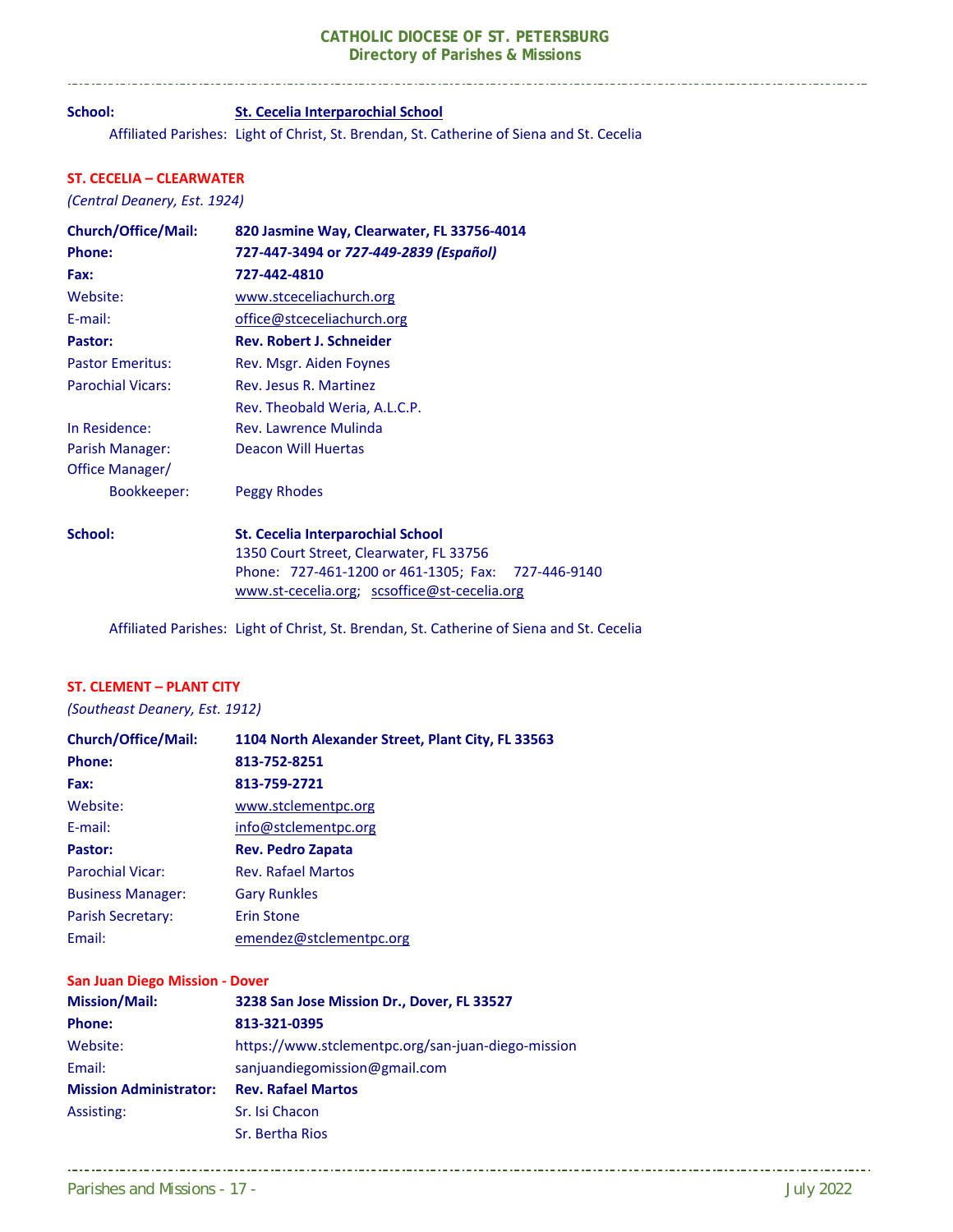### **School: St. Cecelia Interparochial School**

Affiliated Parishes: Light of Christ, St. Brendan, St. Catherine of Siena and St. Cecelia

#### **ST. CECELIA – CLEARWATER**

\_\_\_\_\_\_\_\_\_\_\_\_\_\_\_\_\_\_\_\_\_\_\_\_\_\_\_\_\_\_\_\_

*(Central Deanery, Est. 1924)* 

| <b>Church/Office/Mail:</b> | 820 Jasmine Way, Clearwater, FL 33756-4014            |
|----------------------------|-------------------------------------------------------|
| Phone:                     | 727-447-3494 or 727-449-2839 (Español)                |
| Fax:                       | 727-442-4810                                          |
| Website:                   | www.stceceliachurch.org                               |
| E-mail:                    | office@stceceliachurch.org                            |
| Pastor:                    | <b>Rev. Robert J. Schneider</b>                       |
| <b>Pastor Emeritus:</b>    | Rev. Msgr. Aiden Foynes                               |
| <b>Parochial Vicars:</b>   | Rev. Jesus R. Martinez                                |
|                            | Rev. Theobald Weria, A.L.C.P.                         |
| In Residence:              | Rev. Lawrence Mulinda                                 |
| Parish Manager:            | <b>Deacon Will Huertas</b>                            |
| Office Manager/            |                                                       |
| Bookkeeper:                | Peggy Rhodes                                          |
| School:                    | <b>St. Cecelia Interparochial School</b>              |
|                            | 1350 Court Street, Clearwater, FL 33756               |
|                            | Phone: 727-461-1200 or 461-1305; Fax:<br>727-446-9140 |
|                            | www.st-cecelia.org; scsoffice@st-cecelia.org          |

Affiliated Parishes: Light of Christ, St. Brendan, St. Catherine of Siena and St. Cecelia

#### **ST. CLEMENT – PLANT CITY**

*(Southeast Deanery, Est. 1912)* 

| <b>Church/Office/Mail:</b> | 1104 North Alexander Street, Plant City, FL 33563 |
|----------------------------|---------------------------------------------------|
| <b>Phone:</b>              | 813-752-8251                                      |
| Fax:                       | 813-759-2721                                      |
| Website:                   | www.stclementpc.org                               |
| F-mail:                    | info@stclementpc.org                              |
| Pastor:                    | <b>Rev. Pedro Zapata</b>                          |
| <b>Parochial Vicar:</b>    | <b>Rev. Rafael Martos</b>                         |
| <b>Business Manager:</b>   | <b>Gary Runkles</b>                               |
| Parish Secretary:          | <b>Erin Stone</b>                                 |
| Email:                     | emendez@stclementpc.org                           |

#### **San Juan Diego Mission ‐ Dover**

| <b>Mission/Mail:</b>          | 3238 San Jose Mission Dr., Dover, FL 33527         |
|-------------------------------|----------------------------------------------------|
| <b>Phone:</b>                 | 813-321-0395                                       |
| Website:                      | https://www.stclementpc.org/san-juan-diego-mission |
| Email:                        | sanjuandiegomission@gmail.com                      |
| <b>Mission Administrator:</b> | <b>Rev. Rafael Martos</b>                          |
| Assisting:                    | Sr. Isi Chacon                                     |
|                               | Sr. Bertha Rios                                    |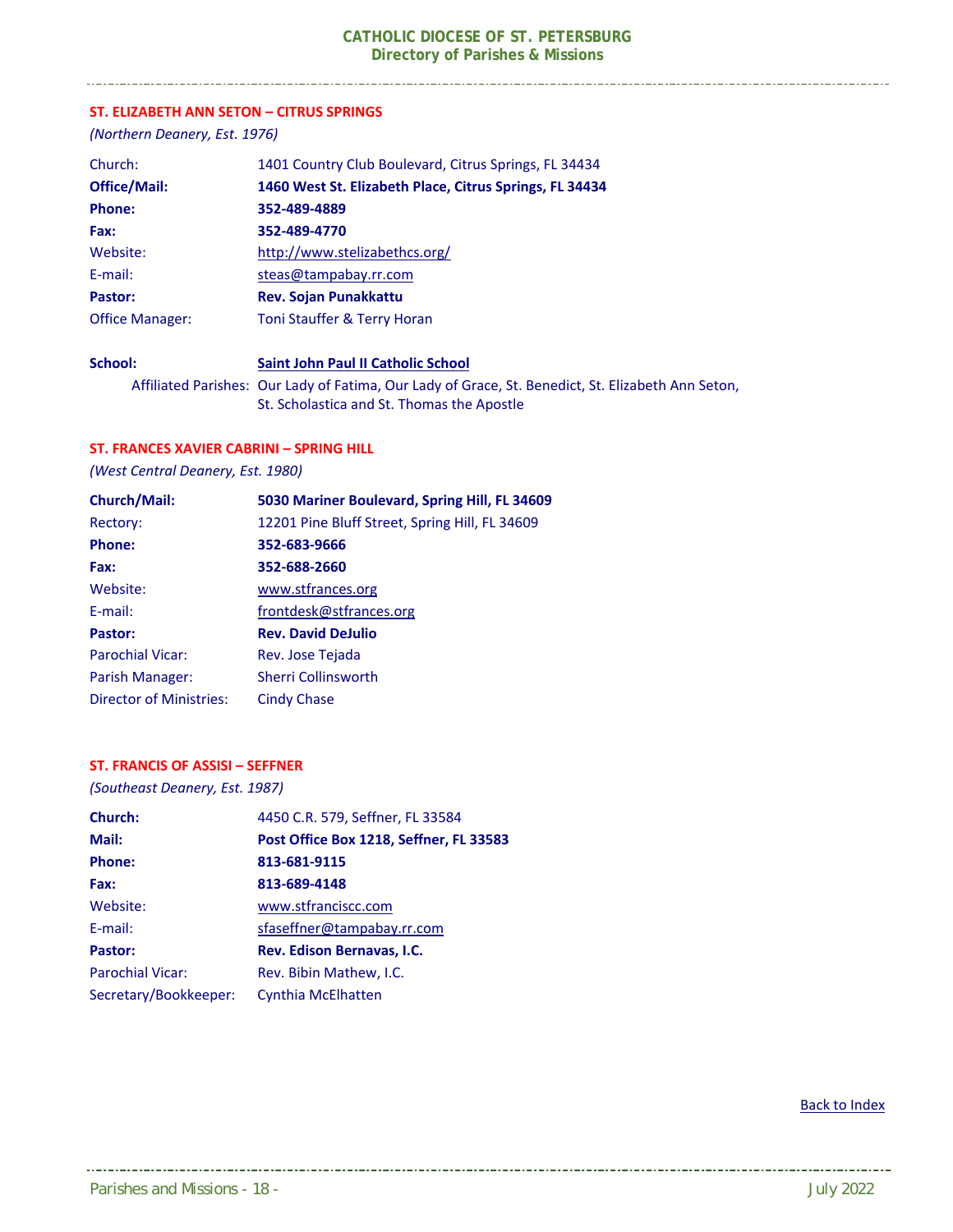#### **ST. ELIZABETH ANN SETON – CITRUS SPRINGS**

*(Northern Deanery, Est. 1976)* 

-------------------------------

| Church:                | 1401 Country Club Boulevard, Citrus Springs, FL 34434   |
|------------------------|---------------------------------------------------------|
| <b>Office/Mail:</b>    | 1460 West St. Elizabeth Place, Citrus Springs, FL 34434 |
| <b>Phone:</b>          | 352-489-4889                                            |
| Fax:                   | 352-489-4770                                            |
| Website:               | http://www.stelizabethcs.org/                           |
| E-mail:                | steas@tampabay.rr.com                                   |
| Pastor:                | <b>Rev. Sojan Punakkattu</b>                            |
| <b>Office Manager:</b> | Toni Stauffer & Terry Horan                             |
| School:                | Saint John Paul II Catholic School                      |

 Affiliated Parishes: Our Lady of Fatima, Our Lady of Grace, St. Benedict, St. Elizabeth Ann Seton, St. Scholastica and St. Thomas the Apostle

#### **ST. FRANCES XAVIER CABRINI – SPRING HILL**

*(West Central Deanery, Est. 1980)* 

| <b>Church/Mail:</b>            | 5030 Mariner Boulevard, Spring Hill, FL 34609  |
|--------------------------------|------------------------------------------------|
| Rectory:                       | 12201 Pine Bluff Street, Spring Hill, FL 34609 |
| <b>Phone:</b>                  | 352-683-9666                                   |
| Fax:                           | 352-688-2660                                   |
| Website:                       | www.stfrances.org                              |
| E-mail:                        | frontdesk@stfrances.org                        |
| Pastor:                        | <b>Rev. David DeJulio</b>                      |
| <b>Parochial Vicar:</b>        | Rev. Jose Tejada                               |
| Parish Manager:                | <b>Sherri Collinsworth</b>                     |
| <b>Director of Ministries:</b> | Cindy Chase                                    |

#### **ST. FRANCIS OF ASSISI – SEFFNER**

*(Southeast Deanery, Est. 1987)* 

| Church:                 | 4450 C.R. 579, Seffner, FL 33584        |
|-------------------------|-----------------------------------------|
| Mail:                   | Post Office Box 1218, Seffner, FL 33583 |
| <b>Phone:</b>           | 813-681-9115                            |
| Fax:                    | 813-689-4148                            |
| Website:                | www.stfranciscc.com                     |
| $E$ -mail:              | sfaseffner@tampabay.rr.com              |
| Pastor:                 | Rev. Edison Bernavas, I.C.              |
| <b>Parochial Vicar:</b> | Rev. Bibin Mathew, I.C.                 |
| Secretary/Bookkeeper:   | <b>Cynthia McElhatten</b>               |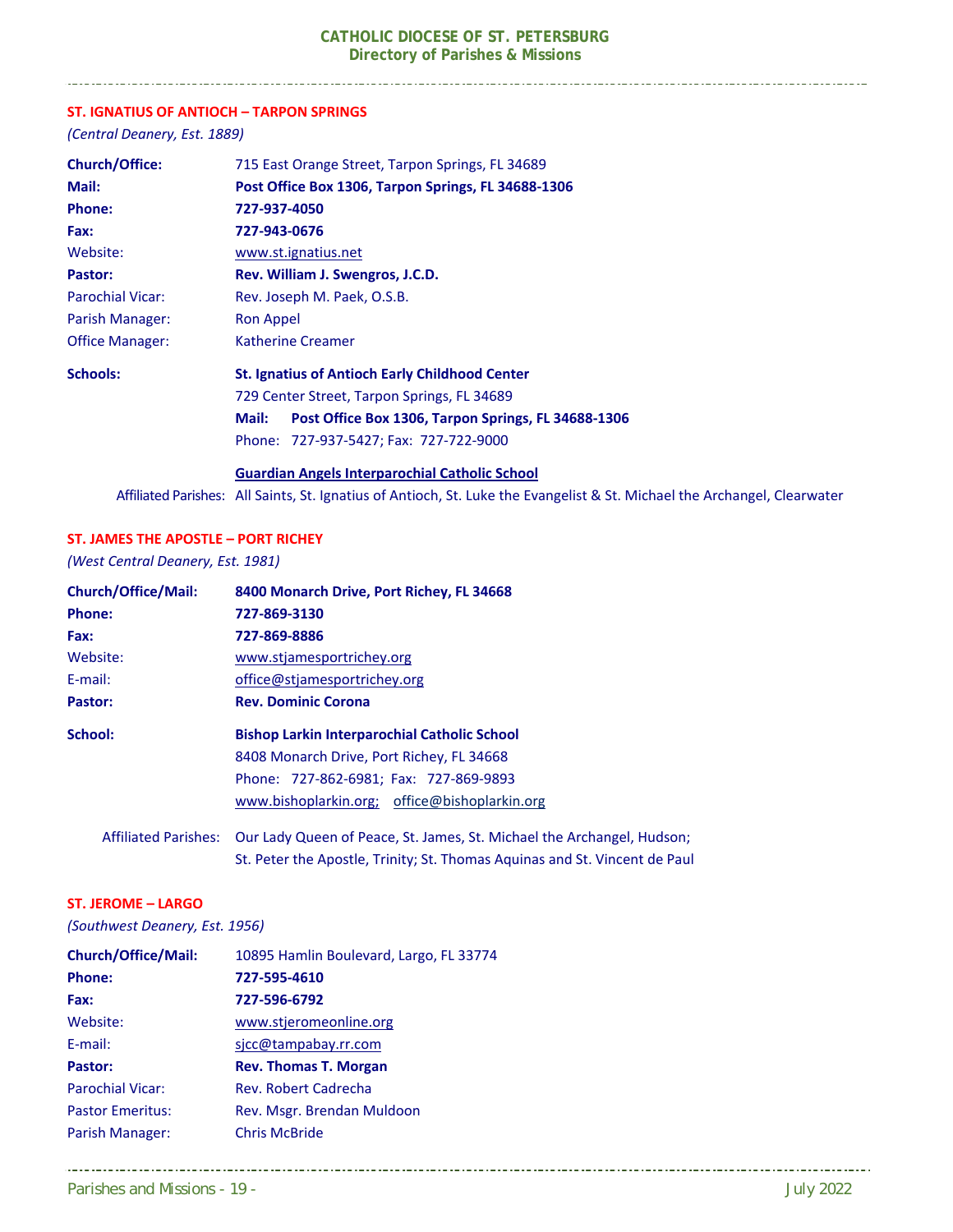#### **ST. IGNATIUS OF ANTIOCH – TARPON SPRINGS**

*(Central Deanery, Est. 1889)* 

. . . . . . . . . . . . . . . . . . .

| <b>Church/Office:</b>   | 715 East Orange Street, Tarpon Springs, FL 34689             |
|-------------------------|--------------------------------------------------------------|
| Mail:                   | Post Office Box 1306, Tarpon Springs, FL 34688-1306          |
| <b>Phone:</b>           | 727-937-4050                                                 |
| Fax:                    | 727-943-0676                                                 |
| Website:                | www.st.ignatius.net                                          |
| Pastor:                 | Rev. William J. Swengros, J.C.D.                             |
| <b>Parochial Vicar:</b> | Rev. Joseph M. Paek, O.S.B.                                  |
| Parish Manager:         | Ron Appel                                                    |
| <b>Office Manager:</b>  | Katherine Creamer                                            |
| <b>Schools:</b>         | <b>St. Ignatius of Antioch Early Childhood Center</b>        |
|                         | 729 Center Street, Tarpon Springs, FL 34689                  |
|                         | Post Office Box 1306, Tarpon Springs, FL 34688-1306<br>Mail: |
|                         | Phone: 727-937-5427; Fax: 727-722-9000                       |
|                         | <b>Guardian Angels Interparochial Catholic School</b>        |

Affiliated Parishes: All Saints, St. Ignatius of Antioch, St. Luke the Evangelist & St. Michael the Archangel, Clearwater

#### **ST. JAMES THE APOSTLE – PORT RICHEY**

*(West Central Deanery, Est. 1981)* 

| <b>Church/Office/Mail:</b>  | 8400 Monarch Drive, Port Richey, FL 34668                                  |  |
|-----------------------------|----------------------------------------------------------------------------|--|
| Phone:                      | 727-869-3130                                                               |  |
| Fax:                        | 727-869-8886                                                               |  |
| Website:                    | www.stjamesportrichey.org                                                  |  |
| E-mail:                     | office@stjamesportrichey.org                                               |  |
| Pastor:                     | <b>Rev. Dominic Corona</b>                                                 |  |
| School:                     | <b>Bishop Larkin Interparochial Catholic School</b>                        |  |
|                             | 8408 Monarch Drive, Port Richey, FL 34668                                  |  |
|                             | Phone: 727-862-6981; Fax: 727-869-9893                                     |  |
|                             | www.bishoplarkin.org; office@bishoplarkin.org                              |  |
| <b>Affiliated Parishes:</b> | Our Lady Queen of Peace, St. James, St. Michael the Archangel, Hudson;     |  |
|                             | St. Peter the Apostle, Trinity; St. Thomas Aguinas and St. Vincent de Paul |  |

#### **ST. JEROME – LARGO**

*(Southwest Deanery, Est. 1956)* 

| <b>Church/Office/Mail:</b> | 10895 Hamlin Boulevard, Largo, FL 33774 |
|----------------------------|-----------------------------------------|
| Phone:                     | 727-595-4610                            |
| Fax:                       | 727-596-6792                            |
| Website:                   | www.stjeromeonline.org                  |
| E-mail:                    | sicc@tampabay.rr.com                    |
| Pastor:                    | <b>Rev. Thomas T. Morgan</b>            |
| <b>Parochial Vicar:</b>    | Rev. Robert Cadrecha                    |
| <b>Pastor Emeritus:</b>    | Rev. Msgr. Brendan Muldoon              |
| Parish Manager:            | <b>Chris McBride</b>                    |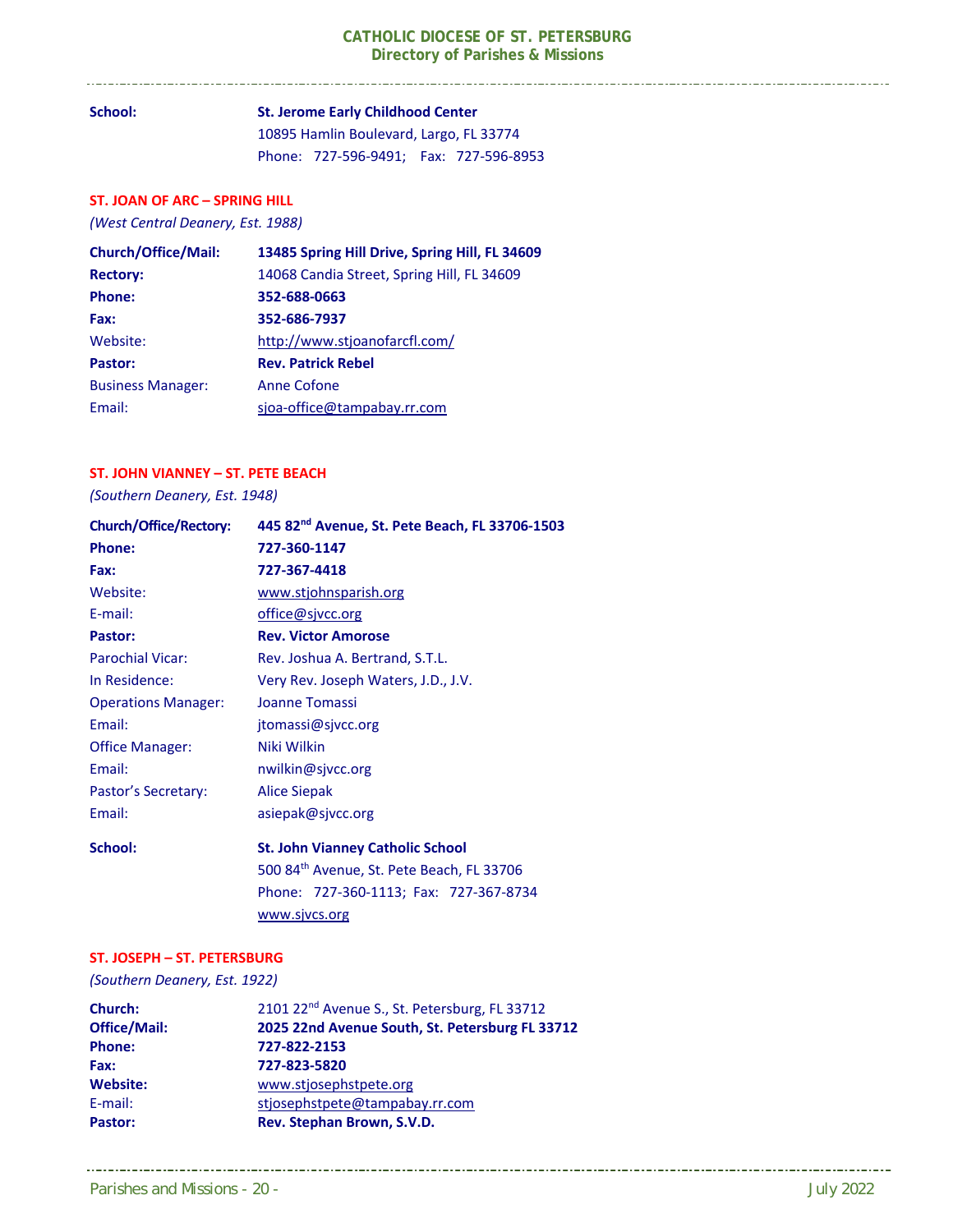**School: St. Jerome Early Childhood Center**  10895 Hamlin Boulevard, Largo, FL 33774 Phone: 727‐596‐9491; Fax: 727‐596‐8953

#### **ST. JOAN OF ARC – SPRING HILL**

*(West Central Deanery, Est. 1988)* 

. . . . . . . . . . . . . . . . . . .

| <b>Church/Office/Mail:</b> | 13485 Spring Hill Drive, Spring Hill, FL 34609 |
|----------------------------|------------------------------------------------|
| <b>Rectory:</b>            | 14068 Candia Street, Spring Hill, FL 34609     |
| <b>Phone:</b>              | 352-688-0663                                   |
| Fax:                       | 352-686-7937                                   |
| Website:                   | http://www.stjoanofarcfl.com/                  |
| Pastor:                    | <b>Rev. Patrick Rebel</b>                      |
| <b>Business Manager:</b>   | Anne Cofone                                    |
| Email:                     | sjoa-office@tampabay.rr.com                    |

#### **ST. JOHN VIANNEY – ST. PETE BEACH**

*(Southern Deanery, Est. 1948)* 

| <b>Church/Office/Rectory:</b> | 445 82 <sup>nd</sup> Avenue, St. Pete Beach, FL 33706-1503 |
|-------------------------------|------------------------------------------------------------|
| <b>Phone:</b>                 | 727-360-1147                                               |
| Fax:                          | 727-367-4418                                               |
| Website:                      | www.stjohnsparish.org                                      |
| E-mail:                       | office@sjvcc.org                                           |
| Pastor:                       | <b>Rev. Victor Amorose</b>                                 |
| <b>Parochial Vicar:</b>       | Rev. Joshua A. Bertrand, S.T.L.                            |
| In Residence:                 | Very Rev. Joseph Waters, J.D., J.V.                        |
| <b>Operations Manager:</b>    | Joanne Tomassi                                             |
| Email:                        | jtomassi@sjvcc.org                                         |
| <b>Office Manager:</b>        | Niki Wilkin                                                |
| Email:                        | nwilkin@sjvcc.org                                          |
| Pastor's Secretary:           | <b>Alice Siepak</b>                                        |
| Email:                        | asiepak@sjvcc.org                                          |
| School:                       | <b>St. John Vianney Catholic School</b>                    |
|                               | 500 84th Avenue, St. Pete Beach, FL 33706                  |
|                               | Phone: 727-360-1113; Fax: 727-367-8734                     |
|                               | www.sjvcs.org                                              |

#### **ST. JOSEPH – ST. PETERSBURG**

*(Southern Deanery, Est. 1922)* 

| Church:             | 2101 22 <sup>nd</sup> Avenue S., St. Petersburg, FL 33712 |
|---------------------|-----------------------------------------------------------|
| <b>Office/Mail:</b> | 2025 22nd Avenue South, St. Petersburg FL 33712           |
| Phone:              | 727-822-2153                                              |
| Fax:                | 727-823-5820                                              |
| Website:            | www.stjosephstpete.org                                    |
| E-mail:             | stjosephstpete@tampabay.rr.com                            |
| Pastor:             | Rev. Stephan Brown, S.V.D.                                |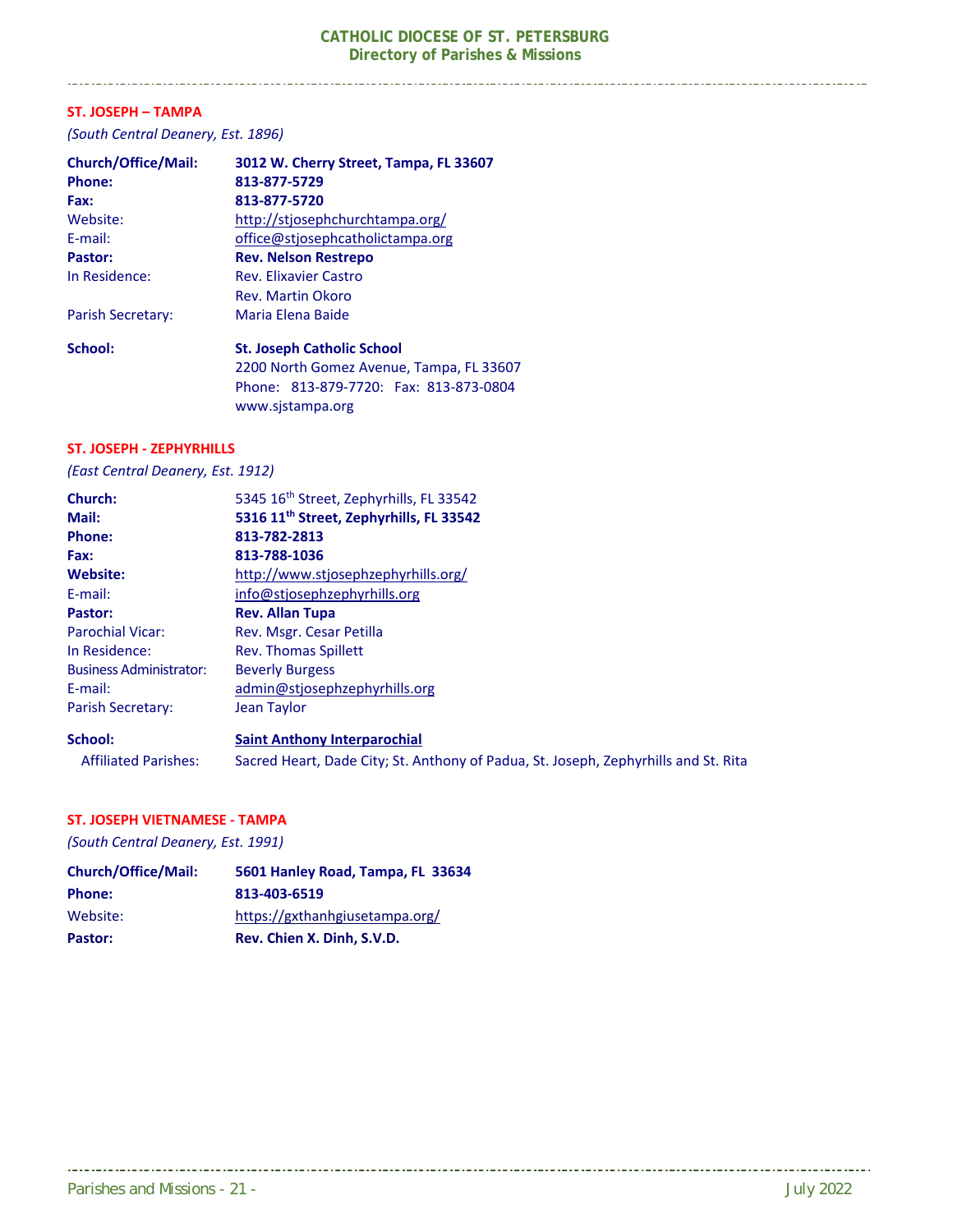#### **ST. JOSEPH – TAMPA**

*(South Central Deanery, Est. 1896)* 

| 3012 W. Cherry Street, Tampa, FL 33607   |
|------------------------------------------|
| 813-877-5729                             |
| 813-877-5720                             |
| http://stiosephchurchtampa.org/          |
| office@stiosephcatholictampa.org         |
| <b>Rev. Nelson Restrepo</b>              |
| <b>Rev. Elixavier Castro</b>             |
| Rev. Martin Okoro                        |
| Maria Elena Baide                        |
| <b>St. Joseph Catholic School</b>        |
| 2200 North Gomez Avenue, Tampa, FL 33607 |
| Phone: 813-879-7720: Fax: 813-873-0804   |
| www.sistampa.org                         |
|                                          |

#### **ST. JOSEPH ‐ ZEPHYRHILLS**

#### *(East Central Deanery, Est. 1912)*

| Church:                        | 5345 16th Street, Zephyrhills, FL 33542                                             |
|--------------------------------|-------------------------------------------------------------------------------------|
| Mail:                          | 5316 11 <sup>th</sup> Street, Zephyrhills, FL 33542                                 |
| <b>Phone:</b>                  | 813-782-2813                                                                        |
| Fax:                           | 813-788-1036                                                                        |
| Website:                       | http://www.stjosephzephyrhills.org/                                                 |
| E-mail:                        | info@stiosephzephyrhills.org                                                        |
| Pastor:                        | <b>Rev. Allan Tupa</b>                                                              |
| <b>Parochial Vicar:</b>        | Rev. Msgr. Cesar Petilla                                                            |
| In Residence:                  | <b>Rev. Thomas Spillett</b>                                                         |
| <b>Business Administrator:</b> | <b>Beverly Burgess</b>                                                              |
| E-mail:                        | admin@stjosephzephyrhills.org                                                       |
| <b>Parish Secretary:</b>       | Jean Taylor                                                                         |
| School:                        | <b>Saint Anthony Interparochial</b>                                                 |
| <b>Affiliated Parishes:</b>    | Sacred Heart, Dade City; St. Anthony of Padua, St. Joseph, Zephyrhills and St. Rita |

#### **ST. JOSEPH VIETNAMESE ‐ TAMPA**

*(South Central Deanery, Est. 1991)* 

| <b>Church/Office/Mail:</b> | 5601 Hanley Road, Tampa, FL 33634 |
|----------------------------|-----------------------------------|
| <b>Phone:</b>              | 813-403-6519                      |
| Website:                   | https://gxthanhgiusetampa.org/    |
| Pastor:                    | Rev. Chien X. Dinh, S.V.D.        |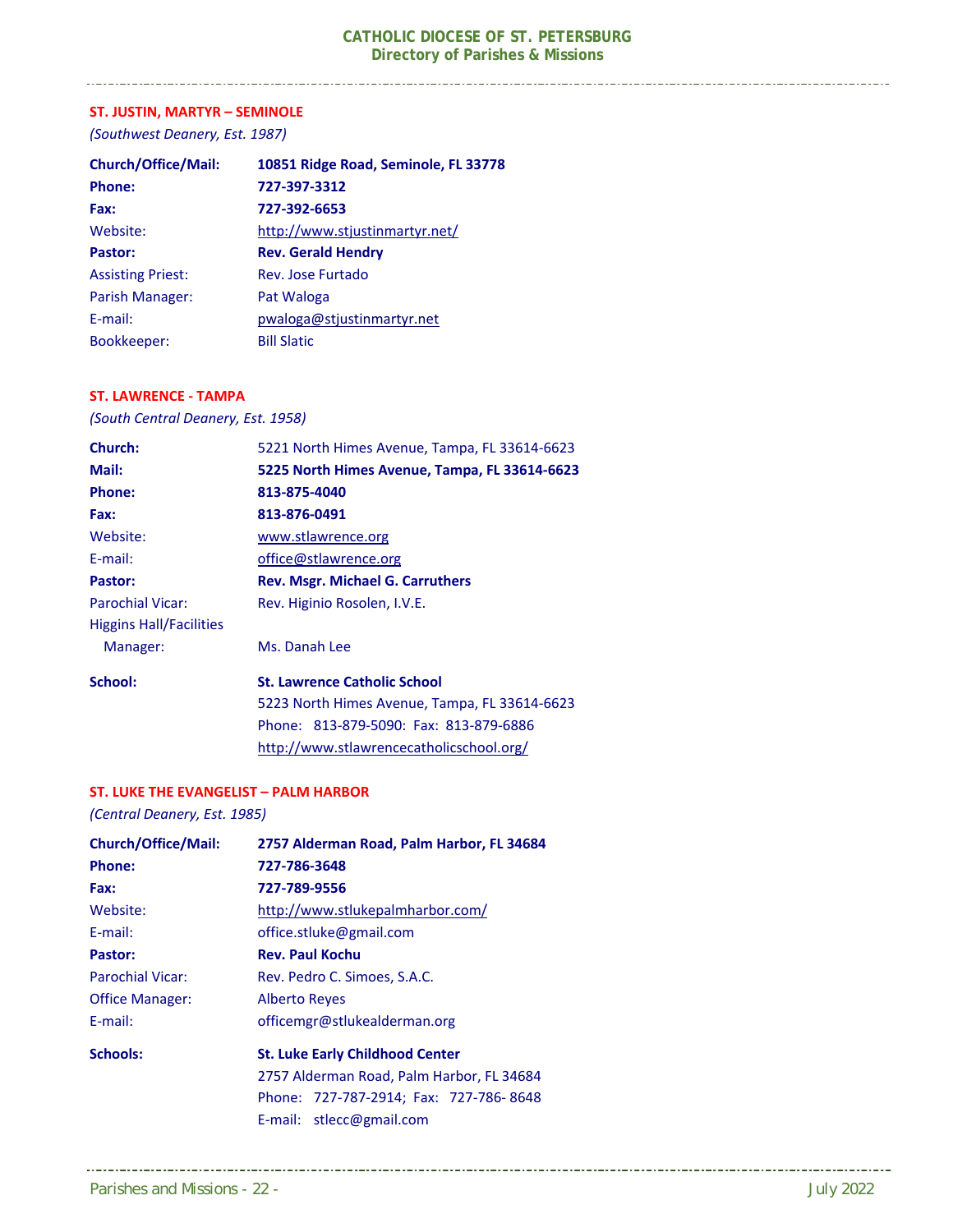#### **ST. JUSTIN, MARTYR – SEMINOLE**

\_\_\_\_\_\_\_\_\_\_\_\_\_\_\_\_\_\_\_\_\_\_\_\_\_\_\_\_\_\_\_\_\_

*(Southwest Deanery, Est. 1987)* 

| <b>Church/Office/Mail:</b> | 10851 Ridge Road, Seminole, FL 33778 |
|----------------------------|--------------------------------------|
| <b>Phone:</b>              | 727-397-3312                         |
| Fax:                       | 727-392-6653                         |
| Website:                   | http://www.stjustinmartyr.net/       |
| Pastor:                    | <b>Rev. Gerald Hendry</b>            |
| <b>Assisting Priest:</b>   | Rev. Jose Furtado                    |
| Parish Manager:            | Pat Waloga                           |
| E-mail:                    | pwaloga@stjustinmartyr.net           |
| Bookkeeper:                | <b>Bill Slatic</b>                   |

#### **ST. LAWRENCE ‐ TAMPA**

*(South Central Deanery, Est. 1958)* 

| Church:                        | 5221 North Himes Avenue, Tampa, FL 33614-6623 |
|--------------------------------|-----------------------------------------------|
| Mail:                          | 5225 North Himes Avenue, Tampa, FL 33614-6623 |
| <b>Phone:</b>                  | 813-875-4040                                  |
| Fax:                           | 813-876-0491                                  |
| Website:                       | www.stlawrence.org                            |
| E-mail:                        | office@stlawrence.org                         |
| Pastor:                        | <b>Rev. Msgr. Michael G. Carruthers</b>       |
| <b>Parochial Vicar:</b>        | Rev. Higinio Rosolen, I.V.E.                  |
| <b>Higgins Hall/Facilities</b> |                                               |
| Manager:                       | Ms. Danah Lee                                 |
| School:                        | <b>St. Lawrence Catholic School</b>           |
|                                | 5223 North Himes Avenue, Tampa, FL 33614-6623 |
|                                | Phone: 813-879-5090: Fax: 813-879-6886        |
|                                | http://www.stlawrencecatholicschool.org/      |

#### **ST. LUKE THE EVANGELIST – PALM HARBOR**

*(Central Deanery, Est. 1985)* 

| <b>Church/Office/Mail:</b> | 2757 Alderman Road, Palm Harbor, FL 34684 |
|----------------------------|-------------------------------------------|
| Phone:                     | 727-786-3648                              |
| Fax:                       | 727-789-9556                              |
| Website:                   | http://www.stlukepalmharbor.com/          |
| $E$ -mail:                 | office.stluke@gmail.com                   |
| Pastor:                    | <b>Rev. Paul Kochu</b>                    |
| <b>Parochial Vicar:</b>    | Rev. Pedro C. Simoes, S.A.C.              |
| <b>Office Manager:</b>     | <b>Alberto Reves</b>                      |
| $E$ -mail:                 | officemgr@stlukealderman.org              |
| <b>Schools:</b>            | <b>St. Luke Early Childhood Center</b>    |
|                            | 2757 Alderman Road, Palm Harbor, FL 34684 |
|                            | Phone: 727-787-2914; Fax: 727-786-8648    |
|                            | E-mail: stlecc@gmail.com                  |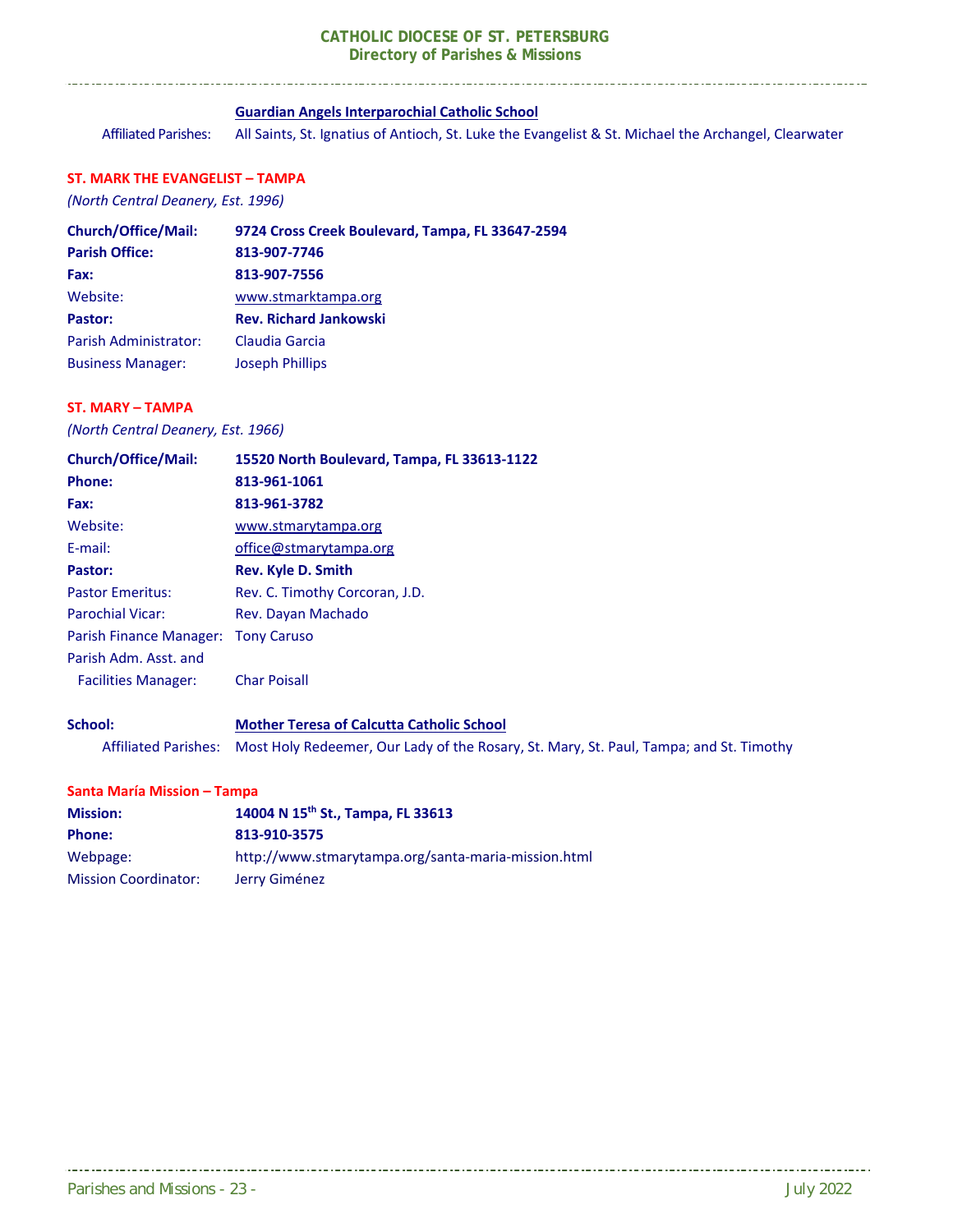#### **Guardian Angels Interparochial Catholic School**

Affiliated Parishes: All Saints, St. Ignatius of Antioch, St. Luke the Evangelist & St. Michael the Archangel, Clearwater

#### **ST. MARK THE EVANGELIST – TAMPA**

*(North Central Deanery, Est. 1996)* 

| <b>Church/Office/Mail:</b> | 9724 Cross Creek Boulevard, Tampa, FL 33647-2594 |
|----------------------------|--------------------------------------------------|
| <b>Parish Office:</b>      | 813-907-7746                                     |
| Fax:                       | 813-907-7556                                     |
| Website:                   | www.stmarktampa.org                              |
| Pastor:                    | <b>Rev. Richard Jankowski</b>                    |
| Parish Administrator:      | Claudia Garcia                                   |
| <b>Business Manager:</b>   | <b>Joseph Phillips</b>                           |

#### **ST. MARY – TAMPA**

*(North Central Deanery, Est. 1966)* 

| <b>Church/Office/Mail:</b>  | 15520 North Boulevard, Tampa, FL 33613-1122                                            |
|-----------------------------|----------------------------------------------------------------------------------------|
| <b>Phone:</b>               | 813-961-1061                                                                           |
| Fax:                        | 813-961-3782                                                                           |
| Website:                    | www.stmarytampa.org                                                                    |
| E-mail:                     | office@stmarytampa.org                                                                 |
| Pastor:                     | <b>Rev. Kyle D. Smith</b>                                                              |
| <b>Pastor Emeritus:</b>     | Rev. C. Timothy Corcoran, J.D.                                                         |
| <b>Parochial Vicar:</b>     | Rev. Dayan Machado                                                                     |
| Parish Finance Manager:     | <b>Tony Caruso</b>                                                                     |
| Parish Adm. Asst. and       |                                                                                        |
| <b>Facilities Manager:</b>  | <b>Char Poisall</b>                                                                    |
| School:                     | <b>Mother Teresa of Calcutta Catholic School</b>                                       |
| <b>Affiliated Parishes:</b> | Most Holy Redeemer, Our Lady of the Rosary, St. Mary, St. Paul, Tampa; and St. Timothy |

#### **Santa María Mission – Tampa**

| <b>Mission:</b>             | 14004 N 15 <sup>th</sup> St., Tampa, FL 33613       |
|-----------------------------|-----------------------------------------------------|
| <b>Phone:</b>               | 813-910-3575                                        |
| Webpage:                    | http://www.stmarytampa.org/santa-maria-mission.html |
| <b>Mission Coordinator:</b> | Jerry Giménez                                       |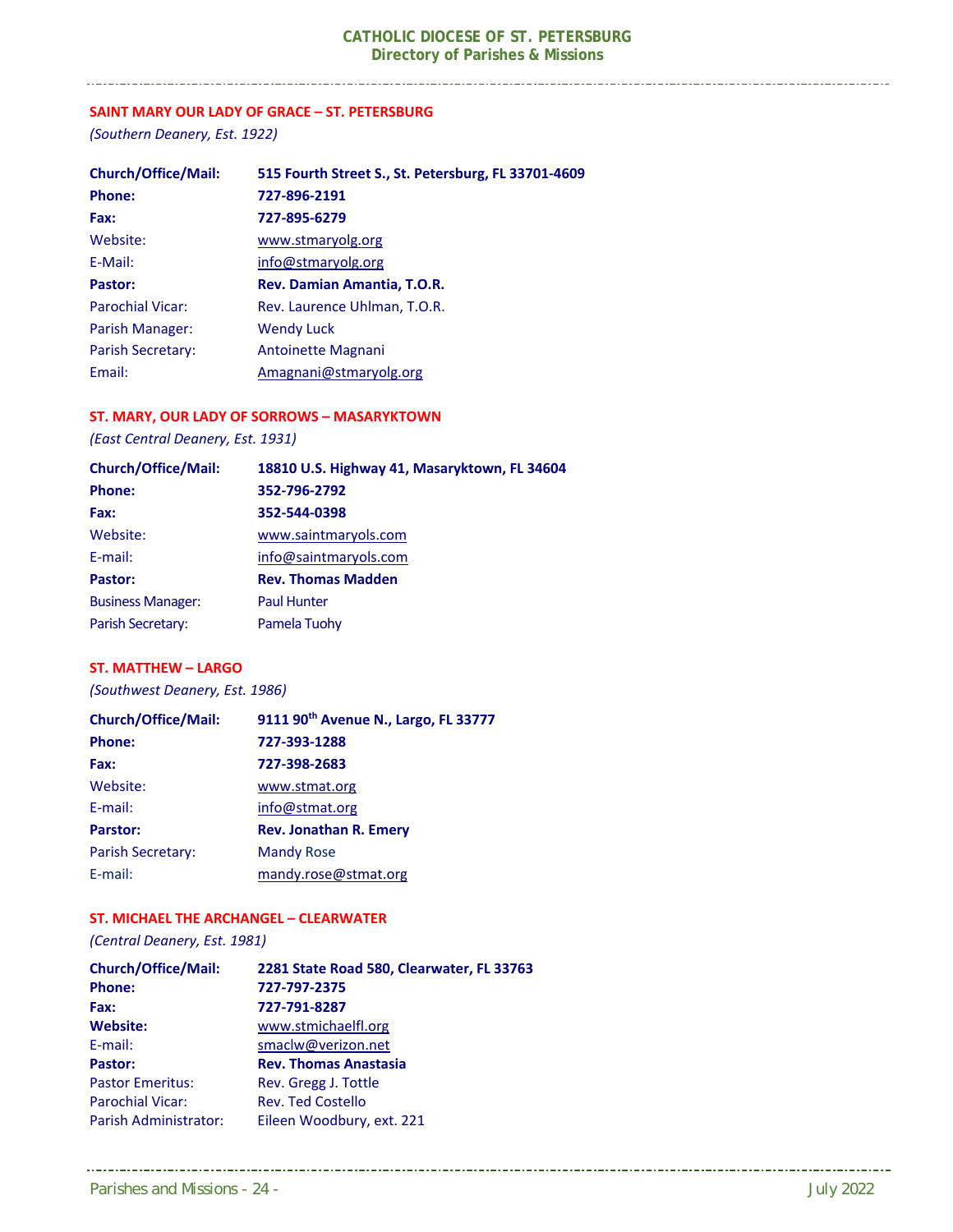#### **SAINT MARY OUR LADY OF GRACE – ST. PETERSBURG**

*(Southern Deanery, Est. 1922)* 

| <b>Church/Office/Mail:</b> | 515 Fourth Street S., St. Petersburg, FL 33701-4609 |
|----------------------------|-----------------------------------------------------|
| <b>Phone:</b>              | 727-896-2191                                        |
| Fax:                       | 727-895-6279                                        |
| Website:                   | www.stmaryolg.org                                   |
| E-Mail:                    | info@stmaryolg.org                                  |
| Pastor:                    | Rev. Damian Amantia, T.O.R.                         |
| <b>Parochial Vicar:</b>    | Rev. Laurence Uhlman, T.O.R.                        |
| Parish Manager:            | <b>Wendy Luck</b>                                   |
| <b>Parish Secretary:</b>   | Antoinette Magnani                                  |
| Email:                     | Amagnani@stmaryolg.org                              |

#### **ST. MARY, OUR LADY OF SORROWS – MASARYKTOWN**

*(East Central Deanery, Est. 1931)* 

| <b>Church/Office/Mail:</b> | 18810 U.S. Highway 41, Masaryktown, FL 34604 |
|----------------------------|----------------------------------------------|
| <b>Phone:</b>              | 352-796-2792                                 |
| Fax:                       | 352-544-0398                                 |
| Website:                   | www.saintmaryols.com                         |
| E-mail:                    | info@saintmaryols.com                        |
| Pastor:                    | <b>Rev. Thomas Madden</b>                    |
| <b>Business Manager:</b>   | <b>Paul Hunter</b>                           |
| Parish Secretary:          | Pamela Tuohy                                 |

#### **ST. MATTHEW – LARGO**

*(Southwest Deanery, Est. 1986)* 

| <b>Church/Office/Mail:</b> | 9111 90 <sup>th</sup> Avenue N., Largo, FL 33777 |
|----------------------------|--------------------------------------------------|
| Phone:                     | 727-393-1288                                     |
| Fax:                       | 727-398-2683                                     |
| Website:                   | www.stmat.org                                    |
| E-mail:                    | info@stmat.org                                   |
| <b>Parstor:</b>            | <b>Rev. Jonathan R. Emery</b>                    |
| <b>Parish Secretary:</b>   | <b>Mandy Rose</b>                                |
| E-mail:                    | mandy.rose@stmat.org                             |

#### **ST. MICHAEL THE ARCHANGEL – CLEARWATER**

*(Central Deanery, Est. 1981)* 

| <b>Church/Office/Mail:</b> | 2281 State Road 580, Clearwater, FL 33763 |
|----------------------------|-------------------------------------------|
| Phone:                     | 727-797-2375                              |
| Fax:                       | 727-791-8287                              |
| <b>Website:</b>            | www.stmichaelfl.org                       |
| E-mail:                    | smaclw@verizon.net                        |
| Pastor:                    | <b>Rev. Thomas Anastasia</b>              |
| <b>Pastor Emeritus:</b>    | Rev. Gregg J. Tottle                      |
| <b>Parochial Vicar:</b>    | <b>Rev. Ted Costello</b>                  |
| Parish Administrator:      | Eileen Woodbury, ext. 221                 |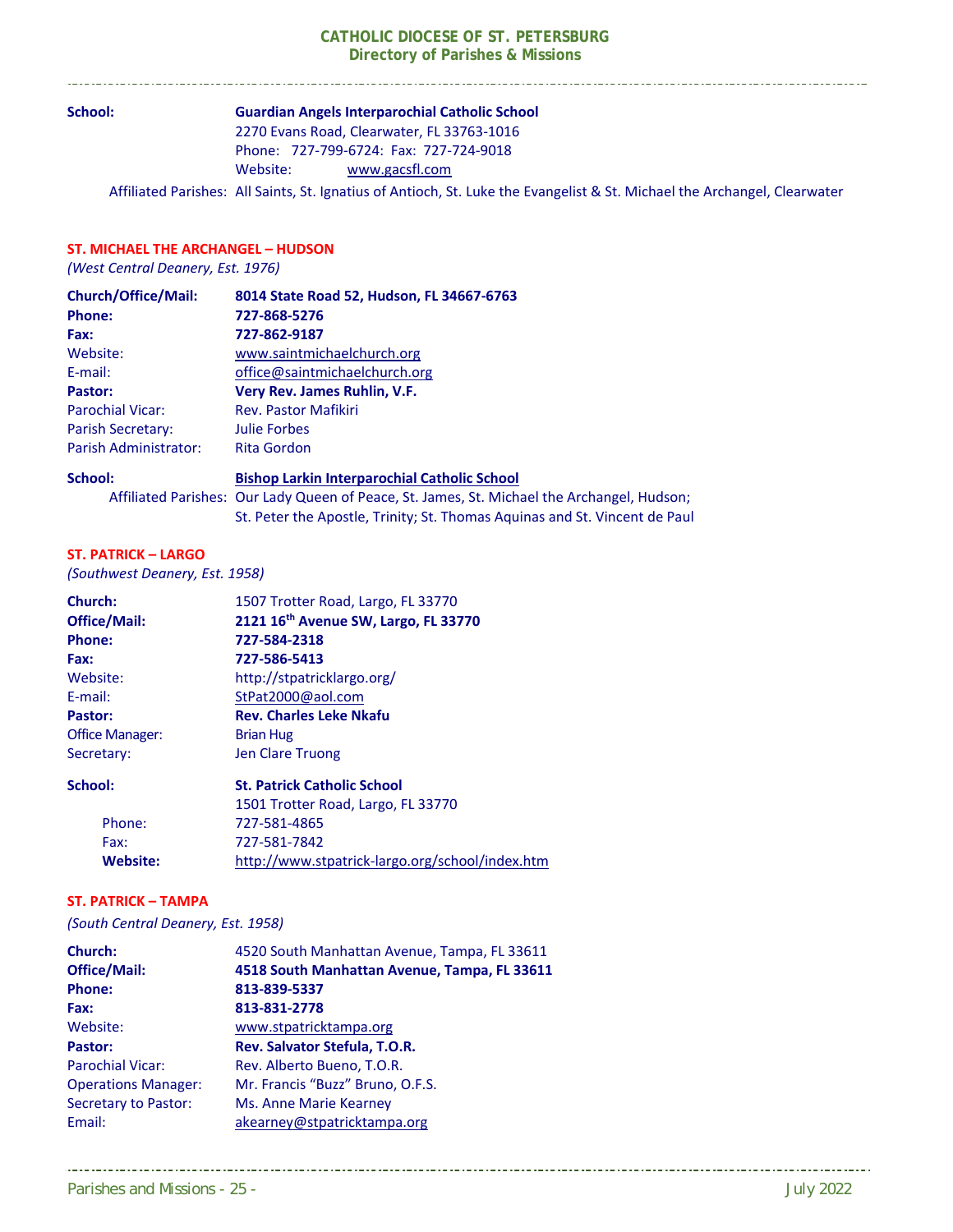#### **School: Guardian Angels Interparochial Catholic School**  2270 Evans Road, Clearwater, FL 33763‐1016

 Phone: 727‐799‐6724: Fax: 727‐724‐9018 Website: www.gacsfl.com

Affiliated Parishes: All Saints, St. Ignatius of Antioch, St. Luke the Evangelist & St. Michael the Archangel, Clearwater

#### **ST. MICHAEL THE ARCHANGEL – HUDSON**

. . . . . . . . . . . . . .

*(West Central Deanery, Est. 1976)* 

| <b>Church/Office/Mail:</b> | 8014 State Road 52, Hudson, FL 34667-6763 |
|----------------------------|-------------------------------------------|
| <b>Phone:</b>              | 727-868-5276                              |
| Fax:                       | 727-862-9187                              |
| Website:                   | www.saintmichaelchurch.org                |
| E-mail:                    | office@saintmichaelchurch.org             |
| Pastor:                    | Very Rev. James Ruhlin, V.F.              |
| <b>Parochial Vicar:</b>    | <b>Rev. Pastor Mafikiri</b>               |
| Parish Secretary:          | Julie Forbes                              |
| Parish Administrator:      | <b>Rita Gordon</b>                        |

**School: Bishop Larkin Interparochial Catholic School**  Affiliated Parishes: Our Lady Queen of Peace, St. James, St. Michael the Archangel, Hudson; St. Peter the Apostle, Trinity; St. Thomas Aquinas and St. Vincent de Paul

#### **ST. PATRICK – LARGO**

*(Southwest Deanery, Est. 1958)* 

| Church:                | 1507 Trotter Road, Largo, FL 33770   |
|------------------------|--------------------------------------|
| <b>Office/Mail:</b>    | 2121 16th Avenue SW, Largo, FL 33770 |
| <b>Phone:</b>          | 727-584-2318                         |
| Fax:                   | 727-586-5413                         |
| Website:               | http://stpatricklargo.org/           |
| E-mail:                | StPat2000@aol.com                    |
| Pastor:                | <b>Rev. Charles Leke Nkafu</b>       |
| <b>Office Manager:</b> | <b>Brian Hug</b>                     |
| Secretary:             | Jen Clare Truong                     |
| School:                | <b>St. Patrick Catholic School</b>   |
|                        | 1501 Trotter Boad Targo, EL 22770    |

|          | 1501 Trotter Road, Largo, FL 33770              |
|----------|-------------------------------------------------|
| Phone:   | 727-581-4865                                    |
| Fax:     | 727-581-7842                                    |
| Website: | http://www.stpatrick-largo.org/school/index.htm |

#### **ST. PATRICK – TAMPA**

*(South Central Deanery, Est. 1958)* 

| 4520 South Manhattan Avenue, Tampa, FL 33611 |
|----------------------------------------------|
| 4518 South Manhattan Avenue, Tampa, FL 33611 |
| 813-839-5337                                 |
| 813-831-2778                                 |
| www.stpatricktampa.org                       |
| Rev. Salvator Stefula, T.O.R.                |
| Rev. Alberto Bueno, T.O.R.                   |
| Mr. Francis "Buzz" Bruno, O.F.S.             |
| Ms. Anne Marie Kearney                       |
| akearney@stpatricktampa.org                  |
|                                              |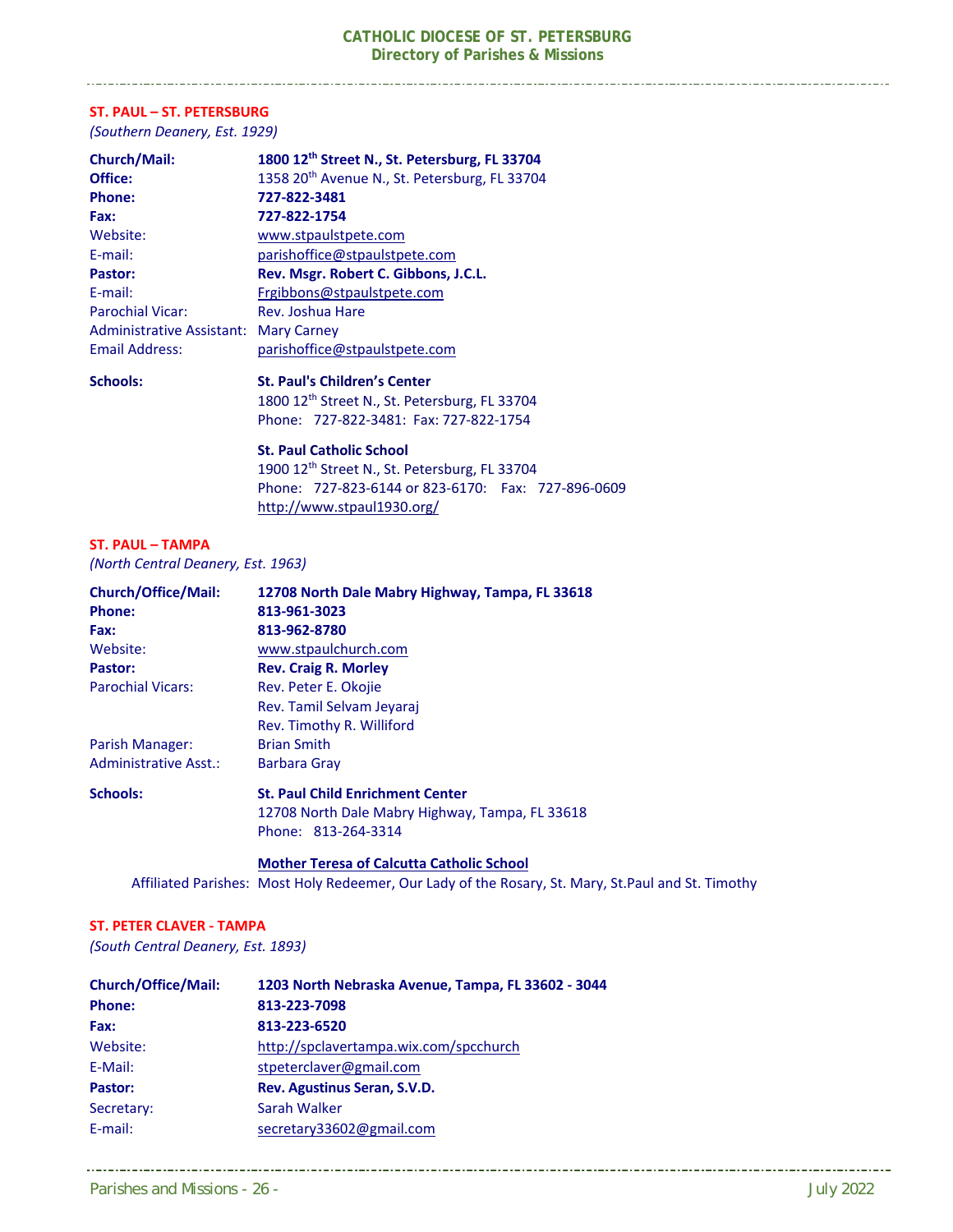#### **ST. PAUL – ST. PETERSBURG**

*(Southern Deanery, Est. 1929)* 

| Church/Mail:                     | 1800 12th Street N., St. Petersburg, FL 33704                                                                                                                                                                                                                                                         |
|----------------------------------|-------------------------------------------------------------------------------------------------------------------------------------------------------------------------------------------------------------------------------------------------------------------------------------------------------|
| Office:                          | 1358 20 <sup>th</sup> Avenue N., St. Petersburg, FL 33704                                                                                                                                                                                                                                             |
| <b>Phone:</b>                    | 727-822-3481                                                                                                                                                                                                                                                                                          |
| Fax:                             | 727-822-1754                                                                                                                                                                                                                                                                                          |
| Website:                         | www.stpaulstpete.com                                                                                                                                                                                                                                                                                  |
| E-mail:                          | parishoffice@stpaulstpete.com                                                                                                                                                                                                                                                                         |
| Pastor:                          | Rev. Msgr. Robert C. Gibbons, J.C.L.                                                                                                                                                                                                                                                                  |
| E-mail:                          | Frgibbons@stpaulstpete.com                                                                                                                                                                                                                                                                            |
| <b>Parochial Vicar:</b>          | Rev. Joshua Hare                                                                                                                                                                                                                                                                                      |
| <b>Administrative Assistant:</b> | <b>Mary Carney</b>                                                                                                                                                                                                                                                                                    |
| <b>Email Address:</b>            | parishoffice@stpaulstpete.com                                                                                                                                                                                                                                                                         |
| <b>Schools:</b>                  | <b>St. Paul's Children's Center</b>                                                                                                                                                                                                                                                                   |
|                                  | $100012$ $\hbar$ $\hbar$ $\hbar$ $\hbar$ $\hbar$ $\hbar$ $\hbar$ $\hbar$ $\hbar$ $\hbar$ $\hbar$ $\hbar$ $\hbar$ $\hbar$ $\hbar$ $\hbar$ $\hbar$ $\hbar$ $\hbar$ $\hbar$ $\hbar$ $\hbar$ $\hbar$ $\hbar$ $\hbar$ $\hbar$ $\hbar$ $\hbar$ $\hbar$ $\hbar$ $\hbar$ $\hbar$ $\hbar$ $\hbar$ $\hbar$ $\h$ |

1800 12<sup>th</sup> Street N., St. Petersburg, FL 33704 Phone: 727‐822‐3481: Fax: 727‐822‐1754

#### **St. Paul Catholic School**

 1900 12th Street N., St. Petersburg, FL 33704 Phone: 727‐823‐6144 or 823‐6170: Fax: 727‐896‐0609 http://www.stpaul1930.org/

#### **ST. PAUL – TAMPA**

*(North Central Deanery, Est. 1963)* 

| <b>Church/Office/Mail:</b>   | 12708 North Dale Mabry Highway, Tampa, FL 33618 |
|------------------------------|-------------------------------------------------|
| <b>Phone:</b>                | 813-961-3023                                    |
| Fax:                         | 813-962-8780                                    |
| Website:                     | www.stpaulchurch.com                            |
| Pastor:                      | <b>Rev. Craig R. Morley</b>                     |
| <b>Parochial Vicars:</b>     | Rev. Peter E. Okojie                            |
|                              | Rev. Tamil Selvam Jeyaraj                       |
|                              | Rev. Timothy R. Williford                       |
| Parish Manager:              | <b>Brian Smith</b>                              |
| <b>Administrative Asst.:</b> | <b>Barbara Gray</b>                             |
| <b>Schools:</b>              | <b>St. Paul Child Enrichment Center</b>         |
|                              | 12708 North Dale Mabry Highway, Tampa, FL 33618 |
|                              | Phone: 813-264-3314                             |
|                              |                                                 |

 **Mother Teresa of Calcutta Catholic School**  Affiliated Parishes: Most Holy Redeemer, Our Lady of the Rosary, St. Mary, St.Paul and St. Timothy

#### **ST. PETER CLAVER ‐ TAMPA**

*(South Central Deanery, Est. 1893)* 

| <b>Church/Office/Mail:</b> | 1203 North Nebraska Avenue, Tampa, FL 33602 - 3044 |
|----------------------------|----------------------------------------------------|
| <b>Phone:</b>              | 813-223-7098                                       |
| Fax:                       | 813-223-6520                                       |
| Website:                   | http://spclavertampa.wix.com/spcchurch             |
| E-Mail:                    | stpeterclaver@gmail.com                            |
| Pastor:                    | Rev. Agustinus Seran, S.V.D.                       |
| Secretary:                 | Sarah Walker                                       |
| E-mail:                    | secretary33602@gmail.com                           |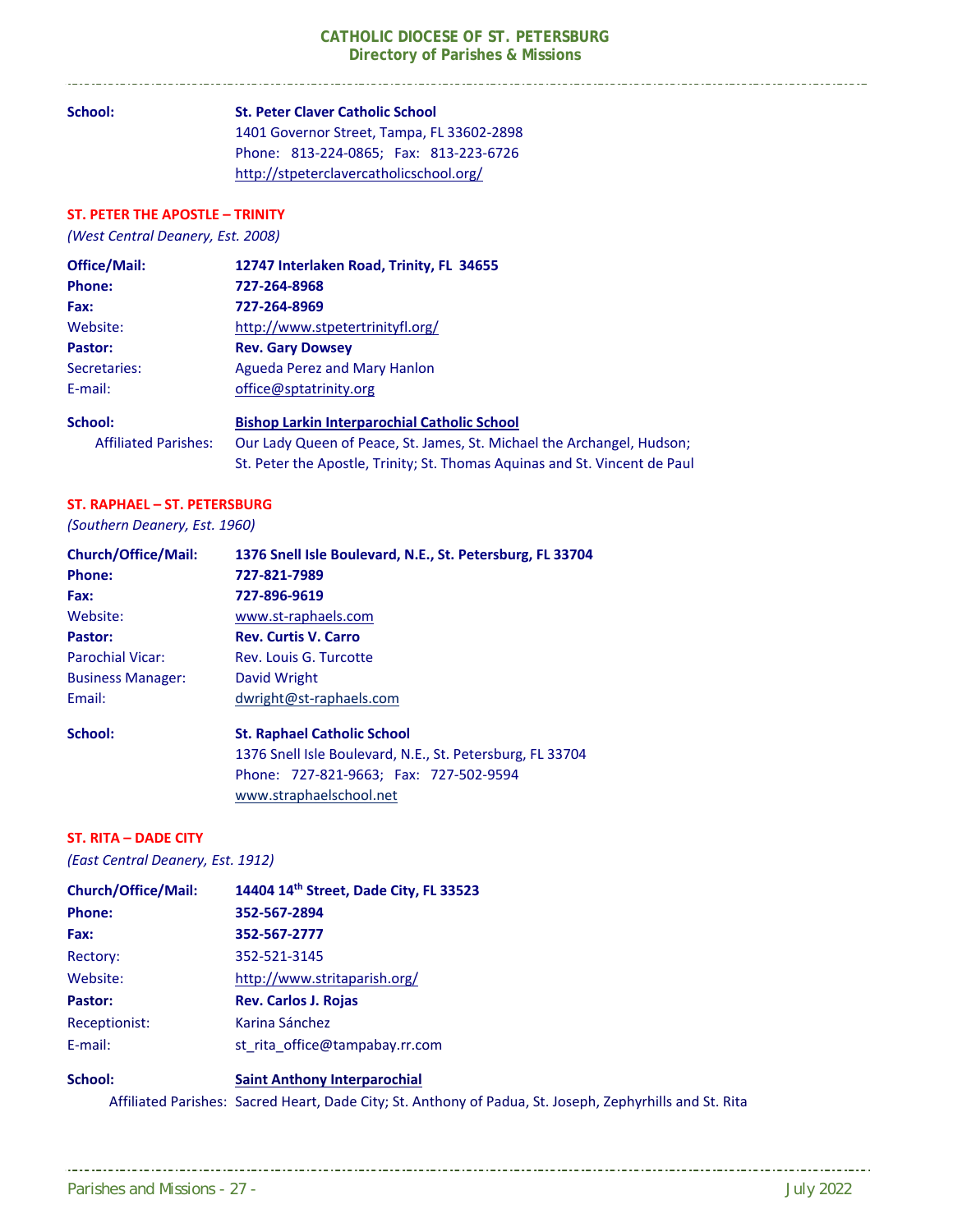St. Peter the Apostle, Trinity; St. Thomas Aquinas and St. Vincent de Paul

**School: St. Peter Claver Catholic School**  1401 Governor Street, Tampa, FL 33602‐2898 Phone: 813‐224‐0865; Fax: 813‐223‐6726 http://stpeterclavercatholicschool.org/

#### **ST. PETER THE APOSTLE – TRINITY**

*(West Central Deanery, Est. 2008)*

| <b>Office/Mail:</b>         | 12747 Interlaken Road, Trinity, FL 34655                               |
|-----------------------------|------------------------------------------------------------------------|
| <b>Phone:</b>               | 727-264-8968                                                           |
| Fax:                        | 727-264-8969                                                           |
| Website:                    | http://www.stpetertrinityfl.org/                                       |
| Pastor:                     | <b>Rev. Gary Dowsey</b>                                                |
| Secretaries:                | Agueda Perez and Mary Hanlon                                           |
| E-mail:                     | office@sptatrinity.org                                                 |
| School:                     | <b>Bishop Larkin Interparochial Catholic School</b>                    |
| <b>Affiliated Parishes:</b> | Our Lady Queen of Peace, St. James, St. Michael the Archangel, Hudson; |

#### **ST. RAPHAEL – ST. PETERSBURG**

*(Southern Deanery, Est. 1960)* 

| <b>Church/Office/Mail:</b> | 1376 Snell Isle Boulevard, N.E., St. Petersburg, FL 33704 |  |
|----------------------------|-----------------------------------------------------------|--|
| Phone:                     | 727-821-7989                                              |  |
| Fax:                       | 727-896-9619                                              |  |
| Website:                   | www.st-raphaels.com                                       |  |
| Pastor:                    | <b>Rev. Curtis V. Carro</b>                               |  |
| <b>Parochial Vicar:</b>    | Rev. Louis G. Turcotte                                    |  |
| <b>Business Manager:</b>   | David Wright                                              |  |
| Email:                     | dwright@st-raphaels.com                                   |  |
| School:                    | <b>St. Raphael Catholic School</b>                        |  |
|                            | 1376 Snell Isle Boulevard, N.E., St. Petersburg, FL 33704 |  |
|                            | Phone: 727-821-9663; Fax: 727-502-9594                    |  |
|                            | www.straphaelschool.net                                   |  |

#### **ST. RITA – DADE CITY**

*(East Central Deanery, Est. 1912)* 

| <b>Church/Office/Mail:</b> | 14404 14th Street, Dade City, FL 33523 |
|----------------------------|----------------------------------------|
| <b>Phone:</b>              | 352-567-2894                           |
| Fax:                       | 352-567-2777                           |
| Rectory:                   | 352-521-3145                           |
| Website:                   | http://www.stritaparish.org/           |
| Pastor:                    | <b>Rev. Carlos J. Rojas</b>            |
| Receptionist:              | Karina Sánchez                         |
| E-mail:                    | st rita office@tampabay.rr.com         |
| School:                    | <b>Saint Anthony Interparochial</b>    |

Affiliated Parishes: Sacred Heart, Dade City; St. Anthony of Padua, St. Joseph, Zephyrhills and St. Rita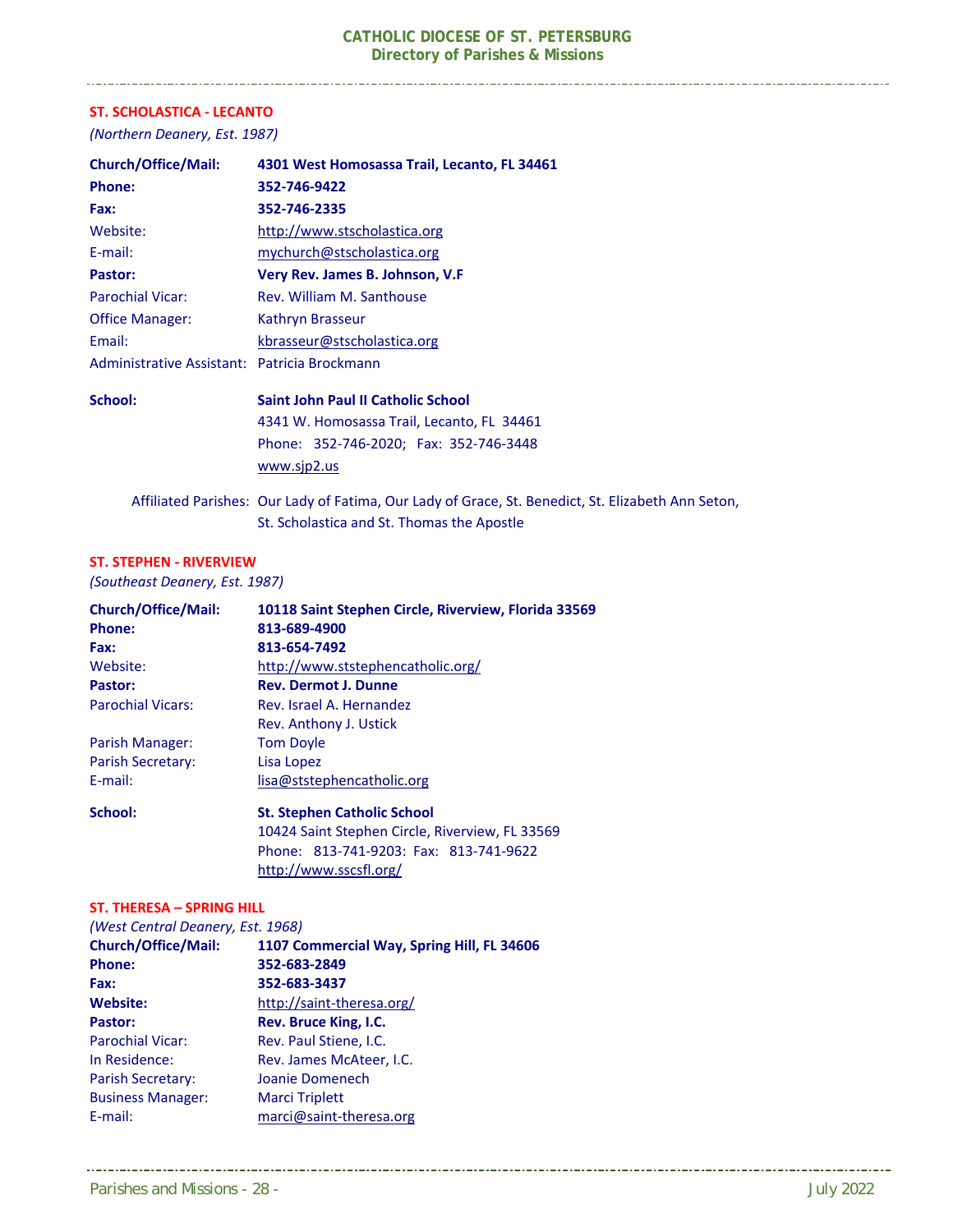#### **ST. SCHOLASTICA ‐ LECANTO**

*(Northern Deanery, Est. 1987)* 

| <b>Church/Office/Mail:</b>                   | 4301 West Homosassa Trail, Lecanto, FL 34461 |
|----------------------------------------------|----------------------------------------------|
| <b>Phone:</b>                                | 352-746-9422                                 |
| Fax:                                         | 352-746-2335                                 |
| Website:                                     | http://www.stscholastica.org                 |
| E-mail:                                      | mychurch@stscholastica.org                   |
| Pastor:                                      | Very Rev. James B. Johnson, V.F.             |
| <b>Parochial Vicar:</b>                      | Rev. William M. Santhouse                    |
| <b>Office Manager:</b>                       | Kathryn Brasseur                             |
| Email:                                       | kbrasseur@stscholastica.org                  |
| Administrative Assistant: Patricia Brockmann |                                              |
| School:                                      | Saint John Paul II Catholic School           |
|                                              | 4341 W. Homosassa Trail, Lecanto, FL 34461   |
|                                              | Phone: 352-746-2020; Fax: 352-746-3448       |
|                                              | www.sjp2.us                                  |

Affiliated Parishes: Our Lady of Fatima, Our Lady of Grace, St. Benedict, St. Elizabeth Ann Seton, St. Scholastica and St. Thomas the Apostle

#### **ST. STEPHEN ‐ RIVERVIEW**

*(Southeast Deanery, Est. 1987)* 

| <b>Church/Office/Mail:</b> | 10118 Saint Stephen Circle, Riverview, Florida 33569 |
|----------------------------|------------------------------------------------------|
| <b>Phone:</b>              | 813-689-4900                                         |
| Fax:                       | 813-654-7492                                         |
| Website:                   | http://www.ststephencatholic.org/                    |
| Pastor:                    | <b>Rev. Dermot J. Dunne</b>                          |
| <b>Parochial Vicars:</b>   | Rev. Israel A. Hernandez                             |
|                            | Rev. Anthony J. Ustick                               |
| Parish Manager:            | <b>Tom Doyle</b>                                     |
| Parish Secretary:          | Lisa Lopez                                           |
| E-mail:                    | lisa@ststephencatholic.org                           |
| School:                    | <b>St. Stephen Catholic School</b>                   |
|                            | 10424 Saint Stephen Circle, Riverview, FL 33569      |

http://www.sscsfl.org/

Phone: 813‐741‐9203: Fax: 813‐741‐9622

#### **ST. THERESA – SPRING HILL**

| (West Central Deanery, Est. 1968) |                                            |  |
|-----------------------------------|--------------------------------------------|--|
| <b>Church/Office/Mail:</b>        | 1107 Commercial Way, Spring Hill, FL 34606 |  |
| <b>Phone:</b>                     | 352-683-2849                               |  |
| Fax:                              | 352-683-3437                               |  |
| <b>Website:</b>                   | http://saint-theresa.org/                  |  |
| Pastor:                           | Rev. Bruce King, I.C.                      |  |
| <b>Parochial Vicar:</b>           | Rev. Paul Stiene, I.C.                     |  |
| In Residence:                     | Rev. James McAteer, I.C.                   |  |
| <b>Parish Secretary:</b>          | Joanie Domenech                            |  |
| <b>Business Manager:</b>          | <b>Marci Triplett</b>                      |  |
| E-mail:                           | marci@saint-theresa.org                    |  |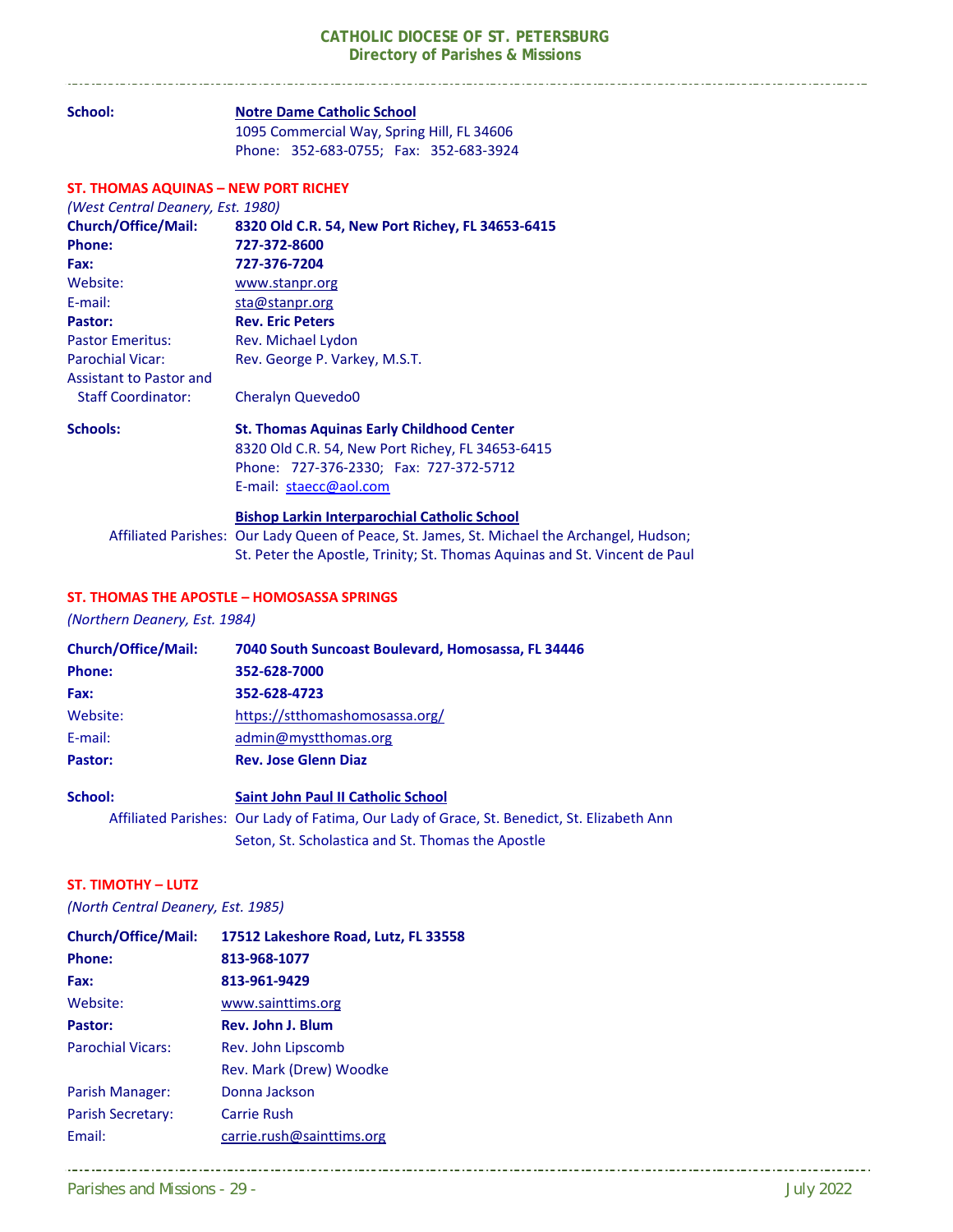#### **School: Notre Dame Catholic School**  1095 Commercial Way, Spring Hill, FL 34606 Phone: 352‐683‐0755; Fax: 352‐683‐3924 **ST. THOMAS AQUINAS – NEW PORT RICHEY**  *(West Central Deanery, Est. 1980)*  **Church/Office/Mail: 8320 Old C.R. 54, New Port Richey, FL 34653‐6415 Phone: 727‐372‐8600 Fax: 727‐376‐7204**  Website: www.stanpr.org E-mail: sta@stanpr.org **Pastor: Rev. Eric Peters**  Pastor Emeritus: Rev. Michael Lydon Parochial Vicar: Rev. George P. Varkey, M.S.T. Assistant to Pastor and Staff Coordinator: Cheralyn Quevedo0 **Schools: St. Thomas Aquinas Early Childhood Center**  8320 Old C.R. 54, New Port Richey, FL 34653‐6415 Phone: 727‐376‐2330; Fax: 727‐372‐5712 E-mail: staecc@aol.com  **Bishop Larkin Interparochial Catholic School**

 Affiliated Parishes: Our Lady Queen of Peace, St. James, St. Michael the Archangel, Hudson; St. Peter the Apostle, Trinity; St. Thomas Aquinas and St. Vincent de Paul

#### **ST. THOMAS THE APOSTLE – HOMOSASSA SPRINGS**

*(Northern Deanery, Est. 1984)* 

| <b>Church/Office/Mail:</b> | 7040 South Suncoast Boulevard, Homosassa, FL 34446                                          |
|----------------------------|---------------------------------------------------------------------------------------------|
| <b>Phone:</b>              | 352-628-7000                                                                                |
| Fax:                       | 352-628-4723                                                                                |
| Website:                   | https://stthomashomosassa.org/                                                              |
| E-mail:                    | admin@mystthomas.org                                                                        |
| Pastor:                    | <b>Rev. Jose Glenn Diaz</b>                                                                 |
| School:                    | <b>Saint John Paul II Catholic School</b>                                                   |
|                            | Affiliated Parishes: Our Lady of Fatima, Our Lady of Grace, St. Benedict, St. Elizabeth Ann |
|                            | Seton, St. Scholastica and St. Thomas the Apostle                                           |

#### **ST. TIMOTHY – LUTZ**

*(North Central Deanery, Est. 1985)* 

| <b>Church/Office/Mail:</b> | 17512 Lakeshore Road, Lutz, FL 33558 |
|----------------------------|--------------------------------------|
| <b>Phone:</b>              | 813-968-1077                         |
| Fax:                       | 813-961-9429                         |
| Website:                   | www.sainttims.org                    |
| Pastor:                    | Rev. John J. Blum                    |
| <b>Parochial Vicars:</b>   | Rev. John Lipscomb                   |
|                            | Rev. Mark (Drew) Woodke              |
| Parish Manager:            | Donna Jackson                        |
| Parish Secretary:          | Carrie Rush                          |
| Fmail:                     | carrie.rush@sainttims.org            |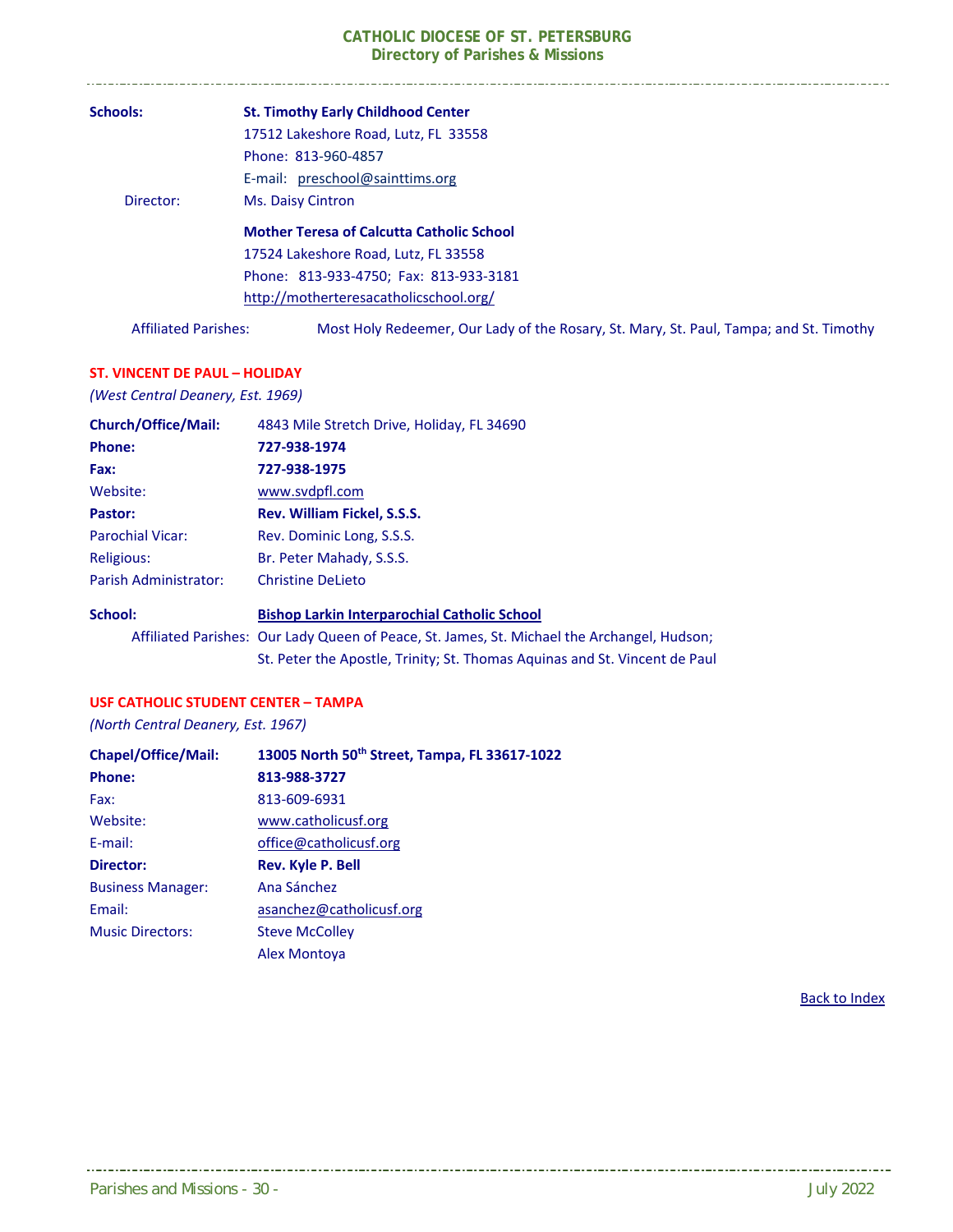| <b>Schools:</b>             | <b>St. Timothy Early Childhood Center</b>                                              |
|-----------------------------|----------------------------------------------------------------------------------------|
|                             | 17512 Lakeshore Road, Lutz, FL 33558                                                   |
|                             | Phone: 813-960-4857                                                                    |
|                             | E-mail: preschool@sainttims.org                                                        |
| Director:                   | <b>Ms. Daisy Cintron</b>                                                               |
|                             | <b>Mother Teresa of Calcutta Catholic School</b>                                       |
|                             | 17524 Lakeshore Road, Lutz, FL 33558                                                   |
|                             | Phone: 813-933-4750; Fax: 813-933-3181                                                 |
|                             | http://motherteresacatholicschool.org/                                                 |
| <b>Affiliated Parishes:</b> | Most Holy Redeemer, Our Lady of the Rosary, St. Mary, St. Paul, Tampa; and St. Timothy |

#### **ST. VINCENT DE PAUL – HOLIDAY**

*(West Central Deanery, Est. 1969)* 

| <b>Church/Office/Mail:</b> | 4843 Mile Stretch Drive, Holiday, FL 34690                                                  |
|----------------------------|---------------------------------------------------------------------------------------------|
| <b>Phone:</b>              | 727-938-1974                                                                                |
| Fax:                       | 727-938-1975                                                                                |
| Website:                   | www.svdpfl.com                                                                              |
| Pastor:                    | Rev. William Fickel, S.S.S.                                                                 |
| <b>Parochial Vicar:</b>    | Rev. Dominic Long, S.S.S.                                                                   |
| Religious:                 | Br. Peter Mahady, S.S.S.                                                                    |
| Parish Administrator:      | <b>Christine DeLieto</b>                                                                    |
| School:                    | <b>Bishop Larkin Interparochial Catholic School</b>                                         |
|                            | Affiliated Parishes: Our Lady Queen of Peace, St. James, St. Michael the Archangel, Hudson; |

St. Peter the Apostle, Trinity; St. Thomas Aquinas and St. Vincent de Paul

#### **USF CATHOLIC STUDENT CENTER – TAMPA**

*(North Central Deanery, Est. 1967)* 

| <b>Chapel/Office/Mail:</b> | 13005 North 50 <sup>th</sup> Street, Tampa, FL 33617-1022 |
|----------------------------|-----------------------------------------------------------|
| <b>Phone:</b>              | 813-988-3727                                              |
| Fax:                       | 813-609-6931                                              |
| Website:                   | www.catholicusf.org                                       |
| E-mail:                    | office@catholicusf.org                                    |
| Director:                  | <b>Rev. Kyle P. Bell</b>                                  |
| <b>Business Manager:</b>   | Ana Sánchez                                               |
| Email:                     | asanchez@catholicusf.org                                  |
| <b>Music Directors:</b>    | <b>Steve McColley</b>                                     |
|                            | <b>Alex Montova</b>                                       |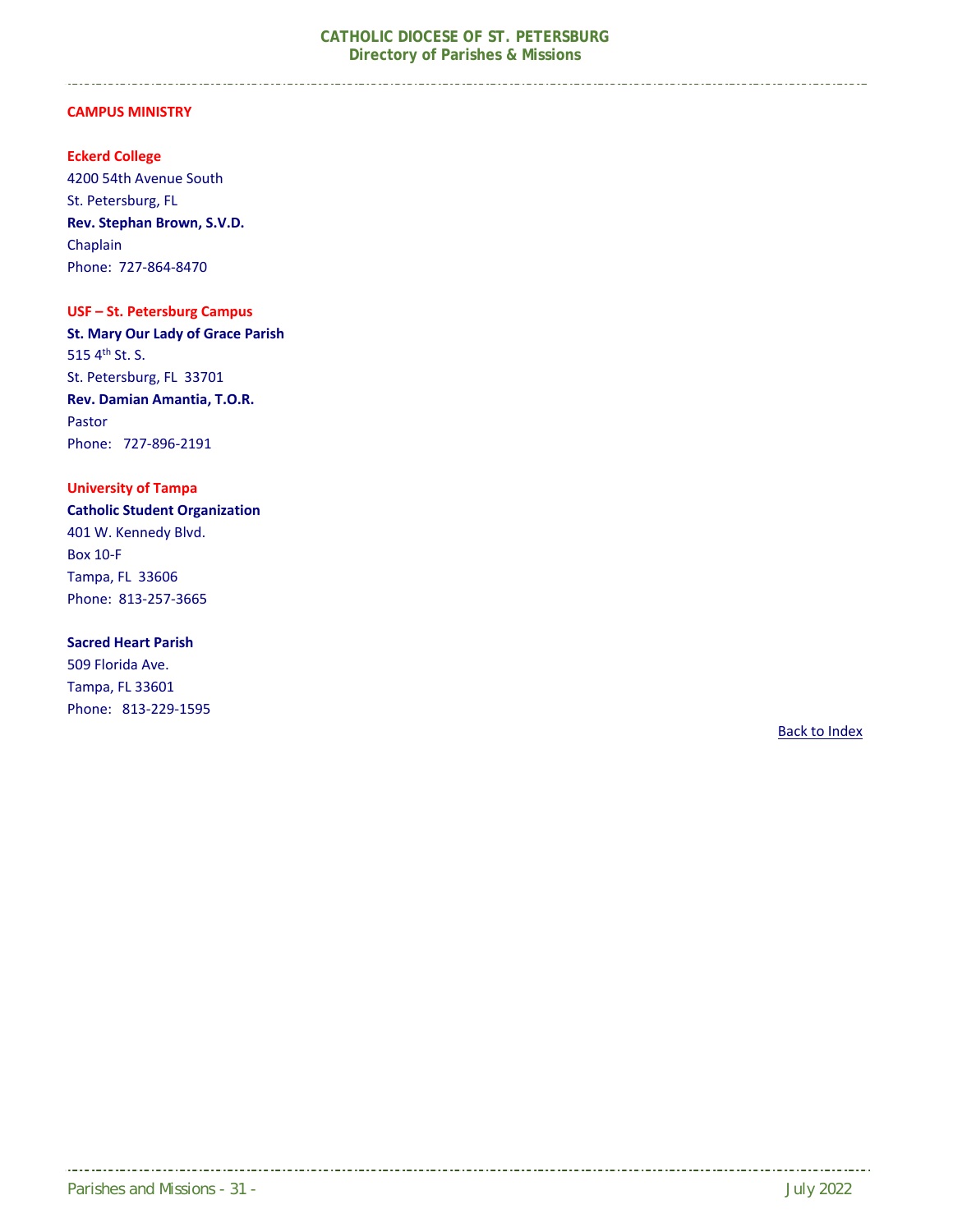#### **CAMPUS MINISTRY**

#### **Eckerd College**

4200 54th Avenue South St. Petersburg, FL **Rev. Stephan Brown, S.V.D.**  Chaplain Phone: 727‐864‐8470

#### **USF – St. Petersburg Campus**

**St. Mary Our Lady of Grace Parish**  515 4<sup>th</sup> St. S. St. Petersburg, FL 33701 **Rev. Damian Amantia, T.O.R.**  Pastor Phone: 727‐896‐2191

#### **University of Tampa**

**Catholic Student Organization**  401 W. Kennedy Blvd. Box 10‐F Tampa, FL 33606 Phone: 813‐257‐3665

#### **Sacred Heart Parish**

509 Florida Ave. Tampa, FL 33601 Phone: 813‐229‐1595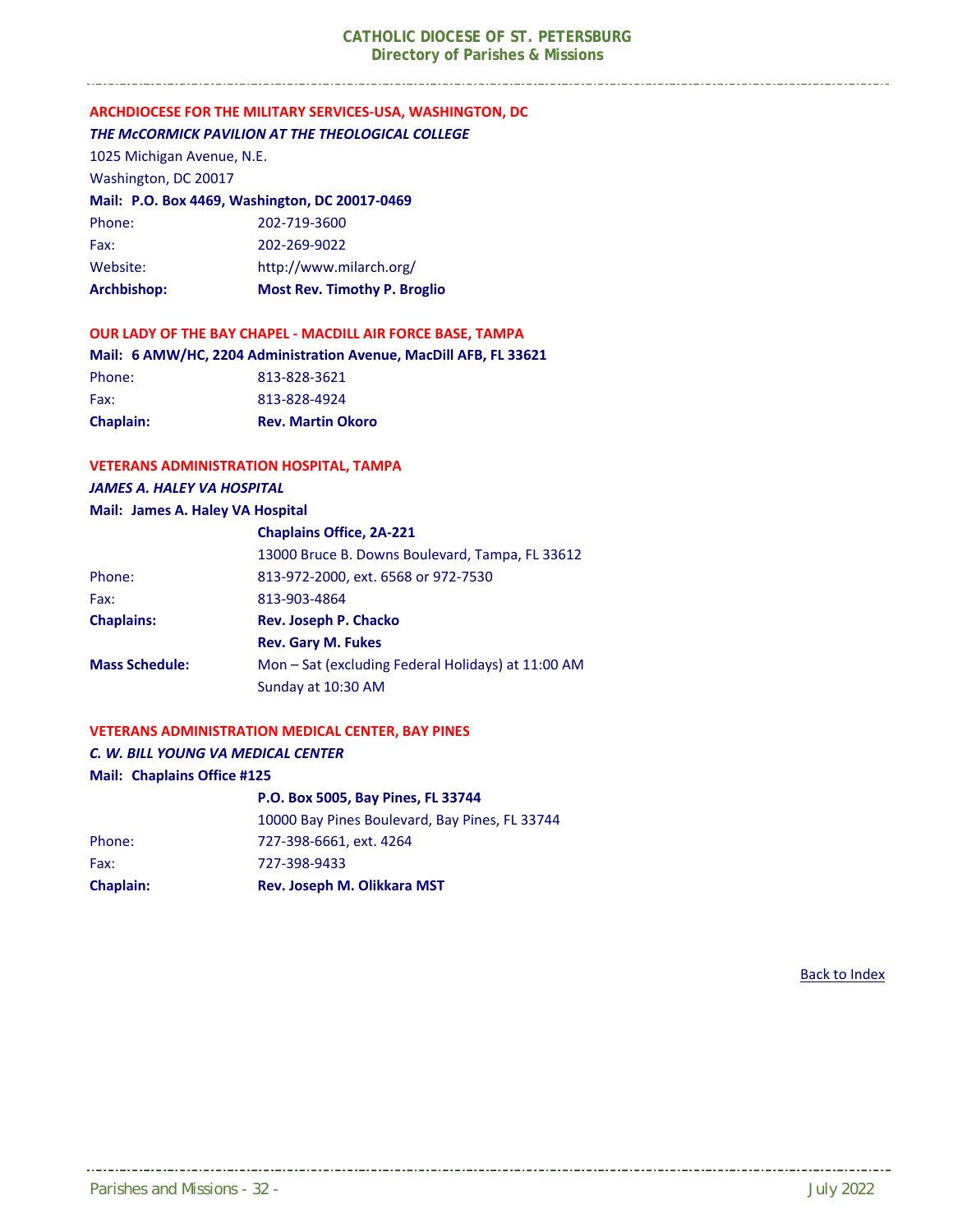#### **ARCHDIOCESE FOR THE MILITARY SERVICES‐USA, WASHINGTON, DC**  *THE McCORMICK PAVILION AT THE THEOLOGICAL COLLEGE*

1025 Michigan Avenue, N.E.

Washington, DC 20017

#### **Mail: P.O. Box 4469, Washington, DC 20017‐0469**

| Archbishop: | <b>Most Rev. Timothy P. Broglio</b> |
|-------------|-------------------------------------|
| Website:    | http://www.milarch.org/             |
| Fax:        | 202-269-9022                        |
| Phone:      | 202-719-3600                        |

#### **OUR LADY OF THE BAY CHAPEL ‐ MACDILL AIR FORCE BASE, TAMPA**

**Mail: 6 AMW/HC, 2204 Administration Avenue, MacDill AFB, FL 33621**  Phone: 813-828-3621 Fax: 813-828-4924 **Chaplain: Rev. Martin Okoro** 

#### **VETERANS ADMINISTRATION HOSPITAL, TAMPA**

#### *JAMES A. HALEY VA HOSPITAL*

#### **Mail: James A. Haley VA Hospital**

|                       | <b>Chaplains Office, 2A-221</b>                    |
|-----------------------|----------------------------------------------------|
|                       | 13000 Bruce B. Downs Boulevard, Tampa, FL 33612    |
| Phone:                | 813-972-2000, ext. 6568 or 972-7530                |
| Fax:                  | 813-903-4864                                       |
| <b>Chaplains:</b>     | <b>Rev. Joseph P. Chacko</b>                       |
|                       | <b>Rev. Gary M. Fukes</b>                          |
| <b>Mass Schedule:</b> | Mon - Sat (excluding Federal Holidays) at 11:00 AM |
|                       | Sunday at 10:30 AM                                 |

#### **VETERANS ADMINISTRATION MEDICAL CENTER, BAY PINES**

#### *C. W. BILL YOUNG VA MEDICAL CENTER*

#### **Mail: Chaplains Office #125**

|                  | P.O. Box 5005, Bay Pines, FL 33744             |  |
|------------------|------------------------------------------------|--|
|                  | 10000 Bay Pines Boulevard, Bay Pines, FL 33744 |  |
| Phone:           | 727-398-6661, ext. 4264                        |  |
| Fax:             | 727-398-9433                                   |  |
| <b>Chaplain:</b> | Rev. Joseph M. Olikkara MST                    |  |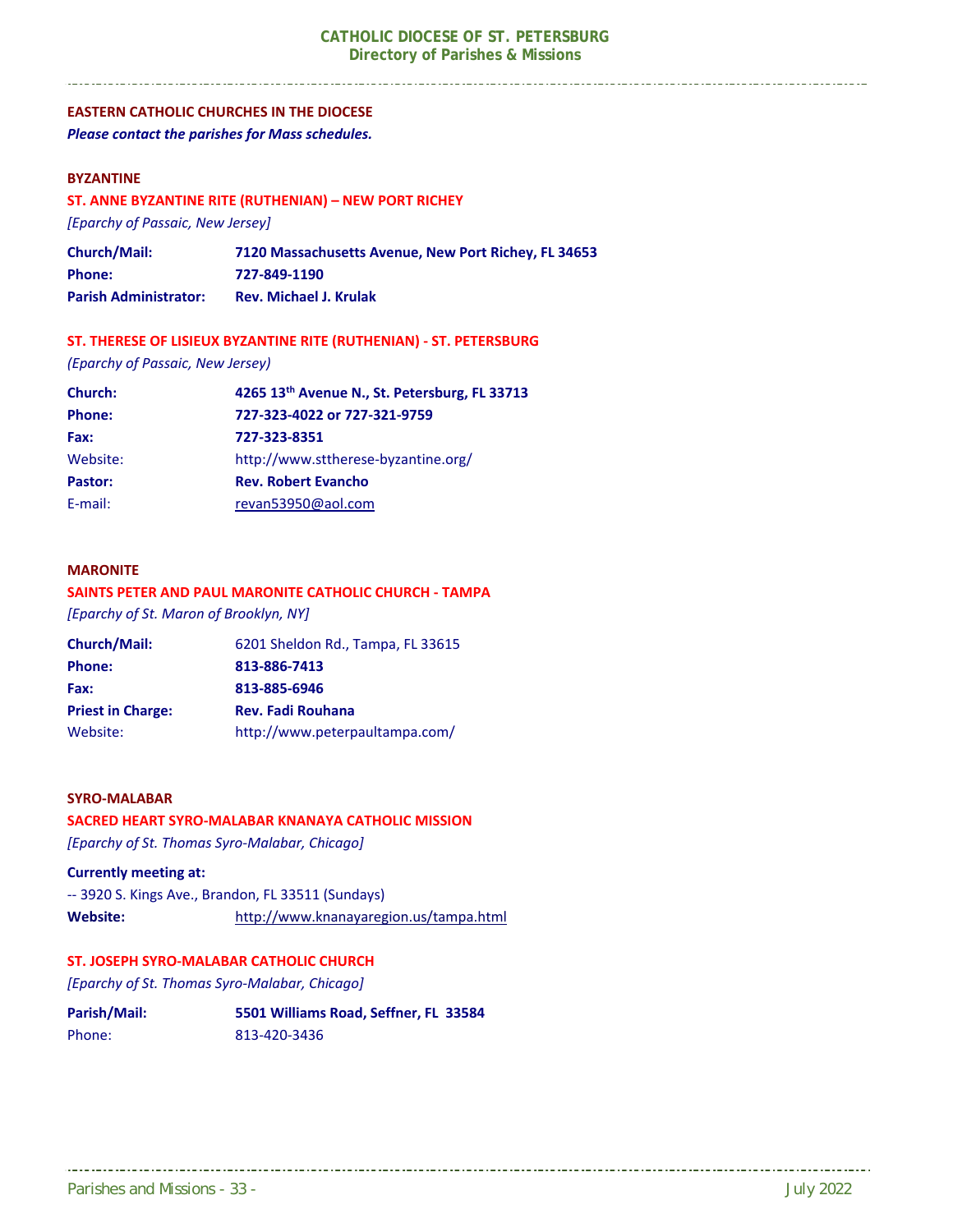#### **EASTERN CATHOLIC CHURCHES IN THE DIOCESE**

*Please contact the parishes for Mass schedules.* 

#### **BYZANTINE**

#### **ST. ANNE BYZANTINE RITE (RUTHENIAN) – NEW PORT RICHEY**

*[Eparchy of Passaic, New Jersey]* 

| <b>Church/Mail:</b>          | 7120 Massachusetts Avenue, New Port Richey, FL 34653 |
|------------------------------|------------------------------------------------------|
| <b>Phone:</b>                | 727-849-1190                                         |
| <b>Parish Administrator:</b> | <b>Rev. Michael J. Krulak</b>                        |

#### **ST. THERESE OF LISIEUX BYZANTINE RITE (RUTHENIAN) ‐ ST. PETERSBURG**

*(Eparchy of Passaic, New Jersey)* 

| Church:       | 4265 13th Avenue N., St. Petersburg, FL 33713 |  |
|---------------|-----------------------------------------------|--|
| <b>Phone:</b> | 727-323-4022 or 727-321-9759                  |  |
| Fax:          | 727-323-8351                                  |  |
| Website:      | http://www.sttherese-byzantine.org/           |  |
| Pastor:       | <b>Rev. Robert Evancho</b>                    |  |
| E-mail:       | revan53950@aol.com                            |  |

#### **MARONITE**

#### **SAINTS PETER AND PAUL MARONITE CATHOLIC CHURCH ‐ TAMPA**

*[Eparchy of St. Maron of Brooklyn, NY]*

| <b>Church/Mail:</b>      | 6201 Sheldon Rd., Tampa, FL 33615 |
|--------------------------|-----------------------------------|
| <b>Phone:</b>            | 813-886-7413                      |
| Fax:                     | 813-885-6946                      |
| <b>Priest in Charge:</b> | <b>Rev. Fadi Rouhana</b>          |
| Website:                 | http://www.peterpaultampa.com/    |

#### **SYRO‐MALABAR**

#### **SACRED HEART SYRO‐MALABAR KNANAYA CATHOLIC MISSION**

*[Eparchy of St. Thomas Syro‐Malabar, Chicago]*

#### **Currently meeting at:**

‐‐ 3920 S. Kings Ave., Brandon, FL 33511 (Sundays) **Website:**  http://www.knanayaregion.us/tampa.html

#### **ST. JOSEPH SYRO‐MALABAR CATHOLIC CHURCH**

*[Eparchy of St. Thomas Syro‐Malabar, Chicago]*

| Parish/Mail: | 5501 Williams Road, Seffner, FL 33584 |
|--------------|---------------------------------------|
| Phone:       | 813-420-3436                          |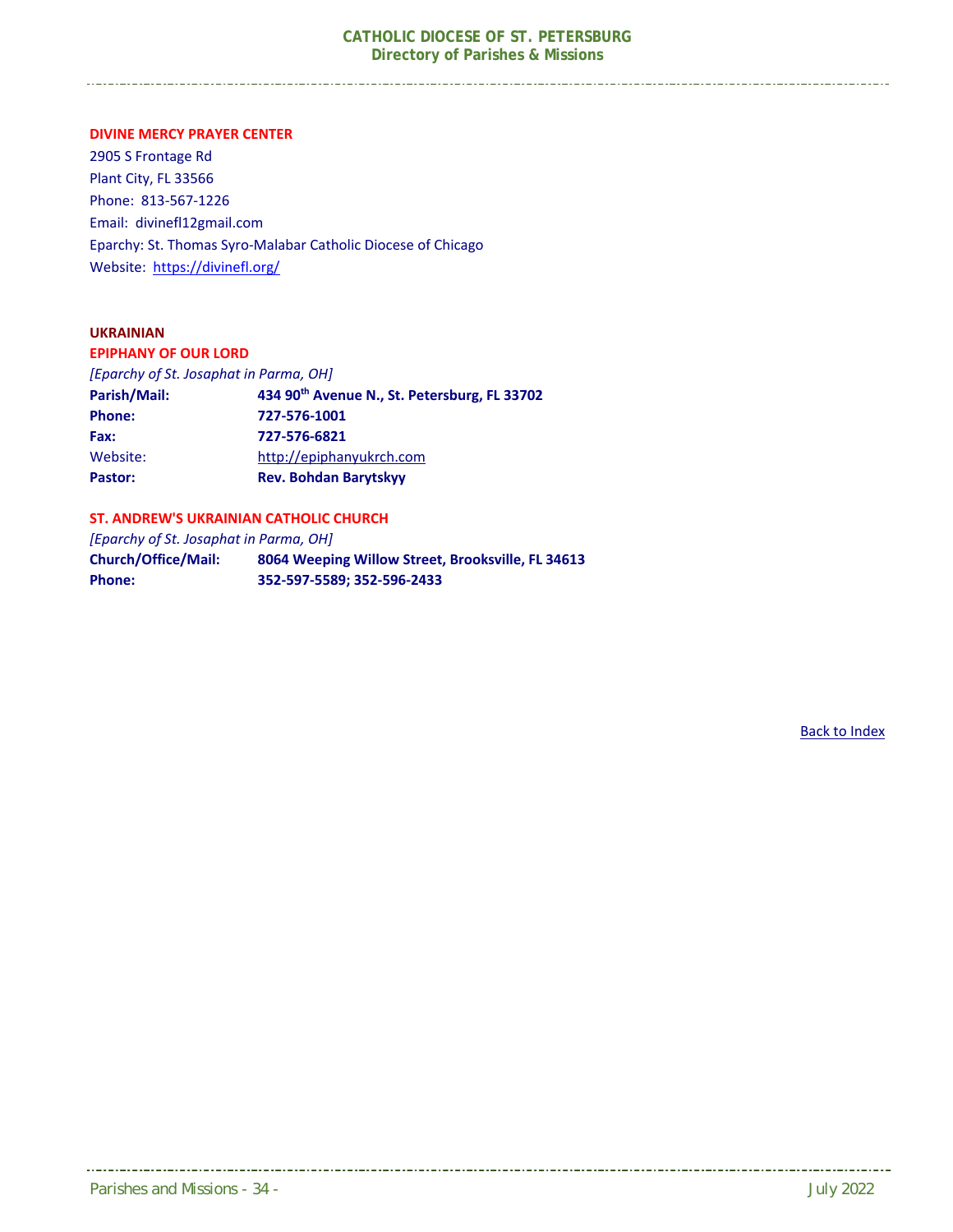**DIVINE MERCY PRAYER CENTER** 

2905 S Frontage Rd Plant City, FL 33566 Phone: 813‐567‐1226 Email: divinefl12gmail.com Eparchy: St. Thomas Syro‐Malabar Catholic Diocese of Chicago Website: https://divinefl.org/

#### **UKRAINIAN**

**EPIPHANY OF OUR LORD** 

*[Eparchy of St. Josaphat in Parma, OH]*

| Parish/Mail:  | 434 90 <sup>th</sup> Avenue N., St. Petersburg, FL 33702 |
|---------------|----------------------------------------------------------|
| <b>Phone:</b> | 727-576-1001                                             |
| Fax:          | 727-576-6821                                             |
| Website:      | http://epiphanyukrch.com                                 |
| Pastor:       | <b>Rev. Bohdan Barytskyy</b>                             |

#### **ST. ANDREW'S UKRAINIAN CATHOLIC CHURCH**

*[Eparchy of St. Josaphat in Parma, OH]* 

**Church/Office/Mail: 8064 Weeping Willow Street, Brooksville, FL 34613 Phone: 352‐597‐5589; 352‐596‐2433**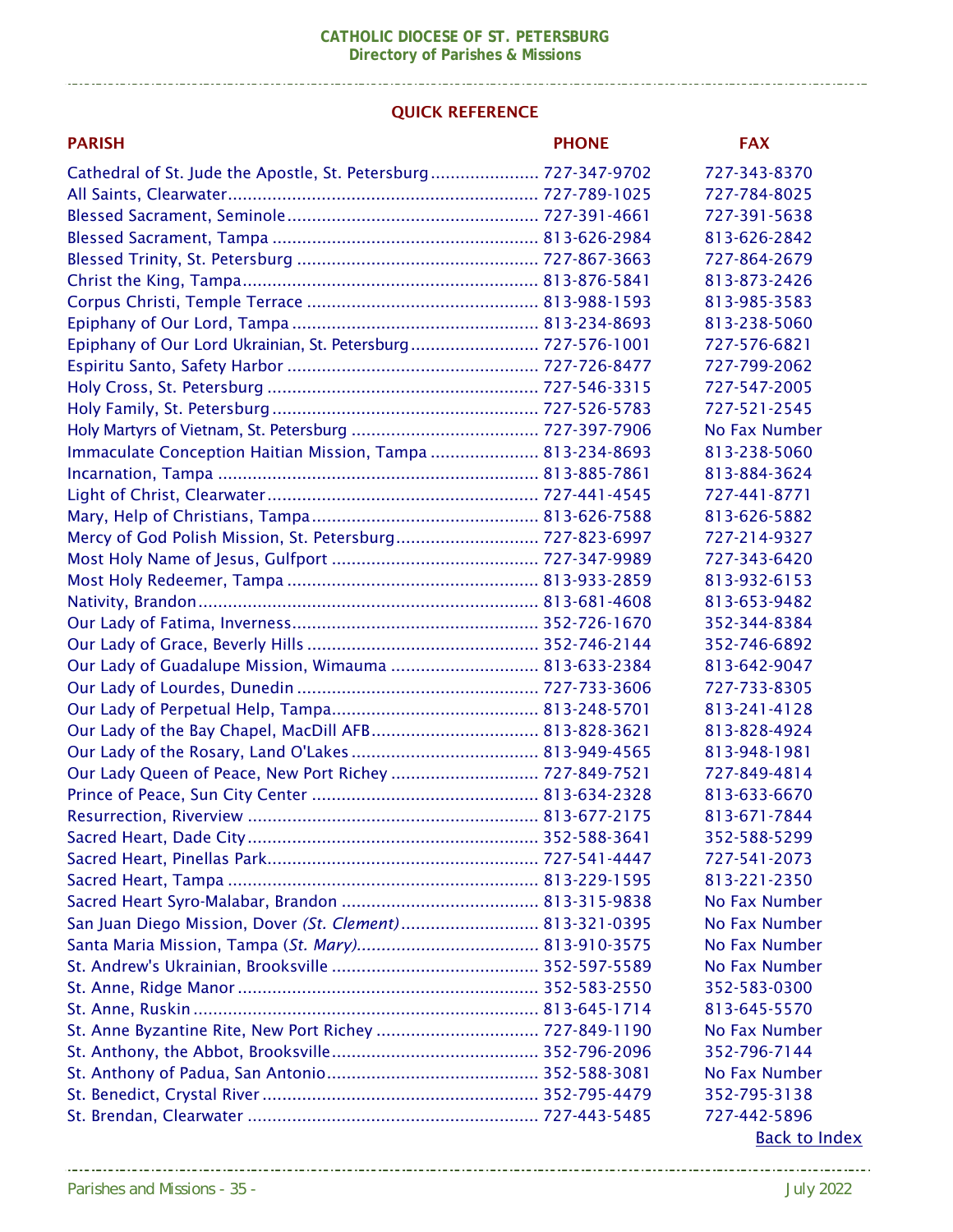#### QUICK REFERENCE

| <b>PARISH</b>                                                  | <b>PHONE</b> | <b>FAX</b>           |
|----------------------------------------------------------------|--------------|----------------------|
| Cathedral of St. Jude the Apostle, St. Petersburg 727-347-9702 |              | 727-343-8370         |
|                                                                |              | 727-784-8025         |
|                                                                |              | 727-391-5638         |
|                                                                |              | 813-626-2842         |
|                                                                |              | 727-864-2679         |
|                                                                |              | 813-873-2426         |
|                                                                |              | 813-985-3583         |
|                                                                |              | 813-238-5060         |
| Epiphany of Our Lord Ukrainian, St. Petersburg 727-576-1001    |              | 727-576-6821         |
|                                                                |              | 727-799-2062         |
|                                                                |              | 727-547-2005         |
|                                                                |              | 727-521-2545         |
|                                                                |              | No Fax Number        |
| Immaculate Conception Haitian Mission, Tampa  813-234-8693     |              | 813-238-5060         |
|                                                                |              | 813-884-3624         |
|                                                                |              | 727-441-8771         |
|                                                                |              | 813-626-5882         |
| Mercy of God Polish Mission, St. Petersburg 727-823-6997       |              | 727-214-9327         |
|                                                                |              | 727-343-6420         |
|                                                                |              | 813-932-6153         |
|                                                                |              | 813-653-9482         |
|                                                                |              | 352-344-8384         |
|                                                                |              | 352-746-6892         |
| Our Lady of Guadalupe Mission, Wimauma  813-633-2384           |              | 813-642-9047         |
|                                                                |              | 727-733-8305         |
|                                                                |              | 813-241-4128         |
| Our Lady of the Bay Chapel, MacDill AFB 813-828-3621           |              | 813-828-4924         |
|                                                                |              | 813-948-1981         |
| Our Lady Queen of Peace, New Port Richey  727-849-7521         |              | 727-849-4814         |
|                                                                |              | 813-633-6670         |
|                                                                |              | 813-671-7844         |
|                                                                |              | 352-588-5299         |
|                                                                |              | 727-541-2073         |
|                                                                |              | 813-221-2350         |
|                                                                |              | No Fax Number        |
| San Juan Diego Mission, Dover (St. Clement) 813-321-0395       |              | No Fax Number        |
|                                                                |              | No Fax Number        |
|                                                                |              | No Fax Number        |
|                                                                |              | 352-583-0300         |
|                                                                |              | 813-645-5570         |
|                                                                |              | No Fax Number        |
|                                                                |              | 352-796-7144         |
|                                                                |              | No Fax Number        |
|                                                                |              | 352-795-3138         |
|                                                                |              | 727-442-5896         |
|                                                                |              | <b>Back to Index</b> |